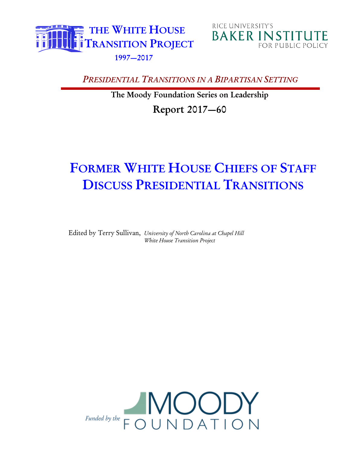



1997—2017

*PRESIDENTIAL TRANSITIONS IN A BIPARTISAN SETTING*

The Moody Foundation Series on Leadership

Report 2017—60

# FORMER WHITE HOUSE CHIEFS OF STAFF DISCUSS PRESIDENTIAL TRANSITIONS

Edited by Terry Sullivan, *University of North Carolina at Chapel Hill White House Transition Project*

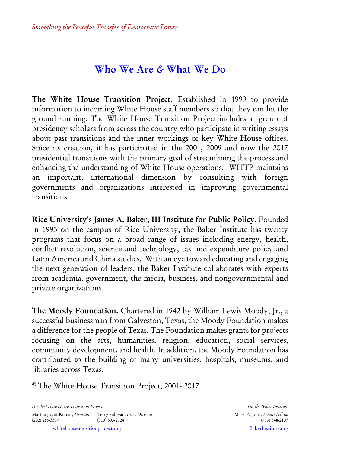# Who We Are *&* What We Do

<span id="page-1-0"></span>The White House Transition Project. Established in 1999 to provide information to incoming White House staff members so that they can hit the ground running, The White House Transition Project includes a group of presidency scholars from across the country who participate in writing essays about past transitions and the inner workings of key White House offices. Since its creation, it has participated in the 2001, 2009 and now the 2017 presidential transitions with the primary goal of streamlining the process and enhancing the understanding of White House operations. WHTP maintains an important, international dimension by consulting with foreign governments and organizations interested in improving governmental transitions.

Rice University's James A. Baker, III Institute for Public Policy. Founded in 1993 on the campus of Rice University, the Baker Institute has twenty programs that focus on a broad range of issues including energy, health, conflict resolution, science and technology, tax and expenditure policy and Latin America and China studies. With an eye toward educating and engaging the next generation of leaders, the Baker Institute collaborates with experts from academia, government, the media, business, and nongovernmental and private organizations.

The Moody Foundation. Chartered in 1942 by William Lewis Moody, Jr., a successful businessman from Galveston, Texas, the Moody Foundation makes a difference for the people of Texas. The Foundation makes grants for projects focusing on the arts, humanities, religion, education, social services, community development, and health. In addition, the Moody Foundation has contributed to the building of many universities, hospitals, museums, and libraries across Texas.

© The White House Transition Project, 2001- 2017

whitehousetransitionproject.org BakerInstitute.org BakerInstitute.org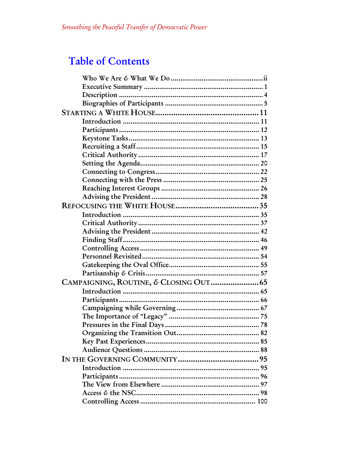# **Table of Contents**

| CAMPAIGNING, ROUTINE, & CLOSING OUT 65 |  |
|----------------------------------------|--|
|                                        |  |
|                                        |  |
|                                        |  |
|                                        |  |
|                                        |  |
|                                        |  |
|                                        |  |
|                                        |  |
|                                        |  |
|                                        |  |
|                                        |  |
|                                        |  |
|                                        |  |
|                                        |  |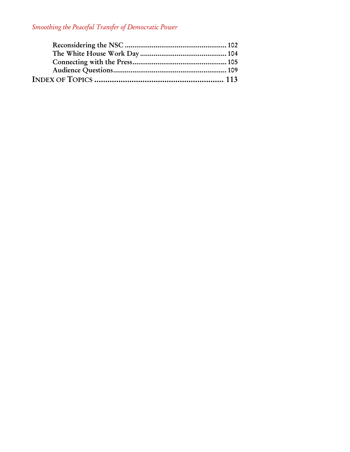### *Smoothing the Peaceful Transfer of Democratic Power*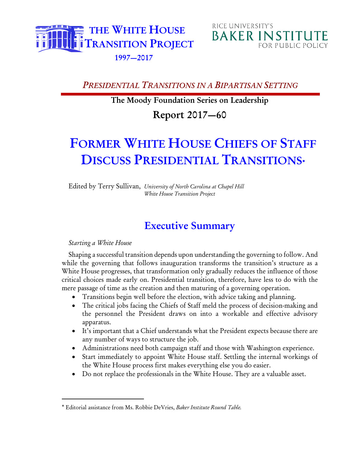THE WHITE HOUSE **TRANSITION PROJECT** 

RICE UNIVERSITY'S **BAKER INSTITU** FOR PUBLIC POLICY

1997—2017

*PRESIDENTIAL TRANSITIONS IN A BIPARTISAN SETTING*

### The Moody Foundation Series on Leadership

### Report 2017—60

# FORMER WHITE HOUSE CHIEFS OF STAFF DISCUSS PRESIDENTIAL TRANSITIONS<sup>®</sup>

Edited by Terry Sullivan, *University of North Carolina at Chapel Hill White House Transition Project*

# Executive Summary

#### <span id="page-4-0"></span>*Starting a White House*

 $\overline{a}$ 

Shaping a successful transition depends upon understanding the governing to follow. And while the governing that follows inauguration transforms the transition's structure as a White House progresses, that transformation only gradually reduces the influence of those critical choices made early on. Presidential transition, therefore, have less to do with the mere passage of time as the creation and then maturing of a governing operation.

- Transitions begin well before the election, with advice taking and planning.
- The critical jobs facing the Chiefs of Staff meld the process of decision-making and the personnel the President draws on into a workable and effective advisory apparatus.
- It's important that a Chief understands what the President expects because there are any number of ways to structure the job.
- Administrations need both campaign staff and those with Washington experience.
- Start immediately to appoint White House staff. Settling the internal workings of the White House process first makes everything else you do easier.
- Do not replace the professionals in the White House. They are a valuable asset.

<span id="page-4-1"></span><sup>∗</sup> Editorial assistance from Ms. Robbie DeVries, *Baker Institute Round Table.*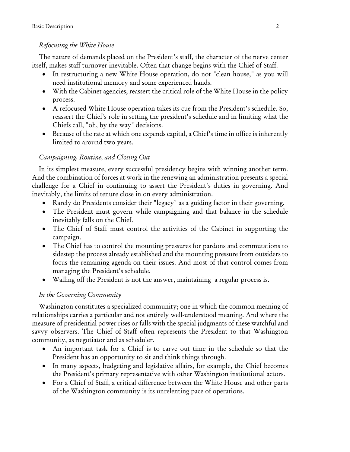#### *Refocusing the White House*

The nature of demands placed on the President's staff, the character of the nerve center itself, makes staff turnover inevitable. Often that change begins with the Chief of Staff.

- In restructuring a new White House operation, do not "clean house," as you will need institutional memory and some experienced hands.
- With the Cabinet agencies, reassert the critical role of the White House in the policy process.
- A refocused White House operation takes its cue from the President's schedule. So, reassert the Chief's role in setting the president's schedule and in limiting what the Chiefs call, "oh, by the way" decisions.
- Because of the rate at which one expends capital, a Chief's time in office is inherently limited to around two years.

### *Campaigning, Routine, and Closing Out*

In its simplest measure, every successful presidency begins with winning another term. And the combination of forces at work in the renewing an administration presents a special challenge for a Chief in continuing to assert the President's duties in governing. And inevitably, the limits of tenure close in on every administration.

- Rarely do Presidents consider their "legacy" as a guiding factor in their governing.
- The President must govern while campaigning and that balance in the schedule inevitably falls on the Chief.
- The Chief of Staff must control the activities of the Cabinet in supporting the campaign.
- The Chief has to control the mounting pressures for pardons and commutations to sidestep the process already established and the mounting pressure from outsiders to focus the remaining agenda on their issues. And most of that control comes from managing the President's schedule.
- Walling off the President is not the answer, maintaining a regular process is.

#### *In the Governing Community*

Washington constitutes a specialized community; one in which the common meaning of relationships carries a particular and not entirely well-understood meaning. And where the measure of presidential power rises or falls with the special judgments of these watchful and savvy observers. The Chief of Staff often represents the President to that Washington community, as negotiator and as scheduler.

- An important task for a Chief is to carve out time in the schedule so that the President has an opportunity to sit and think things through.
- In many aspects, budgeting and legislative affairs, for example, the Chief becomes the President's primary representative with other Washington institutional actors.
- For a Chief of Staff, a critical difference between the White House and other parts of the Washington community is its unrelenting pace of operations.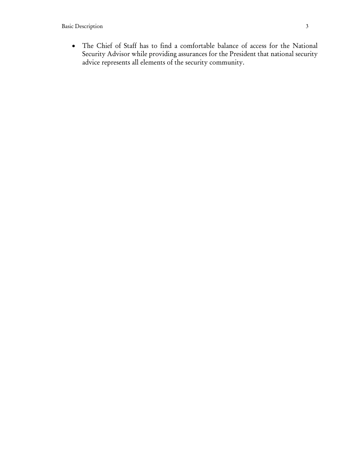#### Basic Description 3

• The Chief of Staff has to find a comfortable balance of access for the National Security Advisor while providing assurances for the President that national security advice represents all elements of the security community.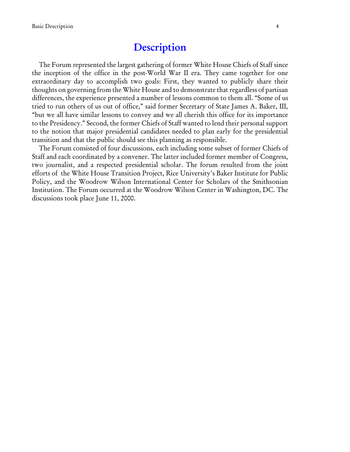### **Description**

<span id="page-7-0"></span>The Forum represented the largest gathering of former White House Chiefs of Staff since the inception of the office in the post-World War II era. They came together for one extraordinary day to accomplish two goals: First, they wanted to publicly share their thoughts on governing from the White House and to demonstrate that regardless of partisan differences, the experience presented a number of lessons common to them all. "Some of us tried to run others of us out of office," said former Secretary of State James A. Baker, III, "but we all have similar lessons to convey and we all cherish this office for its importance to the Presidency." Second, the former Chiefs of Staff wanted to lend their personal support to the notion that major presidential candidates needed to plan early for the presidential transition and that the public should see this planning as responsible.

The Forum consisted of four discussions, each including some subset of former Chiefs of Staff and each coordinated by a convener. The latter included former member of Congress, two journalist, and a respected presidential scholar. The forum resulted from the joint efforts of the White House Transition Project, Rice University's Baker Institute for Public Policy, and the Woodrow Wilson International Center for Scholars of the Smithsonian Institution. The Forum occurred at the Woodrow Wilson Center in Washington, DC. The discussions took place June 11, 2000.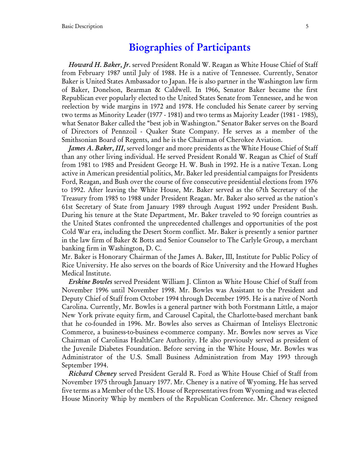### Biographies of Participants

<span id="page-8-0"></span>*Howard H. Baker, Jr.* served President Ronald W. Reagan as White House Chief of Staff from February 1987 until July of 1988. He is a native of Tennessee. Currently, Senator Baker is United States Ambassador to Japan. He is also partner in the Washington law firm of Baker, Donelson, Bearman & Caldwell. In 1966, Senator Baker became the first Republican ever popularly elected to the United States Senate from Tennessee, and he won reelection by wide margins in 1972 and 1978. He concluded his Senate career by serving two terms as Minority Leader (1977 - 1981) and two terms as Majority Leader (1981 - 1985), what Senator Baker called the "best job in Washington." Senator Baker serves on the Board of Directors of Pennzoil - Quaker State Company. He serves as a member of the Smithsonian Board of Regents, and he is the Chairman of Cherokee Aviation.

*James A. Baker, III,* served longer and more presidents as the White House Chief of Staff than any other living individual. He served President Ronald W. Reagan as Chief of Staff from 1981 to 1985 and President George H. W. Bush in 1992. He is a native Texan. Long active in American presidential politics, Mr. Baker led presidential campaigns for Presidents Ford, Reagan, and Bush over the course of five consecutive presidential elections from 1976 to 1992. After leaving the White House, Mr. Baker served as the 67th Secretary of the Treasury from 1985 to 1988 under President Reagan. Mr. Baker also served as the nation's 61st Secretary of State from January 1989 through August 1992 under President Bush. During his tenure at the State Department, Mr. Baker traveled to 90 foreign countries as the United States confronted the unprecedented challenges and opportunities of the post Cold War era, including the Desert Storm conflict. Mr. Baker is presently a senior partner in the law firm of Baker & Botts and Senior Counselor to The Carlyle Group, a merchant banking firm in Washington, D. C.

Mr. Baker is Honorary Chairman of the James A. Baker, III, Institute for Public Policy of Rice University. He also serves on the boards of Rice University and the Howard Hughes Medical Institute.

*Erskine Bowles* served President William J. Clinton as White House Chief of Staff from November 1996 until November 1998. Mr. Bowles was Assistant to the President and Deputy Chief of Staff from October 1994 through December 1995. He is a native of North Carolina. Currently, Mr. Bowles is a general partner with both Forstmann Little, a major New York private equity firm, and Carousel Capital, the Charlotte-based merchant bank that he co-founded in 1996. Mr. Bowles also serves as Chairman of Intelisys Electronic Commerce, a business-to-business e-commerce company. Mr. Bowles now serves as Vice Chairman of Carolinas HealthCare Authority. He also previously served as president of the Juvenile Diabetes Foundation. Before serving in the White House, Mr. Bowles was Administrator of the U.S. Small Business Administration from May 1993 through September 1994.

*Richard Cheney* served President Gerald R. Ford as White House Chief of Staff from November 1975 through January 1977. Mr. Cheney is a native of Wyoming. He has served five terms as a Member of the US. House of Representatives from Wyoming and was elected House Minority Whip by members of the Republican Conference. Mr. Cheney resigned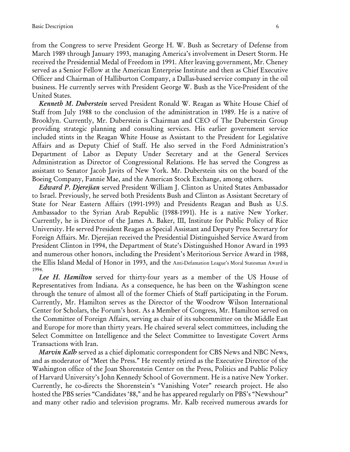from the Congress to serve President George H. W. Bush as Secretary of Defense from March 1989 through January 1993, managing America's involvement in Desert Storm. He received the Presidential Medal of Freedom in 1991. After leaving government, Mr. Cheney served as a Senior Fellow at the American Enterprise Institute and then as Chief Executive Officer and Chairman of Halliburton Company, a Dallas-based service company in the oil business. He currently serves with President George W. Bush as the Vice-President of the United States.

*Kenneth M. Duberstein* served President Ronald W. Reagan as White House Chief of Staff from July 1988 to the conclusion of the administration in 1989. He is a native of Brooklyn. Currently, Mr. Duberstein is Chairman and CEO of The Duberstein Group providing strategic planning and consulting services. His earlier government service included stints in the Reagan White House as Assistant to the President for Legislative Affairs and as Deputy Chief of Staff. He also served in the Ford Administration's Department of Labor as Deputy Under Secretary and at the General Services Administration as Director of Congressional Relations. He has served the Congress as assistant to Senator Jacob Javits of New York. Mr. Duberstein sits on the board of the Boeing Company, Fannie Mae, and the American Stock Exchange, among others.

*Edward P. Djerejian* served President William J. Clinton as United States Ambassador to Israel. Previously, he served both Presidents Bush and Clinton as Assistant Secretary of State for Near Eastern Affairs (1991-1993) and Presidents Reagan and Bush as U.S. Ambassador to the Syrian Arab Republic (1988-1991). He is a native New Yorker. Currently, he is Director of the James A. Baker, III, Institute for Public Policy of Rice University. He served President Reagan as Special Assistant and Deputy Press Secretary for Foreign Affairs. Mr. Djerejian received the Presidential Distinguished Service Award from President Clinton in 1994, the Department of State's Distinguished Honor Award in 1993 and numerous other honors, including the President's Meritorious Service Award in 1988, the Ellis Island Medal of Honor in 1993, and the Anti-Defamation League's Moral Statesman Award in 1994.

*Lee H. Hamilton* served for thirty-four years as a member of the US House of Representatives from Indiana. As a consequence, he has been on the Washington scene through the tenure of almost all of the former Chiefs of Staff participating in the Forum. Currently, Mr. Hamilton serves as the Director of the Woodrow Wilson International Center for Scholars, the Forum's host. As a Member of Congress, Mr. Hamilton served on the Committee of Foreign Affairs, serving as chair of its subcommittee on the Middle East and Europe for more than thirty years. He chaired several select committees, including the Select Committee on Intelligence and the Select Committee to Investigate Covert Arms Transactions with Iran.

*Marvin Kalb* served as a chief diplomatic correspondent for CBS News and NBC News, and as moderator of "Meet the Press." He recently retired as the Executive Director of the Washington office of the Joan Shorenstein Center on the Press, Politics and Public Policy of Harvard University's John Kennedy School of Government. He is a native New Yorker. Currently, he co-directs the Shorenstein's "Vanishing Voter" research project. He also hosted the PBS series "Candidates '88," and he has appeared regularly on PBS's "Newshour" and many other radio and television programs. Mr. Kalb received numerous awards for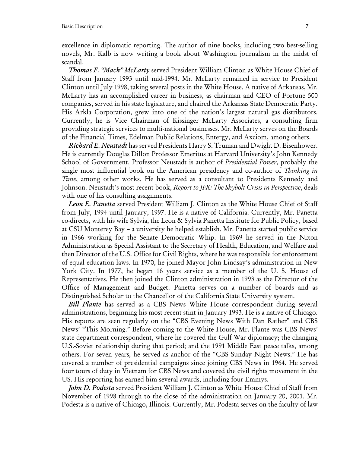excellence in diplomatic reporting. The author of nine books, including two best-selling novels, Mr. Kalb is now writing a book about Washington journalism in the midst of scandal.

*Thomas F. "Mack" McLarty* served President William Clinton as White House Chief of Staff from January 1993 until mid-1994. Mr. McLarty remained in service to President Clinton until July 1998, taking several posts in the White House. A native of Arkansas, Mr. McLarty has an accomplished career in business, as chairman and CEO of Fortune 500 companies, served in his state legislature, and chaired the Arkansas State Democratic Party. His Arkla Corporation, grew into one of the nation's largest natural gas distributors. Currently, he is Vice Chairman of Kissinger McLarty Associates, a consulting firm providing strategic services to multi-national businesses. Mr. McLarty serves on the Boards of the Financial Times, Edelman Public Relations, Entergy, and Axciom, among others.

*Richard E. Neustadt* has served Presidents Harry S. Truman and Dwight D. Eisenhower. He is currently Douglas Dillon Professor Emeritus at Harvard University's John Kennedy School of Government. Professor Neustadt is author of *Presidential Power*, probably the single most influential book on the American presidency and co-author of *Thinking in Time*, among other works. He has served as a consultant to Presidents Kennedy and Johnson. Neustadt's most recent book, *Report to JFK: The Skybolt Crisis in Perspective*, deals with one of his consulting assignments.

<span id="page-10-0"></span>*Leon E. Panetta* served President William J. Clinton as the White House Chief of Staff from July, 1994 until January, 1997. He is a native of California. Currently, Mr. Panetta co-directs, with his wife Sylvia, the Leon & Sylvia Panetta Institute for Public Policy, based at CSU Monterey Bay – a university he helped establish. Mr. Panetta started public service in 1966 working for the Senate Democratic Whip. In 1969 he served in the Nixon Administration as Special Assistant to the Secretary of Health, Education, and Welfare and then Director of the U.S. Office for Civil Rights, where he was responsible for enforcement of equal education laws. In 1970, he joined Mayor John Lindsay's administration in New York City. In 1977, he began 16 years service as a member of the U. S. House of Representatives. He then joined the Clinton administration in 1993 as the Director of the Office of Management and Budget. Panetta serves on a number of boards and as Distinguished Scholar to the Chancellor of the California State University system.

*Bill Plante* has served as a CBS News White House correspondent during several administrations, beginning his most recent stint in January 1993. He is a native of Chicago. His reports are seen regularly on the "CBS Evening News With Dan Rather" and CBS News' "This Morning." Before coming to the White House, Mr. Plante was CBS News' state department correspondent, where he covered the Gulf War diplomacy; the changing U.S.-Soviet relationship during that period; and the 1991 Middle East peace talks, among others. For seven years, he served as anchor of the "CBS Sunday Night News." He has covered a number of presidential campaigns since joining CBS News in 1964. He served four tours of duty in Vietnam for CBS News and covered the civil rights movement in the US. His reporting has earned him several awards, including four Emmys.

*John D. Podesta* served President William J. Clinton as White House Chief of Staff from November of 1998 through to the close of the administration on January 20, 2001. Mr. Podesta is a native of Chicago, Illinois. Currently, Mr. Podesta serves on the faculty of law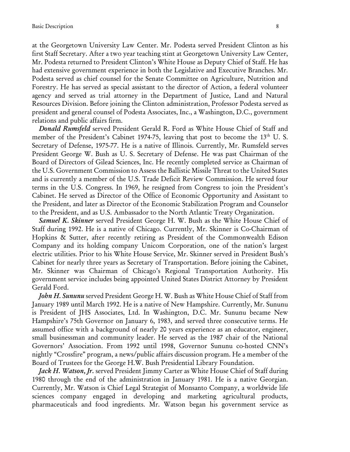at the Georgetown University Law Center. Mr. Podesta served President Clinton as his first Staff Secretary. After a two year teaching stint at Georgetown University Law Center, Mr. Podesta returned to President Clinton's White House as Deputy Chief of Staff. He has had extensive government experience in both the Legislative and Executive Branches. Mr. Podesta served as chief counsel for the Senate Committee on Agriculture, Nutrition and Forestry. He has served as special assistant to the director of Action, a federal volunteer agency and served as trial attorney in the Department of Justice, Land and Natural Resources Division. Before joining the Clinton administration, Professor Podesta served as president and general counsel of Podesta Associates, Inc., a Washington, D.C., government relations and public affairs firm.

*Donald Rumsfeld* served President Gerald R. Ford as White House Chief of Staff and member of the President's Cabinet 1974-75, leaving that post to become the  $13<sup>th</sup>$  U. S. Secretary of Defense, 1975-77. He is a native of Illinois. Currently, Mr. Rumsfeld serves President George W. Bush as U. S. Secretary of Defense. He was past Chairman of the Board of Directors of Gilead Sciences, Inc. He recently completed service as Chairman of the U.S. Government Commission to Assess the Ballistic Missile Threat to the United States and is currently a member of the U.S. Trade Deficit Review Commission. He served four terms in the U.S. Congress. In 1969, he resigned from Congress to join the President's Cabinet. He served as Director of the Office of Economic Opportunity and Assistant to the President, and later as Director of the Economic Stabilization Program and Counselor to the President, and as U.S. Ambassador to the North Atlantic Treaty Organization.

*Samuel K. Skinner* served President George H. W. Bush as the White House Chief of Staff during 1992. He is a native of Chicago. Currently, Mr. Skinner is Co-Chairman of Hopkins & Sutter, after recently retiring as President of the Commonwealth Edison Company and its holding company Unicom Corporation, one of the nation's largest electric utilities. Prior to his White House Service, Mr. Skinner served in President Bush's Cabinet for nearly three years as Secretary of Transportation. Before joining the Cabinet, Mr. Skinner was Chairman of Chicago's Regional Transportation Authority. His government service includes being appointed United States District Attorney by President Gerald Ford.

*John H. Sununu* served President George H. W. Bush as White House Chief of Staff from January 1989 until March 1992. He is a native of New Hampshire. Currently, Mr. Sununu is President of JHS Associates, Ltd. In Washington, D.C. Mr. Sununu became New Hampshire's 75th Governor on January 6, 1983, and served three consecutive terms. He assumed office with a background of nearly 20 years experience as an educator, engineer, small businessman and community leader. He served as the 1987 chair of the National Governors' Association. From 1992 until 1998, Governor Sununu co-hosted CNN's nightly "Crossfire" program, a news/public affairs discussion program. He a member of the Board of Trustees for the George H.W. Bush Presidential Library Foundation.

<span id="page-11-0"></span>*Jack H. Watson, Jr.* served President Jimmy Carter as White House Chief of Staff during 1980 through the end of the administration in January 1981. He is a native Georgian. Currently, Mr. Watson is Chief Legal Strategist of Monsanto Company, a worldwide life sciences company engaged in developing and marketing agricultural products, pharmaceuticals and food ingredients. Mr. Watson began his government service as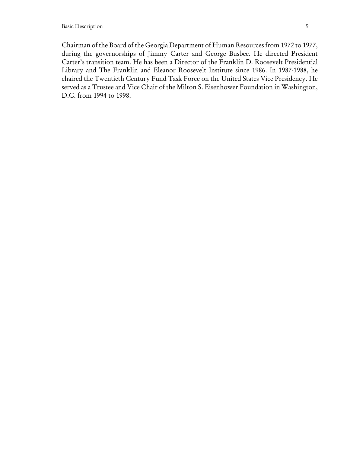Chairman of the Board of the Georgia Department of Human Resources from 1972 to 1977, during the governorships of Jimmy Carter and George Busbee. He directed President Carter's transition team. He has been a Director of the Franklin D. Roosevelt Presidential Library and The Franklin and Eleanor Roosevelt Institute since 1986. In 1987-1988, he chaired the Twentieth Century Fund Task Force on the United States Vice Presidency. He served as a Trustee and Vice Chair of the Milton S. Eisenhower Foundation in Washington, D.C. from 1994 to 1998.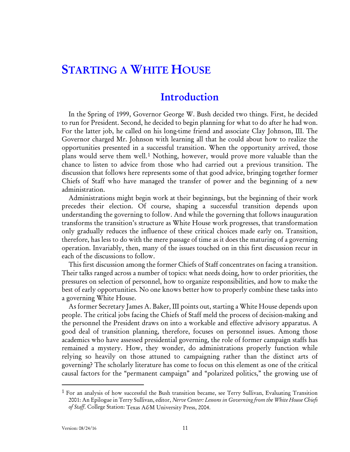# <span id="page-14-1"></span><span id="page-14-0"></span>STARTING A WHITE HOUSE

### Introduction

In the Spring of 1999, Governor George W. Bush decided two things. First, he decided to run for President. Second, he decided to begin planning for what to do after he had won. For the latter job, he called on his long-time friend and associate Clay Johnson, III. The Governor charged Mr. Johnson with learning all that he could about how to realize the opportunities presented in a successful transition. When the opportunity arrived, those plans would serve them well.[1](#page-14-2) Nothing, however, would prove more valuable than the chance to listen to advice from those who had carried out a previous transition. The discussion that follows here represents some of that good advice, bringing together former Chiefs of Staff who have managed the transfer of power and the beginning of a new administration.

Administrations might begin work at their beginnings, but the beginning of their work precedes their election. Of course, shaping a successful transition depends upon understanding the governing to follow. And while the governing that follows inauguration transforms the transition's structure as White House work progresses, that transformation only gradually reduces the influence of these critical choices made early on. Transition, therefore, has less to do with the mere passage of time as it does the maturing of a governing operation. Invariably, then, many of the issues touched on in this first discussion recur in each of the discussions to follow.

This first discussion among the former Chiefs of Staff concentrates on facing a transition. Their talks ranged across a number of topics: what needs doing, how to order priorities, the pressures on selection of personnel, how to organize responsibilities, and how to make the best of early opportunities. No one knows better how to properly combine these tasks into a governing White House.

As former Secretary James A. Baker, III points out, starting a White House depends upon people. The critical jobs facing the Chiefs of Staff meld the process of decision-making and the personnel the President draws on into a workable and effective advisory apparatus. A good deal of transition planning, therefore, focuses on personnel issues. Among those academics who have assessed presidential governing, the role of former campaign staffs has remained a mystery. How, they wonder, do administrations properly function while relying so heavily on those attuned to campaigning rather than the distinct arts of governing? The scholarly literature has come to focus on this element as one of the critical causal factors for the "permanent campaign" and "polarized politics," the growing use of

<span id="page-14-2"></span> $<sup>1</sup>$  For an analysis of how successful the Bush transition became, see Terry Sullivan, Evaluating Transition</sup> 2001: An Epilogue in Terry Sullivan, editor, *Nerve Center: Lessons in Governing from the White House Chiefs of Staff*. College Station: Texas A*&*M University Press, 2004.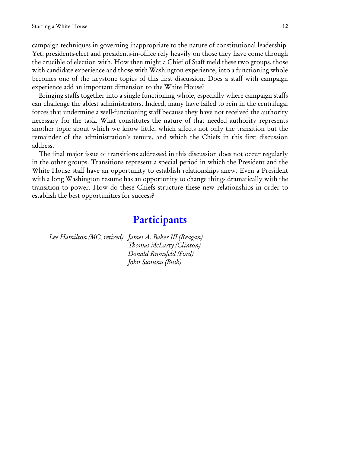campaign techniques in governing inappropriate to the nature of constitutional leadership. Yet, presidents-elect and presidents-in-office rely heavily on those they have come through the crucible of election with. How then might a Chief of Staff meld these two groups, those with candidate experience and those with Washington experience, into a functioning whole becomes one of the keystone topics of this first discussion. Does a staff with campaign experience add an important dimension to the White House?

Bringing staffs together into a single functioning whole, especially where campaign staffs can challenge the ablest administrators. Indeed, many have failed to rein in the centrifugal forces that undermine a well-functioning staff because they have not received the authority necessary for the task. What constitutes the nature of that needed authority represents another topic about which we know little, which affects not only the transition but the remainder of the administration's tenure, and which the Chiefs in this first discussion address.

The final major issue of transitions addressed in this discussion does not occur regularly in the other groups. Transitions represent a special period in which the President and the White House staff have an opportunity to establish relationships anew. Even a President with a long Washington resume has an opportunity to change things dramatically with the transition to power. How do these Chiefs structure these new relationships in order to establish the best opportunities for success?

### **Participants**

<span id="page-15-0"></span>*Lee Hamilton (MC, retired) James A. Baker III (Reagan) Thomas McLarty (Clinton) Donald Rumsfeld (Ford) John Sununu (Bush)*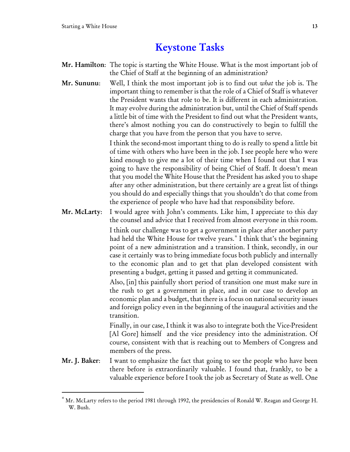### Keystone Tasks

- <span id="page-16-0"></span>Mr. Hamilton: The topic is starting the White House. What is the most important job of the Chief of Staff at the beginning of an administration?
- Mr. Sununu: Well, I think the most important job is to find out *what* the job is. The important thing to remember is that the role of a Chief of Staff is whatever the President wants that role to be. It is different in each administration. It may evolve during the administration but, until the Chief of Staff spends a little bit of time with the President to find out what the President wants, there's almost nothing you can do constructively to begin to fulfill the charge that you have from the person that you have to serve.

I think the second-most important thing to do is really to spend a little bit of time with others who have been in the job. I see people here who were kind enough to give me a lot of their time when I found out that I was going to have the responsibility of being Chief of Staff. It doesn't mean that you model the White House that the President has asked you to shape after any other administration, but there certainly are a great list of things you should do and especially things that you shouldn't do that come from the experience of people who have had that responsibility before.

Mr. McLarty: I would agree with John's comments. Like him, I appreciate to this day the counsel and advice that I received from almost everyone in this room.

> I think our challenge was to get a government in place after another party had held the White House for twelve years.[\\*](#page-16-1) I think that's the beginning point of a new administration and a transition. I think, secondly, in our case it certainly was to bring immediate focus both publicly and internally to the economic plan and to get that plan developed consistent with presenting a budget, getting it passed and getting it communicated.

> Also, [in] this painfully short period of transition one must make sure in the rush to get a government in place, and in our case to develop an economic plan and a budget, that there is a focus on national security issues and foreign policy even in the beginning of the inaugural activities and the transition.

> Finally, in our case, I think it was also to integrate both the Vice-President [Al Gore] himself and the vice presidency into the administration. Of course, consistent with that is reaching out to Members of Congress and members of the press.

Mr. J. Baker: I want to emphasize the fact that going to see the people who have been there before is extraordinarily valuable. I found that, frankly, to be a valuable experience before I took the job as Secretary of State as well. One

<span id="page-16-1"></span> <sup>\*</sup> Mr. McLarty refers to the period 1981 through 1992, the presidencies of Ronald W. Reagan and George H. W. Bush.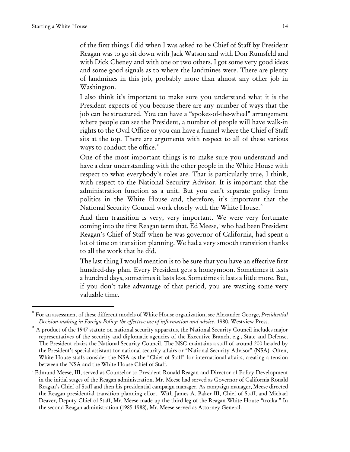of the first things I did when I was asked to be Chief of Staff by President Reagan was to go sit down with Jack Watson and with Don Rumsfeld and with Dick Cheney and with one or two others. I got some very good ideas and some good signals as to where the landmines were. There are plenty of landmines in this job, probably more than almost any other job in Washington.

I also think it's important to make sure you understand what it is the President expects of you because there are any number of ways that the job can be structured. You can have a "spokes-of-the-wheel" arrangement where people can see the President, a number of people will have walk-in rights to the Oval Office or you can have a funnel where the Chief of Staff sits at the top. There are arguments with respect to all of these various ways to conduct the office.[\\*](#page-17-0)

One of the most important things is to make sure you understand and have a clear understanding with the other people in the White House with respect to what everybody's roles are. That is particularly true, I think, with respect to the National Security Advisor. It is important that the administration function as a unit. But you can't separate policy from politics in the White House and, therefore, it's important that the National Security Council work closely with the White House.[°](#page-17-1)

And then transition is very, very important. We were very fortunate coming into the first Reagan term that, Ed Meese, who had been President Reagan's Chief of Staff when he was governor of California, had spent a lot of time on transition planning. We had a very smooth transition thanks to all the work that he did.

The last thing I would mention is to be sure that you have an effective first hundred-day plan. Every President gets a honeymoon. Sometimes it lasts a hundred days, sometimes it lasts less. Sometimes it lasts a little more. But, if you don't take advantage of that period, you are wasting some very valuable time.

 <sup>\*</sup> For an assessment of these different models of White House organization, see Alexander George, *Presidential Decision-making in Foreign Policy: the effective use of information and advice*, 1980, Westview Press.

<span id="page-17-1"></span><span id="page-17-0"></span><sup>°</sup> A product of the 1947 statute on national security apparatus, the National Security Council includes major representatives of the security and diplomatic agencies of the Executive Branch, e.g., State and Defense. The President chairs the National Security Council. The NSC maintains a staff of around 200 headed by the President's special assistant for national security affairs or "National Security Advisor" (NSA). Often, White House staffs consider the NSA as the "Chief of Staff" for international affairs, creating a tension between the NSA and the White House Chief of Staff.

<span id="page-17-2"></span>Edmund Meese, III, served as Counselor to President Ronald Reagan and Director of Policy Development in the initial stages of the Reagan administration. Mr. Meese had served as Governor of California Ronald Reagan's Chief of Staff and then his presidential campaign manager. As campaign manager, Meese directed the Reagan presidential transition planning effort. With James A. Baker III, Chief of Staff, and Michael Deaver, Deputy Chief of Staff, Mr. Meese made up the third leg of the Reagan White House "troika." In the second Reagan administration (1985-1988), Mr. Meese served as Attorney General.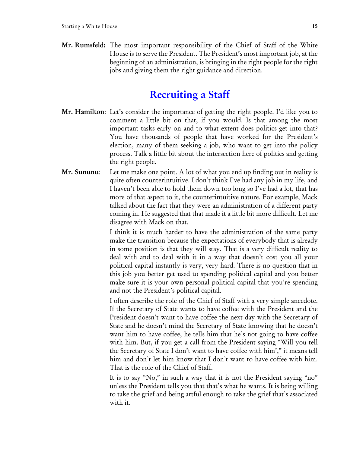<span id="page-18-0"></span>Mr. Rumsfeld: The most important responsibility of the Chief of Staff of the White House is to serve the President. The President's most important job, at the beginning of an administration, is bringing in the right people for the right jobs and giving them the right guidance and direction.

### Recruiting a Staff

- Mr. Hamilton: Let's consider the importance of getting the right people. I'd like you to comment a little bit on that, if you would. Is that among the most important tasks early on and to what extent does politics get into that? You have thousands of people that have worked for the President's election, many of them seeking a job, who want to get into the policy process. Talk a little bit about the intersection here of politics and getting the right people.
- Mr. Sununu: Let me make one point. A lot of what you end up finding out in reality is quite often counterintuitive. I don't think I've had any job in my life, and I haven't been able to hold them down too long so I've had a lot, that has more of that aspect to it, the counterintuitive nature. For example, Mack talked about the fact that they were an administration of a different party coming in. He suggested that that made it a little bit more difficult. Let me disagree with Mack on that.

I think it is much harder to have the administration of the same party make the transition because the expectations of everybody that is already in some position is that they will stay. That is a very difficult reality to deal with and to deal with it in a way that doesn't cost you all your political capital instantly is very, very hard. There is no question that in this job you better get used to spending political capital and you better make sure it is your own personal political capital that you're spending and not the President's political capital.

I often describe the role of the Chief of Staff with a very simple anecdote. If the Secretary of State wants to have coffee with the President and the President doesn't want to have coffee the next day with the Secretary of State and he doesn't mind the Secretary of State knowing that he doesn't want him to have coffee, he tells him that he's not going to have coffee with him. But, if you get a call from the President saying "Will you tell the Secretary of State I don't want to have coffee with him'," it means tell him and don't let him know that I don't want to have coffee with him. That is the role of the Chief of Staff.

It is to say "No," in such a way that it is not the President saying "no" unless the President tells you that that's what he wants. It is being willing to take the grief and being artful enough to take the grief that's associated with it.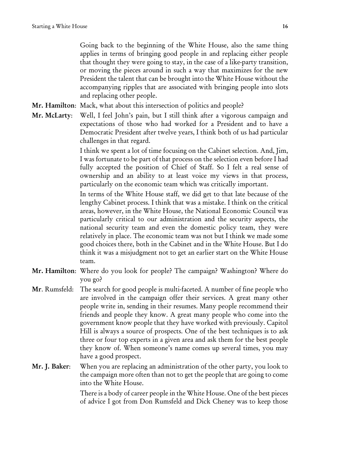Going back to the beginning of the White House, also the same thing applies in terms of bringing good people in and replacing either people that thought they were going to stay, in the case of a like-party transition, or moving the pieces around in such a way that maximizes for the new President the talent that can be brought into the White House without the accompanying ripples that are associated with bringing people into slots and replacing other people.

Mr. Hamilton: Mack, what about this intersection of politics and people?

Mr. McLarty: Well, I feel John's pain, but I still think after a vigorous campaign and expectations of those who had worked for a President and to have a Democratic President after twelve years, I think both of us had particular challenges in that regard.

> I think we spent a lot of time focusing on the Cabinet selection. And, Jim, I was fortunate to be part of that process on the selection even before I had fully accepted the position of Chief of Staff. So I felt a real sense of ownership and an ability to at least voice my views in that process, particularly on the economic team which was critically important.

> In terms of the White House staff, we did get to that late because of the lengthy Cabinet process. I think that was a mistake. I think on the critical areas, however, in the White House, the National Economic Council was particularly critical to our administration and the security aspects, the national security team and even the domestic policy team, they were relatively in place. The economic team was not but I think we made some good choices there, both in the Cabinet and in the White House. But I do think it was a misjudgment not to get an earlier start on the White House team.

- Mr. Hamilton: Where do you look for people? The campaign? Washington? Where do you go?
- Mr. Rumsfeld: The search for good people is multi-faceted. A number of fine people who are involved in the campaign offer their services. A great many other people write in, sending in their resumes. Many people recommend their friends and people they know. A great many people who come into the government know people that they have worked with previously. Capitol Hill is always a source of prospects. One of the best techniques is to ask three or four top experts in a given area and ask them for the best people they know of. When someone's name comes up several times, you may have a good prospect.
- Mr. J. Baker: When you are replacing an administration of the other party, you look to the campaign more often than not to get the people that are going to come into the White House.

There is a body of career people in the White House. One of the best pieces of advice I got from Don Rumsfeld and Dick Cheney was to keep those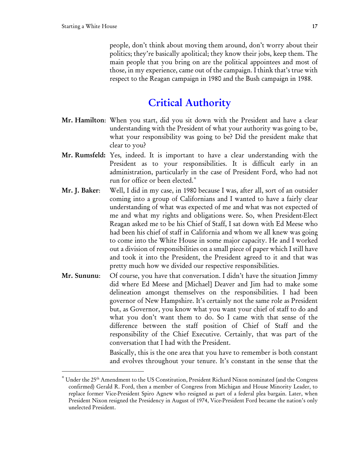people, don't think about moving them around, don't worry about their politics; they're basically apolitical; they know their jobs, keep them. The main people that you bring on are the political appointees and most of those, in my experience, came out of the campaign. I think that's true with respect to the Reagan campaign in 1980 and the Bush campaign in 1988.

### Critical Authority

- <span id="page-20-0"></span>Mr. Hamilton: When you start, did you sit down with the President and have a clear understanding with the President of what your authority was going to be, what your responsibility was going to be? Did the president make that clear to you?
- Mr. Rumsfeld: Yes, indeed. It is important to have a clear understanding with the President as to your responsibilities. It is difficult early in an administration, particularly in the case of President Ford, who had not run for office or been elected.[\\*](#page-21-0)
- Mr. J. Baker: Well, I did in my case, in 1980 because I was, after all, sort of an outsider coming into a group of Californians and I wanted to have a fairly clear understanding of what was expected of me and what was not expected of me and what my rights and obligations were. So, when President-Elect Reagan asked me to be his Chief of Staff, I sat down with Ed Meese who had been his chief of staff in California and whom we all knew was going to come into the White House in some major capacity. He and I worked out a division of responsibilities on a small piece of paper which I still have and took it into the President, the President agreed to it and that was pretty much how we divided our respective responsibilities.
- Mr. Sununu: Of course, you have that conversation. I didn't have the situation Jimmy did where Ed Meese and [Michael] Deaver and Jim had to make some delineation amongst themselves on the responsibilities. I had been governor of New Hampshire. It's certainly not the same role as President but, as Governor, you know what you want your chief of staff to do and what you don't want them to do. So I came with that sense of the difference between the staff position of Chief of Staff and the responsibility of the Chief Executive. Certainly, that was part of the conversation that I had with the President.

Basically, this is the one area that you have to remember is both constant and evolves throughout your tenure. It's constant in the sense that the

 <sup>\*</sup> Under the 25th Amendment to the US Constitution, President Richard Nixon nominated (and the Congress confirmed) Gerald R. Ford, then a member of Congress from Michigan and House Minority Leader, to replace former Vice-President Spiro Agnew who resigned as part of a federal plea bargain. Later, when President Nixon resigned the Presidency in August of 1974, Vice-President Ford became the nation's only unelected President.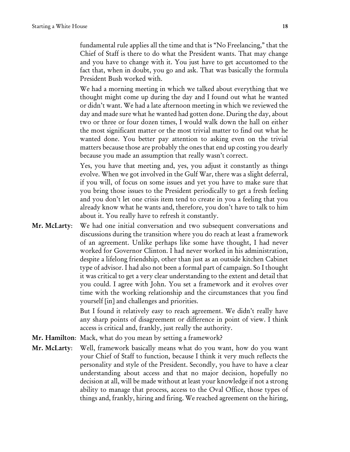fundamental rule applies all the time and that is "No Freelancing," that the Chief of Staff is there to do what the President wants. That may change and you have to change with it. You just have to get accustomed to the fact that, when in doubt, you go and ask. That was basically the formula President Bush worked with.

We had a morning meeting in which we talked about everything that we thought might come up during the day and I found out what he wanted or didn't want. We had a late afternoon meeting in which we reviewed the day and made sure what he wanted had gotten done. During the day, about two or three or four dozen times, I would walk down the hall on either the most significant matter or the most trivial matter to find out what he wanted done. You better pay attention to asking even on the trivial matters because those are probably the ones that end up costing you dearly because you made an assumption that really wasn't correct.

Yes, you have that meeting and, yes, you adjust it constantly as things evolve. When we got involved in the Gulf War, there was a slight deferral, if you will, of focus on some issues and yet you have to make sure that you bring those issues to the President periodically to get a fresh feeling and you don't let one crisis item tend to create in you a feeling that you already know what he wants and, therefore, you don't have to talk to him about it. You really have to refresh it constantly.

Mr. McLarty: We had one initial conversation and two subsequent conversations and discussions during the transition where you do reach at least a framework of an agreement. Unlike perhaps like some have thought, I had never worked for Governor Clinton. I had never worked in his administration, despite a lifelong friendship, other than just as an outside kitchen Cabinet type of advisor. I had also not been a formal part of campaign. So I thought it was critical to get a very clear understanding to the extent and detail that you could. I agree with John. You set a framework and it evolves over time with the working relationship and the circumstances that you find yourself [in] and challenges and priorities.

> But I found it relatively easy to reach agreement. We didn't really have any sharp points of disagreement or difference in point of view. I think access is critical and, frankly, just really the authority.

Mr. Hamilton: Mack, what do you mean by setting a framework?

<span id="page-21-0"></span>Mr. McLarty: Well, framework basically means what do you want, how do you want your Chief of Staff to function, because I think it very much reflects the personality and style of the President. Secondly, you have to have a clear understanding about access and that no major decision, hopefully no decision at all, will be made without at least your knowledge if not a strong ability to manage that process, access to the Oval Office, those types of things and, frankly, hiring and firing. We reached agreement on the hiring,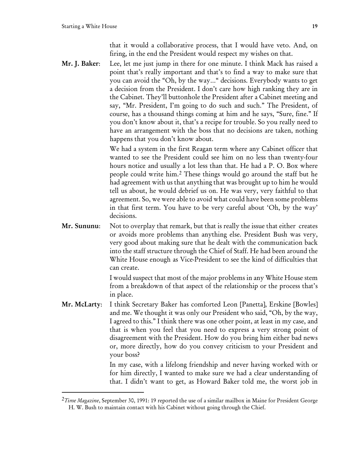that it would a collaborative process, that I would have veto. And, on firing, in the end the President would respect my wishes on that.

Mr. J. Baker: Lee, let me just jump in there for one minute. I think Mack has raised a point that's really important and that's to find a way to make sure that you can avoid the "Oh, by the way…" decisions. Everybody wants to get a decision from the President. I don't care how high ranking they are in the Cabinet. They'll buttonhole the President after a Cabinet meeting and say, "Mr. President, I'm going to do such and such." The President, of course, has a thousand things coming at him and he says, "Sure, fine." If you don't know about it, that's a recipe for trouble. So you really need to have an arrangement with the boss that no decisions are taken, nothing happens that you don't know about.

> We had a system in the first Reagan term where any Cabinet officer that wanted to see the President could see him on no less than twenty-four hours notice and usually a lot less than that. He had a P. O. Box where people could write him[.2](#page-23-1) These things would go around the staff but he had agreement with us that anything that was brought up to him he would tell us about, he would debrief us on. He was very, very faithful to that agreement. So, we were able to avoid what could have been some problems in that first term. You have to be very careful about 'Oh, by the way' decisions.

Mr. Sununu: Not to overplay that remark, but that is really the issue that either creates or avoids more problems than anything else. President Bush was very, very good about making sure that he dealt with the communication back into the staff structure through the Chief of Staff. He had been around the White House enough as Vice-President to see the kind of difficulties that can create.

> I would suspect that most of the major problems in any White House stem from a breakdown of that aspect of the relationship or the process that's in place.

Mr. McLarty: I think Secretary Baker has comforted Leon [Panetta], Erskine [Bowles] and me. We thought it was only our President who said, "Oh, by the way, I agreed to this." I think there was one other point, at least in my case, and that is when you feel that you need to express a very strong point of disagreement with the President. How do you bring him either bad news or, more directly, how do you convey criticism to your President and your boss?

> In my case, with a lifelong friendship and never having worked with or for him directly, I wanted to make sure we had a clear understanding of that. I didn't want to get, as Howard Baker told me, the worst job in

 <sup>2</sup>*Time Magazine*, September 30, 1991: 19 reported the use of a similar mailbox in Maine for President George H. W. Bush to maintain contact with his Cabinet without going through the Chief.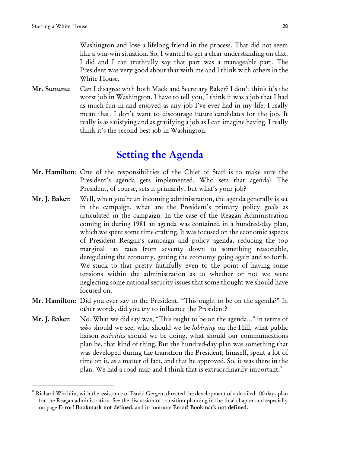Mr. Sununu: Can I disagree with both Mack and Secretary Baker? I don't think it's the worst job in Washington. I have to tell you, I think it was a job that I had as much fun in and enjoyed as any job I've ever had in my life. I really mean that. I don't want to discourage future candidates for the job. It really is as satisfying and as gratifying a job as I can imagine having. I really think it's the second best job in Washington.

## Setting the Agenda

- <span id="page-23-0"></span>Mr. Hamilton: One of the responsibilities of the Chief of Staff is to make sure the President's agenda gets implemented. Who sets that agenda? The President, of course, sets it primarily, but what's your job?
- Mr. J. Baker: Well, when you're an incoming administration, the agenda generally is set in the campaign, what are the President's primary policy goals as articulated in the campaign. In the case of the Reagan Administration coming in during 1981 an agenda was contained in a hundred-day plan, which we spent some time crafting. It was focused on the economic aspects of President Reagan's campaign and policy agenda, reducing the top marginal tax rates from seventy down to something reasonable, deregulating the economy, getting the economy going again and so forth. We stuck to that pretty faithfully even to the point of having some tensions within the administration as to whether or not we were neglecting some national security issues that some thought we should have focused on.
- Mr. Hamilton: Did you ever say to the President, "This ought to be on the agenda?" In other words, did you try to influence the President?
- Mr. J. Baker: No. What we did say was, "This ought to be on the agenda…" in terms of *who* should we see, who should we be *lobbying* on the Hill, what public liaison *activities* should we be doing, what should our communications plan be, that kind of thing. But the hundred-day plan was something that was developed during the transition the President, himself, spent a lot of time on it, as a matter of fact, and that he approved. So, it was there in the plan. We had a road map and I think that is extraordinarily important.[\\*](#page-25-1)

<span id="page-23-1"></span> <sup>\*</sup> Richard Wirthlin, with the assistance of David Gergen, directed the development of a detailed 100 days plan for the Reagan administration. See the discussion of transition planning in the final chapter and especially on page Error! Bookmark not defined. and in footnote Error! Bookmark not defined..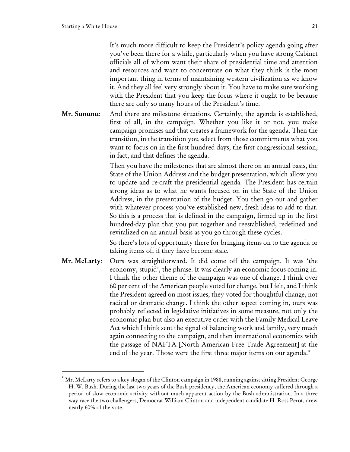It's much more difficult to keep the President's policy agenda going after you've been there for a while, particularly when you have strong Cabinet officials all of whom want their share of presidential time and attention and resources and want to concentrate on what they think is the most important thing in terms of maintaining western civilization as we know it. And they all feel very strongly about it. You have to make sure working with the President that you keep the focus where it ought to be because there are only so many hours of the President's time.

Mr. Sununu: And there are milestone situations. Certainly, the agenda is established, first of all, in the campaign. Whether you like it or not, you make campaign promises and that creates a framework for the agenda. Then the transition, in the transition you select from those commitments what you want to focus on in the first hundred days, the first congressional session, in fact, and that defines the agenda.

> Then you have the milestones that are almost there on an annual basis, the State of the Union Address and the budget presentation, which allow you to update and re-craft the presidential agenda. The President has certain strong ideas as to what he wants focused on in the State of the Union Address, in the presentation of the budget. You then go out and gather with whatever process you've established new, fresh ideas to add to that. So this is a process that is defined in the campaign, firmed up in the first hundred-day plan that you put together and reestablished, redefined and revitalized on an annual basis as you go through these cycles.

> So there's lots of opportunity there for bringing items on to the agenda or taking items off if they have become stale.

Mr. McLarty: Ours was straightforward. It did come off the campaign. It was 'the economy, stupid', the phrase. It was clearly an economic focus coming in. I think the other theme of the campaign was one of change. I think over 60 per cent of the American people voted for change, but I felt, and I think the President agreed on most issues, they voted for thoughtful change, not radical or dramatic change. I think the other aspect coming in, ours was probably reflected in legislative initiatives in some measure, not only the economic plan but also an executive order with the Family Medical Leave Act which I think sent the signal of balancing work and family, very much again connecting to the campaign, and then international economics with the passage of NAFTA [North American Free Trade Agreement] at the end of the year. Those were the first three major items on our agenda.[\\*](#page-26-0)

 <sup>\*</sup> Mr. McLarty refers to a key slogan of the Clinton campaign in 1988, running against sitting President George H. W. Bush. During the last two years of the Bush presidency, the American economy suffered through a period of slow economic activity without much apparent action by the Bush administration. In a three way race the two challengers, Democrat William Clinton and independent candidate H. Ross Perot, drew nearly 60% of the vote.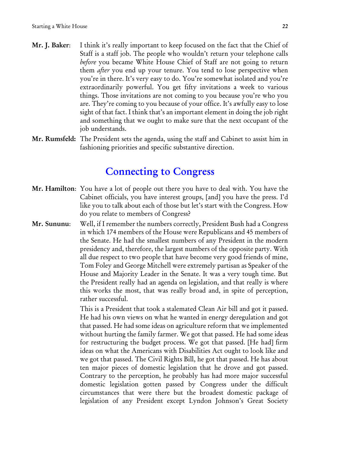- Mr. J. Baker: I think it's really important to keep focused on the fact that the Chief of Staff is a staff job. The people who wouldn't return your telephone calls *before* you became White House Chief of Staff are not going to return them *after* you end up your tenure. You tend to lose perspective when you're in there. It's very easy to do. You're somewhat isolated and you're extraordinarily powerful. You get fifty invitations a week to various things. Those invitations are not coming to you because you're who you are. They're coming to you because of your office. It's awfully easy to lose sight of that fact. I think that's an important element in doing the job right and something that we ought to make sure that the next occupant of the job understands.
- <span id="page-25-0"></span>Mr. Rumsfeld: The President sets the agenda, using the staff and Cabinet to assist him in fashioning priorities and specific substantive direction.

### Connecting to Congress

- Mr. Hamilton: You have a lot of people out there you have to deal with. You have the Cabinet officials, you have interest groups, [and] you have the press. I'd like you to talk about each of those but let's start with the Congress. How do you relate to members of Congress?
- Mr. Sununu: Well, if I remember the numbers correctly, President Bush had a Congress in which 174 members of the House were Republicans and 45 members of the Senate. He had the smallest numbers of any President in the modern presidency and, therefore, the largest numbers of the opposite party. With all due respect to two people that have become very good friends of mine, Tom Foley and George Mitchell were extremely partisan as Speaker of the House and Majority Leader in the Senate. It was a very tough time. But the President really had an agenda on legislation, and that really is where this works the most, that was really broad and, in spite of perception, rather successful.

<span id="page-25-1"></span>This is a President that took a stalemated Clean Air bill and got it passed. He had his own views on what he wanted in energy deregulation and got that passed. He had some ideas on agriculture reform that we implemented without hurting the family farmer. We got that passed. He had some ideas for restructuring the budget process. We got that passed. [He had] firm ideas on what the Americans with Disabilities Act ought to look like and we got that passed. The Civil Rights Bill, he got that passed. He has about ten major pieces of domestic legislation that he drove and got passed. Contrary to the perception, he probably has had more major successful domestic legislation gotten passed by Congress under the difficult circumstances that were there but the broadest domestic package of legislation of any President except Lyndon Johnson's Great Society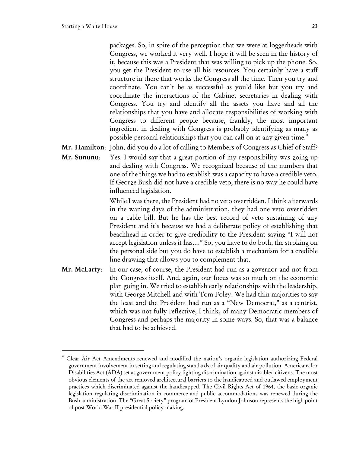packages. So, in spite of the perception that we were at loggerheads with Congress, we worked it very well. I hope it will be seen in the history of it, because this was a President that was willing to pick up the phone. So, you get the President to use all his resources. You certainly have a staff structure in there that works the Congress all the time. Then you try and coordinate. You can't be as successful as you'd like but you try and coordinate the interactions of the Cabinet secretaries in dealing with Congress. You try and identify all the assets you have and all the relationships that you have and allocate responsibilities of working with Congress to different people because, frankly, the most important ingredient in dealing with Congress is probably identifying as many as possible personal relationships that you can call on at any given time.[\\*](#page-27-0)

- Mr. Hamilton: John, did you do a lot of calling to Members of Congress as Chief of Staff?
- Mr. Sununu: Yes. I would say that a great portion of my responsibility was going up and dealing with Congress. We recognized because of the numbers that one of the things we had to establish was a capacity to have a credible veto. If George Bush did not have a credible veto, there is no way he could have influenced legislation.

While I was there, the President had no veto overridden. I think afterwards in the waning days of the administration, they had one veto overridden on a cable bill. But he has the best record of veto sustaining of any President and it's because we had a deliberate policy of establishing that beachhead in order to give credibility to the President saying "I will not accept legislation unless it has.…" So, you have to do both, the stroking on the personal side but you do have to establish a mechanism for a credible line drawing that allows you to complement that.

Mr. McLarty: In our case, of course, the President had run as a governor and not from the Congress itself. And, again, our focus was so much on the economic plan going in. We tried to establish early relationships with the leadership, with George Mitchell and with Tom Foley. We had thin majorities to say the least and the President had run as a "New Democrat," as a centrist, which was not fully reflective, I think, of many Democratic members of Congress and perhaps the majority in some ways. So, that was a balance that had to be achieved.

<span id="page-26-0"></span> <sup>\*</sup> Clear Air Act Amendments renewed and modified the nation's organic legislation authorizing Federal government involvement in setting and regulating standards of air quality and air pollution. Americans for Disabilities Act (ADA) set as government policy fighting discrimination against disabled citizens. The most obvious elements of the act removed architectural barriers to the handicapped and outlawed employment practices which discriminated against the handicapped. The Civil Rights Act of 1964, the basic organic legislation regulating discrimination in commerce and public accommodations was renewed during the Bush administration. The "Great Society" program of President Lyndon Johnson represents the high point of post-World War II presidential policy making.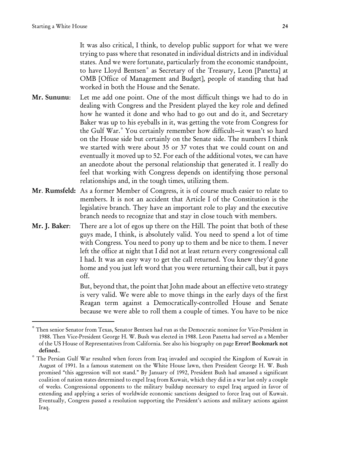It was also critical, I think, to develop public support for what we were trying to pass where that resonated in individual districts and in individual states. And we were fortunate, particularly from the economic standpoint, to have Lloyd Bentsen[\\*](#page-28-1) as Secretary of the Treasury, Leon [Panetta] at OMB [Office of Management and Budget], people of standing that had worked in both the House and the Senate.

- Mr. Sununu: Let me add one point. One of the most difficult things we had to do in dealing with Congress and the President played the key role and defined how he wanted it done and who had to go out and do it, and Secretary Baker was up to his eyeballs in it, was getting the vote from Congress for the Gulf War.[°](#page-28-2) You certainly remember how difficult—it wasn't so hard on the House side but certainly on the Senate side. The numbers I think we started with were about 35 or 37 votes that we could count on and eventually it moved up to 52. For each of the additional votes, we can have an anecdote about the personal relationship that generated it. I really do feel that working with Congress depends on identifying those personal relationships and, in the tough times, utilizing them.
- Mr. Rumsfeld: As a former Member of Congress, it is of course much easier to relate to members. It is not an accident that Article I of the Constitution is the legislative branch. They have an important role to play and the executive branch needs to recognize that and stay in close touch with members.
- Mr. J. Baker: There are a lot of egos up there on the Hill. The point that both of these guys made, I think, is absolutely valid. You need to spend a lot of time with Congress. You need to pony up to them and be nice to them. I never left the office at night that I did not at least return every congressional call I had. It was an easy way to get the call returned. You knew they'd gone home and you just left word that you were returning their call, but it pays off.

But, beyond that, the point that John made about an effective veto strategy is very valid. We were able to move things in the early days of the first Reagan term against a Democratically-controlled House and Senate because we were able to roll them a couple of times. You have to be nice

Then senior Senator from Texas, Senator Bentsen had run as the Democratic nominee for Vice-President in 1988. Then Vice-President George H. W. Bush was elected in 1988. Leon Panetta had served as a Member of the US House of Representatives from California. See also his biography on page [Error! Bookmark not](#page-10-0)  [defined.](#page-10-0).

<span id="page-27-0"></span>The Persian Gulf War resulted when forces from Iraq invaded and occupied the Kingdom of Kuwait in August of 1991. In a famous statement on the White House lawn, then President George H. W. Bush promised "this aggression will not stand." By January of 1992, President Bush had amassed a significant coalition of nation states determined to expel Iraq from Kuwait, which they did in a war last only a couple of weeks. Congressional opponents to the military buildup necessary to expel Iraq argued in favor of extending and applying a series of worldwide economic sanctions designed to force Iraq out of Kuwait. Eventually, Congress passed a resolution supporting the President's actions and military actions against Iraq.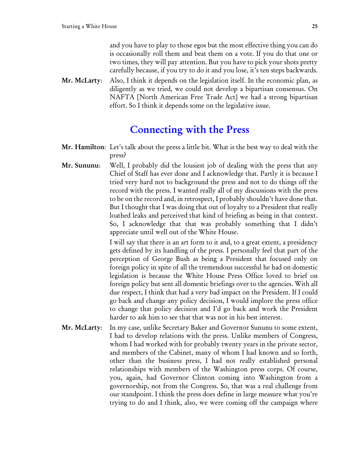and you have to play to those egos but the most effective thing you can do is occasionally roll them and beat them on a vote. If you do that one or two times, they will pay attention. But you have to pick your shots pretty carefully because, if you try to do it and you lose, it's ten steps backwards.

<span id="page-28-0"></span>Mr. McLarty: Also, I think it depends on the legislation itself. In the economic plan, as diligently as we tried, we could not develop a bipartisan consensus. On NAFTA [North American Free Trade Act] we had a strong bipartisan effort. So I think it depends some on the legislative issue.

### Connecting with the Press

- Mr. Hamilton: Let's talk about the press a little bit. What is the best way to deal with the press?
- Mr. Sununu: Well, I probably did the lousiest job of dealing with the press that any Chief of Staff has ever done and I acknowledge that. Partly it is because I tried very hard not to background the press and not to do things off the record with the press. I wanted really all of my discussions with the press to be on the record and, in retrospect, I probably shouldn't have done that. But I thought that I was doing that out of loyalty to a President that really loathed leaks and perceived that kind of briefing as being in that context. So, I acknowledge that that was probably something that I didn't appreciate until well out of the White House.

I will say that there is an art form to it and, to a great extent, a presidency gets defined by its handling of the press. I personally feel that part of the perception of George Bush as being a President that focused only on foreign policy in spite of all the tremendous successful he had on domestic legislation is because the White House Press Office loved to brief on foreign policy but sent all domestic briefings over to the agencies. With all due respect, I think that had a very bad impact on the President. If I could go back and change any policy decision, I would implore the press office to change that policy decision and I'd go back and work the President harder to ask him to see that that was not in his best interest.

<span id="page-28-2"></span><span id="page-28-1"></span>Mr. McLarty: In my case, unlike Secretary Baker and Governor Sununu to some extent, I had to develop relations with the press. Unlike members of Congress, whom I had worked with for probably twenty years in the private sector, and members of the Cabinet, many of whom I had known and so forth, other than the business press, I had not really established personal relationships with members of the Washington press corps. Of course, you, again, had Governor Clinton coming into Washington from a governorship, not from the Congress. So, that was a real challenge from our standpoint. I think the press does define in large measure what you're trying to do and I think, also, we were coming off the campaign where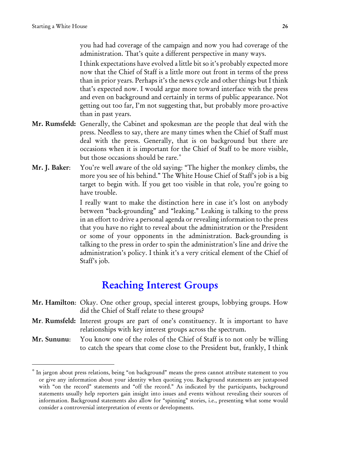you had had coverage of the campaign and now you had coverage of the administration. That's quite a different perspective in many ways.

I think expectations have evolved a little bit so it's probably expected more now that the Chief of Staff is a little more out front in terms of the press than in prior years. Perhaps it's the news cycle and other things but I think that's expected now. I would argue more toward interface with the press and even on background and certainly in terms of public appearance. Not getting out too far, I'm not suggesting that, but probably more pro-active than in past years.

- Mr. Rumsfeld: Generally, the Cabinet and spokesman are the people that deal with the press. Needless to say, there are many times when the Chief of Staff must deal with the press. Generally, that is on background but there are occasions when it is important for the Chief of Staff to be more visible, but those occasions should be rare.[\\*](#page-31-1)
- Mr. J. Baker: You're well aware of the old saying: "The higher the monkey climbs, the more you see of his behind." The White House Chief of Staff's job is a big target to begin with. If you get too visible in that role, you're going to have trouble.

I really want to make the distinction here in case it's lost on anybody between "back-grounding" and "leaking." Leaking is talking to the press in an effort to drive a personal agenda or revealing information to the press that you have no right to reveal about the administration or the President or some of your opponents in the administration. Back-grounding is talking to the press in order to spin the administration's line and drive the administration's policy. I think it's a very critical element of the Chief of Staff's job.

## Reaching Interest Groups

- <span id="page-29-0"></span>Mr. Hamilton: Okay. One other group, special interest groups, lobbying groups. How did the Chief of Staff relate to these groups?
- Mr. Rumsfeld: Interest groups are part of one's constituency. It is important to have relationships with key interest groups across the spectrum.
- Mr. Sununu: You know one of the roles of the Chief of Staff is to not only be willing to catch the spears that come close to the President but, frankly, I think

In jargon about press relations, being "on background" means the press cannot attribute statement to you or give any information about your identity when quoting you. Background statements are juxtaposed with "on the record" statements and "off the record." As indicated by the participants, background statements usually help reporters gain insight into issues and events without revealing their sources of information. Background statements also allow for "spinning" stories, i.e., presenting what some would consider a controversial interpretation of events or developments.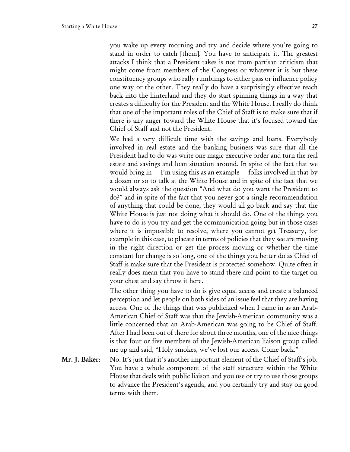you wake up every morning and try and decide where you're going to stand in order to catch [them]. You have to anticipate it. The greatest attacks I think that a President takes is not from partisan criticism that might come from members of the Congress or whatever it is but these constituency groups who rally rumblings to either pass or influence policy one way or the other. They really do have a surprisingly effective reach back into the hinterland and they do start spinning things in a way that creates a difficulty for the President and the White House. I really do think that one of the important roles of the Chief of Staff is to make sure that if there is any anger toward the White House that it's focused toward the Chief of Staff and not the President.

We had a very difficult time with the savings and loans. Everybody involved in real estate and the banking business was sure that all the President had to do was write one magic executive order and turn the real estate and savings and loan situation around. In spite of the fact that we would bring in — I'm using this as an example — folks involved in that by a dozen or so to talk at the White House and in spite of the fact that we would always ask the question "And what do you want the President to do?" and in spite of the fact that you never got a single recommendation of anything that could be done, they would all go back and say that the White House is just not doing what it should do. One of the things you have to do is you try and get the communication going but in those cases where it is impossible to resolve, where you cannot get Treasury, for example in this case, to placate in terms of policies that they see are moving in the right direction or get the process moving or whether the time constant for change is so long, one of the things you better do as Chief of Staff is make sure that the President is protected somehow. Quite often it really does mean that you have to stand there and point to the target on your chest and say throw it here.

The other thing you have to do is give equal access and create a balanced perception and let people on both sides of an issue feel that they are having access. One of the things that was publicized when I came in as an Arab-American Chief of Staff was that the Jewish-American community was a little concerned that an Arab-American was going to be Chief of Staff. After I had been out of there for about three months, one of the nice things is that four or five members of the Jewish-American liaison group called me up and said, "Holy smokes, we've lost our access. Come back."

Mr. J. Baker: No. It's just that it's another important element of the Chief of Staff's job. You have a whole component of the staff structure within the White House that deals with public liaison and you use or try to use those groups to advance the President's agenda, and you certainly try and stay on good terms with them.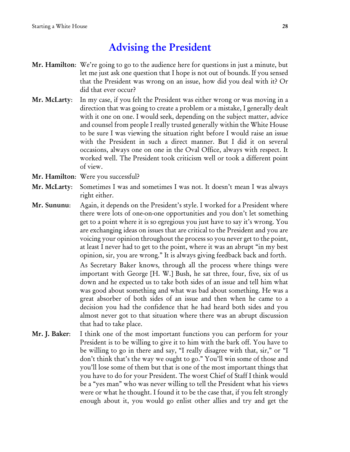# Advising the President

- <span id="page-31-0"></span>Mr. Hamilton: We're going to go to the audience here for questions in just a minute, but let me just ask one question that I hope is not out of bounds. If you sensed that the President was wrong on an issue, how did you deal with it? Or did that ever occur?
- Mr. McLarty: In my case, if you felt the President was either wrong or was moving in a direction that was going to create a problem or a mistake, I generally dealt with it one on one. I would seek, depending on the subject matter, advice and counsel from people I really trusted generally within the White House to be sure I was viewing the situation right before I would raise an issue with the President in such a direct manner. But I did it on several occasions, always one on one in the Oval Office, always with respect. It worked well. The President took criticism well or took a different point of view.
- Mr. Hamilton: Were you successful?
- Mr. McLarty: Sometimes I was and sometimes I was not. It doesn't mean I was always right either.
- Mr. Sununu: Again, it depends on the President's style. I worked for a President where there were lots of one-on-one opportunities and you don't let something get to a point where it is so egregious you just have to say it's wrong. You are exchanging ideas on issues that are critical to the President and you are voicing your opinion throughout the process so you never get to the point, at least I never had to get to the point, where it was an abrupt "in my best opinion, sir, you are wrong." It is always giving feedback back and forth. As Secretary Baker knows, through all the process where things were important with George [H. W.] Bush, he sat three, four, five, six of us down and he expected us to take both sides of an issue and tell him what was good about something and what was bad about something. He was a great absorber of both sides of an issue and then when he came to a decision you had the confidence that he had heard both sides and you almost never got to that situation where there was an abrupt discussion that had to take place.
- <span id="page-31-1"></span>Mr. J. Baker: I think one of the most important functions you can perform for your President is to be willing to give it to him with the bark off. You have to be willing to go in there and say, "I really disagree with that, sir," or "I don't think that's the way we ought to go." You'll win some of those and you'll lose some of them but that is one of the most important things that you have to do for your President. The worst Chief of Staff I think would be a "yes man" who was never willing to tell the President what his views were or what he thought. I found it to be the case that, if you felt strongly enough about it, you would go enlist other allies and try and get the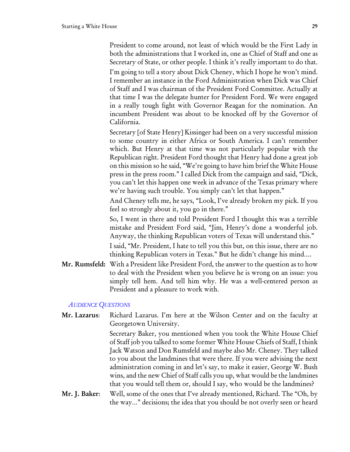President to come around, not least of which would be the First Lady in both the administrations that I worked in, one as Chief of Staff and one as Secretary of State, or other people. I think it's really important to do that.

I'm going to tell a story about Dick Cheney, which I hope he won't mind. I remember an instance in the Ford Administration when Dick was Chief of Staff and I was chairman of the President Ford Committee. Actually at that time I was the delegate hunter for President Ford. We were engaged in a really tough fight with Governor Reagan for the nomination. An incumbent President was about to be knocked off by the Governor of California.

Secretary [of State Henry] Kissinger had been on a very successful mission to some country in either Africa or South America. I can't remember which. But Henry at that time was not particularly popular with the Republican right. President Ford thought that Henry had done a great job on this mission so he said, "We're going to have him brief the White House press in the press room." I called Dick from the campaign and said, "Dick, you can't let this happen one week in advance of the Texas primary where we're having such trouble. You simply can't let that happen."

And Cheney tells me, he says, "Look, I've already broken my pick. If you feel so strongly about it, you go in there."

So, I went in there and told President Ford I thought this was a terrible mistake and President Ford said, "Jim, Henry's done a wonderful job. Anyway, the thinking Republican voters of Texas will understand this."

I said, "Mr. President, I hate to tell you this but, on this issue, there are no thinking Republican voters in Texas." But he didn't change his mind….

Mr. Rumsfeld: With a President like President Ford, the answer to the question as to how to deal with the President when you believe he is wrong on an issue: you simply tell hem. And tell him why. He was a well-centered person as President and a pleasure to work with.

#### *AUDIENCE QUESTIONS*

Mr. Lazarus: Richard Lazarus. I'm here at the Wilson Center and on the faculty at Georgetown University. Secretary Baker, you mentioned when you took the White House Chief of Staff job you talked to some former White House Chiefs of Staff, I think Jack Watson and Don Rumsfeld and maybe also Mr. Cheney. They talked to you about the landmines that were there. If you were advising the next administration coming in and let's say, to make it easier, George W. Bush wins, and the new Chief of Staff calls you up, what would be the landmines that you would tell them or, should I say, who would be the landmines? Mr. J. Baker: Well, some of the ones that I've already mentioned, Richard. The "Oh, by the way…" decisions; the idea that you should be not overly seen or heard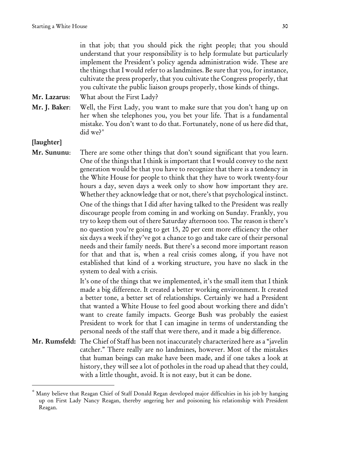in that job; that you should pick the right people; that you should understand that your responsibility is to help formulate but particularly implement the President's policy agenda administration wide. These are the things that I would refer to as landmines. Be sure that you, for instance, cultivate the press properly, that you cultivate the Congress properly, that you cultivate the public liaison groups properly, those kinds of things.

Mr. Lazarus: What about the First Lady?

Mr. J. Baker: Well, the First Lady, you want to make sure that you don't hang up on her when she telephones you, you bet your life. That is a fundamental mistake. You don't want to do that. Fortunately, none of us here did that, did we?[\\*](#page-35-0)

#### [laughter]

Mr. Sununu: There are some other things that don't sound significant that you learn. One of the things that I think is important that I would convey to the next generation would be that you have to recognize that there is a tendency in the White House for people to think that they have to work twenty-four hours a day, seven days a week only to show how important they are. Whether they acknowledge that or not, there's that psychological instinct.

> One of the things that I did after having talked to the President was really discourage people from coming in and working on Sunday. Frankly, you try to keep them out of there Saturday afternoon too. The reason is there's no question you're going to get 15, 20 per cent more efficiency the other six days a week if they've got a chance to go and take care of their personal needs and their family needs. But there's a second more important reason for that and that is, when a real crisis comes along, if you have not established that kind of a working structure, you have no slack in the system to deal with a crisis.

> It's one of the things that we implemented, it's the small item that I think made a big difference. It created a better working environment. It created a better tone, a better set of relationships. Certainly we had a President that wanted a White House to feel good about working there and didn't want to create family impacts. George Bush was probably the easiest President to work for that I can imagine in terms of understanding the personal needs of the staff that were there, and it made a big difference.

Mr. Rumsfeld: The Chief of Staff has been not inaccurately characterized here as a "javelin catcher." There really are no landmines, however. Most of the mistakes that human beings can make have been made, and if one takes a look at history, they will see a lot of potholes in the road up ahead that they could, with a little thought, avoid. It is not easy, but it can be done.

Many believe that Reagan Chief of Staff Donald Regan developed major difficulties in his job by hanging up on First Lady Nancy Reagan, thereby angering her and poisoning his relationship with President Reagan.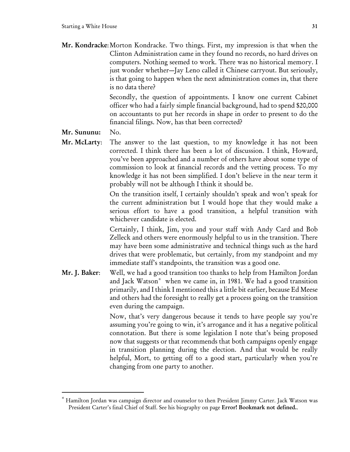Mr. Kondracke:Morton Kondracke. Two things. First, my impression is that when the Clinton Administration came in they found no records, no hard drives on computers. Nothing seemed to work. There was no historical memory. I just wonder whether—Jay Leno called it Chinese carryout. But seriously, is that going to happen when the next administration comes in, that there is no data there?

> Secondly, the question of appointments. I know one current Cabinet officer who had a fairly simple financial background, had to spend \$20,000 on accountants to put her records in shape in order to present to do the financial filings. Now, has that been corrected?

- Mr. Sununu: No.
- Mr. McLarty: The answer to the last question, to my knowledge it has not been corrected. I think there has been a lot of discussion. I think, Howard, you've been approached and a number of others have about some type of commission to look at financial records and the vetting process. To my knowledge it has not been simplified. I don't believe in the near term it probably will not be although I think it should be.

On the transition itself, I certainly shouldn't speak and won't speak for the current administration but I would hope that they would make a serious effort to have a good transition, a helpful transition with whichever candidate is elected.

Certainly, I think, Jim, you and your staff with Andy Card and Bob Zelleck and others were enormously helpful to us in the transition. There may have been some administrative and technical things such as the hard drives that were problematic, but certainly, from my standpoint and my immediate staff's standpoints, the transition was a good one.

Mr. J. Baker: Well, we had a good transition too thanks to help from Hamilton Jordan and Jack Watson[\\*](#page-37-0) when we came in, in 1981. We had a good transition primarily, and I think I mentioned this a little bit earlier, because Ed Meese and others had the foresight to really get a process going on the transition even during the campaign.

> Now, that's very dangerous because it tends to have people say you're assuming you're going to win, it's arrogance and it has a negative political connotation. But there is some legislation I note that's being proposed now that suggests or that recommends that both campaigns openly engage in transition planning during the election. And that would be really helpful, Mort, to getting off to a good start, particularly when you're changing from one party to another.

 <sup>\*</sup> Hamilton Jordan was campaign director and counselor to then President Jimmy Carter. Jack Watson was President Carter's final Chief of Staff. See his biography on page [Error! Bookmark not defined.](#page-11-0).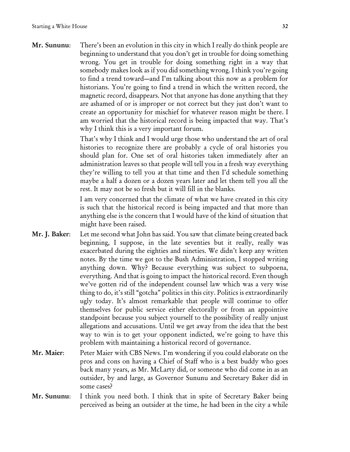Mr. Sununu: There's been an evolution in this city in which I really do think people are beginning to understand that you don't get in trouble for doing something wrong. You get in trouble for doing something right in a way that somebody makes look as if you did something wrong. I think you're going to find a trend toward—and I'm talking about this now as a problem for historians. You're going to find a trend in which the written record, the magnetic record, disappears. Not that anyone has done anything that they are ashamed of or is improper or not correct but they just don't want to create an opportunity for mischief for whatever reason might be there. I am worried that the historical record is being impacted that way. That's why I think this is a very important forum.

> That's why I think and I would urge those who understand the art of oral histories to recognize there are probably a cycle of oral histories you should plan for. One set of oral histories taken immediately after an administration leaves so that people will tell you in a fresh way everything they're willing to tell you at that time and then I'd schedule something maybe a half a dozen or a dozen years later and let them tell you all the rest. It may not be so fresh but it will fill in the blanks.

> I am very concerned that the climate of what we have created in this city is such that the historical record is being impacted and that more than anything else is the concern that I would have of the kind of situation that might have been raised.

- Mr. J. Baker: Let me second what John has said. You saw that climate being created back beginning, I suppose, in the late seventies but it really, really was exacerbated during the eighties and nineties. We didn't keep any written notes. By the time we got to the Bush Administration, I stopped writing anything down. Why? Because everything was subject to subpoena, everything. And that is going to impact the historical record. Even though we've gotten rid of the independent counsel law which was a very wise thing to do, it's still "gotcha" politics in this city. Politics is extraordinarily ugly today. It's almost remarkable that people will continue to offer themselves for public service either electorally or from an appointive standpoint because you subject yourself to the possibility of really unjust allegations and accusations. Until we get away from the idea that the best way to win is to get your opponent indicted, we're going to have this problem with maintaining a historical record of governance.
- Mr. Maier: Peter Maier with CBS News. I'm wondering if you could elaborate on the pros and cons on having a Chief of Staff who is a best buddy who goes back many years, as Mr. McLarty did, or someone who did come in as an outsider, by and large, as Governor Sununu and Secretary Baker did in some cases?
- <span id="page-35-0"></span>Mr. Sununu: I think you need both. I think that in spite of Secretary Baker being perceived as being an outsider at the time, he had been in the city a while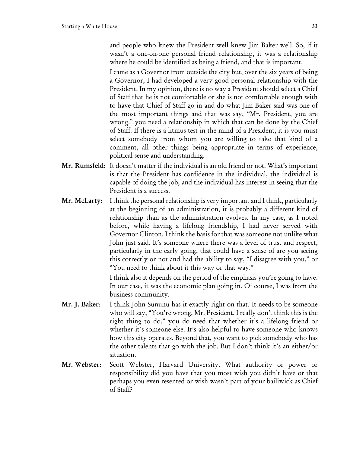and people who knew the President well knew Jim Baker well. So, if it wasn't a one-on-one personal friend relationship, it was a relationship where he could be identified as being a friend, and that is important.

I came as a Governor from outside the city but, over the six years of being a Governor, I had developed a very good personal relationship with the President. In my opinion, there is no way a President should select a Chief of Staff that he is not comfortable or she is not comfortable enough with to have that Chief of Staff go in and do what Jim Baker said was one of the most important things and that was say, "Mr. President, you are wrong." you need a relationship in which that can be done by the Chief of Staff. If there is a litmus test in the mind of a President, it is you must select somebody from whom you are willing to take that kind of a comment, all other things being appropriate in terms of experience, political sense and understanding.

- Mr. Rumsfeld: It doesn't matter if the individual is an old friend or not. What's important is that the President has confidence in the individual, the individual is capable of doing the job, and the individual has interest in seeing that the President is a success.
- Mr. McLarty: I think the personal relationship is very important and I think, particularly at the beginning of an administration, it is probably a different kind of relationship than as the administration evolves. In my case, as I noted before, while having a lifelong friendship, I had never served with Governor Clinton. I think the basis for that was someone not unlike what John just said. It's someone where there was a level of trust and respect, particularly in the early going, that could have a sense of are you seeing this correctly or not and had the ability to say, "I disagree with you," or "You need to think about it this way or that way."

I think also it depends on the period of the emphasis you're going to have. In our case, it was the economic plan going in. Of course, I was from the business community.

- Mr. J. Baker: I think John Sununu has it exactly right on that. It needs to be someone who will say, "You're wrong, Mr. President. I really don't think this is the right thing to do." you do need that whether it's a lifelong friend or whether it's someone else. It's also helpful to have someone who knows how this city operates. Beyond that, you want to pick somebody who has the other talents that go with the job. But I don't think it's an either/or situation.
- Mr. Webster: Scott Webster, Harvard University. What authority or power or responsibility did you have that you most wish you didn't have or that perhaps you even resented or wish wasn't part of your bailiwick as Chief of Staff?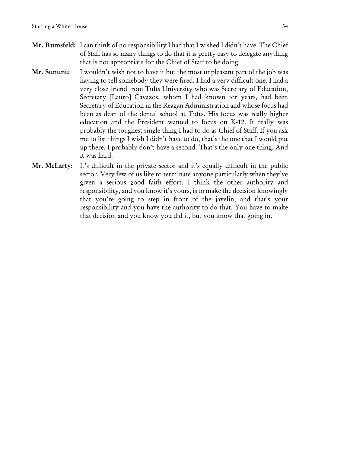- Mr. Rumsfeld: I can think of no responsibility I had that I wished I didn't have. The Chief of Staff has so many things to do that it is pretty easy to delegate anything that is not appropriate for the Chief of Staff to be doing.
- Mr. Sununu: I wouldn't wish not to have it but the most unpleasant part of the job was having to tell somebody they were fired. I had a very difficult one. I had a very close friend from Tufts University who was Secretary of Education, Secretary [Lauro] Cavazos, whom I had known for years, had been Secretary of Education in the Reagan Administration and whose focus had been as dean of the dental school at Tufts. His focus was really higher education and the President wanted to focus on K-12. It really was probably the toughest single thing I had to do as Chief of Staff. If you ask me to list things I wish I didn't have to do, that's the one that I would put up there. I probably don't have a second. That's the only one thing. And it was hard.
- Mr. McLarty: It's difficult in the private sector and it's equally difficult in the public sector. Very few of us like to terminate anyone particularly when they've given a serious good faith effort. I think the other authority and responsibility, and you know it's yours, is to make the decision knowingly that you're going to step in front of the javelin, and that's your responsibility and you have the authority to do that. You have to make that decision and you know you did it, but you know that going in.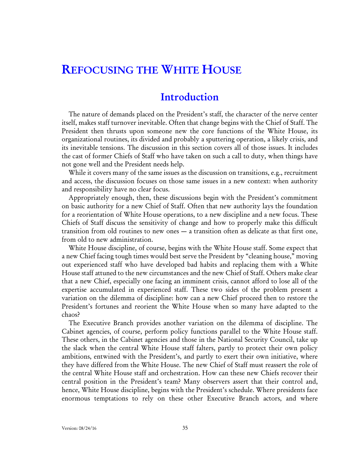# REFOCUSING THE WHITE HOUSE

### Introduction

The nature of demands placed on the President's staff, the character of the nerve center itself, makes staff turnover inevitable. Often that change begins with the Chief of Staff. The President then thrusts upon someone new the core functions of the White House, its organizational routines, its divided and probably a sputtering operation, a likely crisis, and its inevitable tensions. The discussion in this section covers all of those issues. It includes the cast of former Chiefs of Staff who have taken on such a call to duty, when things have not gone well and the President needs help.

While it covers many of the same issues as the discussion on transitions, e.g., recruitment and access, the discussion focuses on those same issues in a new context: when authority and responsibility have no clear focus.

Appropriately enough, then, these discussions begin with the President's commitment on basic authority for a new Chief of Staff. Often that new authority lays the foundation for a reorientation of White House operations, to a new discipline and a new focus. These Chiefs of Staff discuss the sensitivity of change and how to properly make this difficult transition from old routines to new ones — a transition often as delicate as that first one, from old to new administration.

White House discipline, of course, begins with the White House staff. Some expect that a new Chief facing tough times would best serve the President by "cleaning house," moving out experienced staff who have developed bad habits and replacing them with a White House staff attuned to the new circumstances and the new Chief of Staff. Others make clear that a new Chief, especially one facing an imminent crisis, cannot afford to lose all of the expertise accumulated in experienced staff. These two sides of the problem present a variation on the dilemma of discipline: how can a new Chief proceed then to restore the President's fortunes and reorient the White House when so many have adapted to the chaos?

The Executive Branch provides another variation on the dilemma of discipline. The Cabinet agencies, of course, perform policy functions parallel to the White House staff. These others, in the Cabinet agencies and those in the National Security Council, take up the slack when the central White House staff falters, partly to protect their own policy ambitions, entwined with the President's, and partly to exert their own initiative, where they have differed from the White House. The new Chief of Staff must reassert the role of the central White House staff and orchestration. How can these new Chiefs recover their central position in the President's team? Many observers assert that their control and, hence, White House discipline, begins with the President's schedule. Where presidents face enormous temptations to rely on these other Executive Branch actors, and where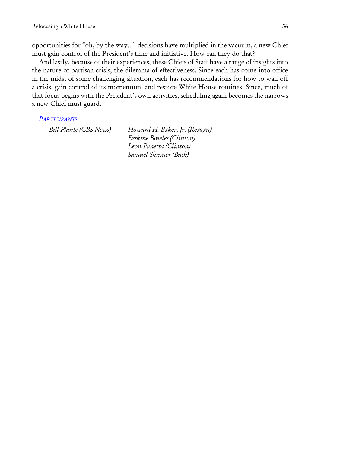opportunities for "oh, by the way…" decisions have multiplied in the vacuum, a new Chief must gain control of the President's time and initiative. How can they do that?

And lastly, because of their experiences, these Chiefs of Staff have a range of insights into the nature of partisan crisis, the dilemma of effectiveness. Since each has come into office in the midst of some challenging situation, each has recommendations for how to wall off a crisis, gain control of its momentum, and restore White House routines. Since, much of that focus begins with the President's own activities, scheduling again becomes the narrows a new Chief must guard.

#### *PARTICIPANTS*

*Bill Plante (CBS News) Howard H. Baker, Jr. (Reagan) Erskine Bowles (Clinton) Leon Panetta (Clinton) Samuel Skinner (Bush)*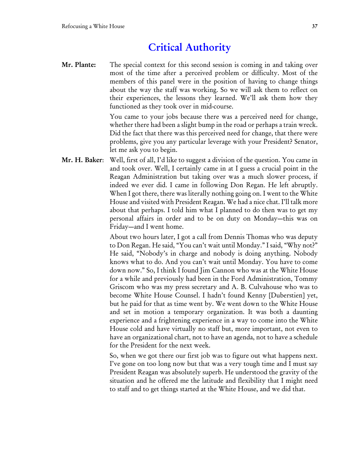# Critical Authority

Mr. Plante: The special context for this second session is coming in and taking over most of the time after a perceived problem or difficulty. Most of the members of this panel were in the position of having to change things about the way the staff was working. So we will ask them to reflect on their experiences, the lessons they learned. We'll ask them how they functioned as they took over in mid-course.

> You came to your jobs because there was a perceived need for change, whether there had been a slight bump in the road or perhaps a train wreck. Did the fact that there was this perceived need for change, that there were problems, give you any particular leverage with your President? Senator, let me ask you to begin.

Mr. H. Baker: Well, first of all, I'd like to suggest a division of the question. You came in and took over. Well, I certainly came in at I guess a crucial point in the Reagan Administration but taking over was a much slower process, if indeed we ever did. I came in following Don Regan. He left abruptly. When I got there, there was literally nothing going on. I went to the White House and visited with President Reagan. We had a nice chat. I'll talk more about that perhaps. I told him what I planned to do then was to get my personal affairs in order and to be on duty on Monday—this was on Friday—and I went home.

> About two hours later, I got a call from Dennis Thomas who was deputy to Don Regan. He said, "You can't wait until Monday." I said, "Why not?" He said, "Nobody's in charge and nobody is doing anything. Nobody knows what to do. And you can't wait until Monday. You have to come down now." So, I think I found Jim Cannon who was at the White House for a while and previously had been in the Ford Administration, Tommy Griscom who was my press secretary and A. B. Culvahouse who was to become White House Counsel. I hadn't found Kenny [Duberstien] yet, but he paid for that as time went by. We went down to the White House and set in motion a temporary organization. It was both a daunting experience and a frightening experience in a way to come into the White House cold and have virtually no staff but, more important, not even to have an organizational chart, not to have an agenda, not to have a schedule for the President for the next week.

> So, when we got there our first job was to figure out what happens next. I've gone on too long now but that was a very tough time and I must say President Reagan was absolutely superb. He understood the gravity of the situation and he offered me the latitude and flexibility that I might need to staff and to get things started at the White House, and we did that.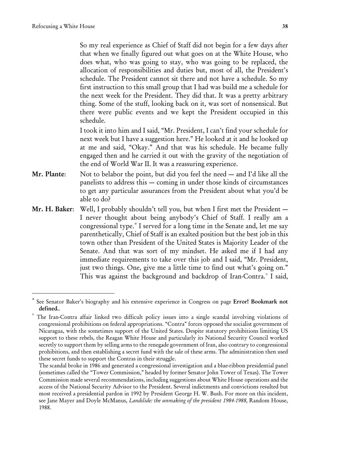So my real experience as Chief of Staff did not begin for a few days after that when we finally figured out what goes on at the White House, who does what, who was going to stay, who was going to be replaced, the allocation of responsibilities and duties but, most of all, the President's schedule. The President cannot sit there and not have a schedule. So my first instruction to this small group that I had was build me a schedule for the next week for the President. They did that. It was a pretty arbitrary thing. Some of the stuff, looking back on it, was sort of nonsensical. But there were public events and we kept the President occupied in this schedule.

I took it into him and I said, "Mr. President, I can't find your schedule for next week but I have a suggestion here." He looked at it and he looked up at me and said, "Okay." And that was his schedule. He became fully engaged then and he carried it out with the gravity of the negotiation of the end of World War II. It was a reassuring experience.

- Mr. Plante: Not to belabor the point, but did you feel the need and I'd like all the panelists to address this — coming in under those kinds of circumstances to get any particular assurances from the President about what you'd be able to do?
- Mr. H. Baker: Well, I probably shouldn't tell you, but when I first met the President I never thought about being anybody's Chief of Staff. I really am a congressional type.[\\*](#page-45-0) I served for a long time in the Senate and, let me say parenthetically, Chief of Staff is an exalted position but the best job in this town other than President of the United States is Majority Leader of the Senate. And that was sort of my mindset. He asked me if I had any immediate requirements to take over this job and I said, "Mr. President, just two things. One, give me a little time to find out what's going on." This was against the background and backdrop of Iran-Contra.[°](#page-45-1) I said,

See Senator Baker's biography and his extensive experience in Congress on page Error! Bookmark not [defined.](#page-8-0).

<sup>°</sup> The Iran-Contra affair linked two difficult policy issues into a single scandal involving violations of congressional prohibitions on federal appropriations. "Contra" forces opposed the socialist government of Nicaragua, with the sometimes support of the United States. Despite statutory prohibitions limiting US support to these rebels, the Reagan White House and particularly its National Security Council worked secretly to support them by selling arms to the renegade government of Iran, also contrary to congressional prohibitions, and then establishing a secret fund with the sale of these arms. The administration then used these secret funds to support the Contras in their struggle.

The scandal broke in 1986 and generated a congressional investigation and a blue-ribbon presidential panel (sometimes called the "Tower Commission," headed by former Senator John Tower of Texas). The Tower Commission made several recommendations, including suggestions about White House operations and the access of the National Security Advisor to the President. Several indictments and convictions resulted but most received a presidential pardon in 1992 by President George H. W. Bush. For more on this incident, see Jane Mayer and Doyle McManus, *Landslide: the unmaking of the president 1984-1988,* Random House, 1988.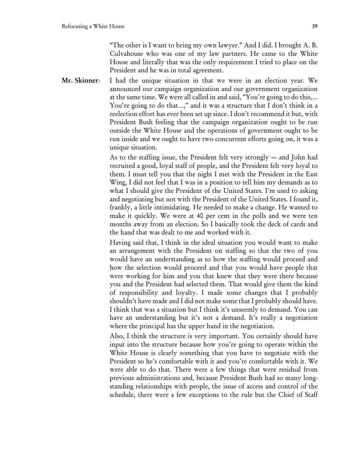"The other is I want to bring my own lawyer." And I did. I brought A. B. Culvahouse who was one of my law partners. He came to the White House and literally that was the only requirement I tried to place on the President and he was in total agreement.

Mr. Skinner: I had the unique situation in that we were in an election year. We announced our campaign organization and our government organization at the same time. We were all called in and said, "You're going to do this,… You're going to do that…," and it was a structure that I don't think in a reelection effort has ever been set up since. I don't recommend it but, with President Bush feeling that the campaign organization ought to be run outside the White House and the operations of government ought to be run inside and we ought to have two concurrent efforts going on, it was a unique situation.

> As to the staffing issue, the President felt very strongly — and John had recruited a good, loyal staff of people, and the President felt very loyal to them. I must tell you that the night I met with the President in the East Wing, I did not feel that I was in a position to tell him my demands as to what I should give the President of the United States. I'm used to asking and negotiating but not with the President of the United States. I found it, frankly, a little intimidating. He needed to make a change. He wanted to make it quickly. We were at 40 per cent in the polls and we were ten months away from an election. So I basically took the deck of cards and the hand that was dealt to me and worked with it.

> Having said that, I think in the ideal situation you would want to make an arrangement with the President on staffing so that the two of you would have an understanding as to how the staffing would proceed and how the selection would proceed and that you would have people that were working for him and you that knew that they were there because you and the President had selected them. That would give them the kind of responsibility and loyalty. I made some changes that I probably shouldn't have made and I did not make some that I probably should have. I think that was a situation but I think it's unseemly to demand. You can have an understanding but it's not a demand. It's really a negotiation where the principal has the upper hand in the negotiation.

> Also, I think the structure is very important. You certainly should have input into the structure because how you're going to operate within the White House is clearly something that you have to negotiate with the President so he's comfortable with it and you're comfortable with it. We were able to do that. There were a few things that were residual from previous administrations and, because President Bush had so many longstanding relationships with people, the issue of access and control of the schedule, there were a few exceptions to the rule but the Chief of Staff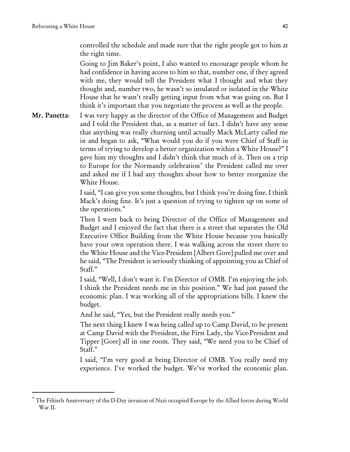controlled the schedule and made sure that the right people got to him at the right time.

Going to Jim Baker's point, I also wanted to encourage people whom he had confidence in having access to him so that, number one, if they agreed with me, they would tell the President what I thought and what they thought and, number two, he wasn't so insulated or isolated in the White House that he wasn't really getting input from what was going on. But I think it's important that you negotiate the process as well as the people.

Mr. Panetta: I was very happy as the director of the Office of Management and Budget and I told the President that, as a matter of fact. I didn't have any sense that anything was really churning until actually Mack McLarty called me in and began to ask, "What would you do if you were Chief of Staff in terms of trying to develop a better organization within a White House?" I gave him my thoughts and I didn't think that much of it. Then on a trip to Europe for the Normandy celebration[\\*](#page-47-0) the President called me over and asked me if I had any thoughts about how to better reorganize the White House.

> I said, "I can give you some thoughts, but I think you're doing fine. I think Mack's doing fine. It's just a question of trying to tighten up on some of the operations."

> Then I went back to being Director of the Office of Management and Budget and I enjoyed the fact that there is a street that separates the Old Executive Office Building from the White House because you basically have your own operation there. I was walking across the street there to the White House and the Vice-President [Albert Gore] pulled me over and he said, "The President is seriously thinking of appointing you as Chief of Staff."

> I said, "Well, I don't want it. I'm Director of OMB. I'm enjoying the job. I think the President needs me in this position." We had just passed the economic plan. I was working all of the appropriations bills. I knew the budget.

And he said, "Yes, but the President really needs you."

The next thing I knew I was being called up to Camp David, to be present at Camp David with the President, the First Lady, the Vice-President and Tipper [Gore] all in one room. They said, "We need you to be Chief of Staff."

I said, "I'm very good at being Director of OMB. You really need my experience. I've worked the budget. We've worked the economic plan.

 <sup>\*</sup> The Fiftieth Anniversary of the D-Day invasion of Nazi occupied Europe by the Allied forces during World War II.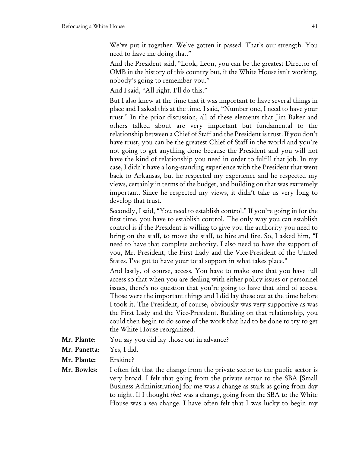We've put it together. We've gotten it passed. That's our strength. You need to have me doing that."

And the President said, "Look, Leon, you can be the greatest Director of OMB in the history of this country but, if the White House isn't working, nobody's going to remember you."

And I said, "All right. I'll do this."

But I also knew at the time that it was important to have several things in place and I asked this at the time. I said, "Number one, I need to have your trust." In the prior discussion, all of these elements that Jim Baker and others talked about are very important but fundamental to the relationship between a Chief of Staff and the President is trust. If you don't have trust, you can be the greatest Chief of Staff in the world and you're not going to get anything done because the President and you will not have the kind of relationship you need in order to fulfill that job. In my case, I didn't have a long-standing experience with the President that went back to Arkansas, but he respected my experience and he respected my views, certainly in terms of the budget, and building on that was extremely important. Since he respected my views, it didn't take us very long to develop that trust.

Secondly, I said, "You need to establish control." If you're going in for the first time, you have to establish control. The only way you can establish control is if the President is willing to give you the authority you need to bring on the staff, to move the staff, to hire and fire. So, I asked him, "I need to have that complete authority. I also need to have the support of you, Mr. President, the First Lady and the Vice-President of the United States. I've got to have your total support in what takes place."

And lastly, of course, access. You have to make sure that you have full access so that when you are dealing with either policy issues or personnel issues, there's no question that you're going to have that kind of access. Those were the important things and I did lay these out at the time before I took it. The President, of course, obviously was very supportive as was the First Lady and the Vice-President. Building on that relationship, you could then begin to do some of the work that had to be done to try to get the White House reorganized.

- Mr. Plante: You say you did lay those out in advance?
- Mr. Panetta: Yes, I did.
- Mr. Plante: Erskine?
- Mr. Bowles: I often felt that the change from the private sector to the public sector is very broad. I felt that going from the private sector to the SBA [Small Business Administration] for me was a change as stark as going from day to night. If I thought *that* was a change, going from the SBA to the White House was a sea change. I have often felt that I was lucky to begin my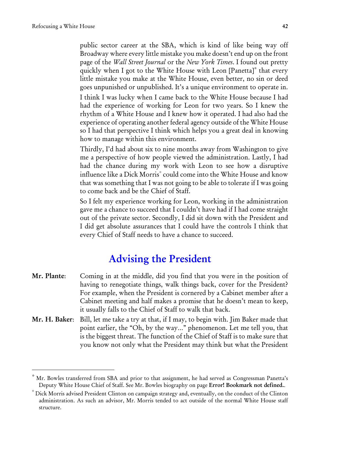public sector career at the SBA, which is kind of like being way off Broadway where every little mistake you make doesn't end up on the front page of the *Wall Street Journal* or the *New York Times*. I found out pretty quickly when I got to the White House with Leon [Panetta][\\*](#page-49-0) that every little mistake you make at the White House, even better, no sin or deed goes unpunished or unpublished. It's a unique environment to operate in. I think I was lucky when I came back to the White House because I had had the experience of working for Leon for two years. So I knew the rhythm of a White House and I knew how it operated. I had also had the experience of operating another federal agency outside of the White House so I had that perspective I think which helps you a great deal in knowing how to manage within this environment.

Thirdly, I'd had about six to nine months away from Washington to give me a perspective of how people viewed the administration. Lastly, I had had the chance during my work with Leon to see how a disruptive influence like a Dick Morris[°](#page-50-0) could come into the White House and know that was something that I was not going to be able to tolerate if I was going to come back and be the Chief of Staff.

So I felt my experience working for Leon, working in the administration gave me a chance to succeed that I couldn't have had if I had come straight out of the private sector. Secondly, I did sit down with the President and I did get absolute assurances that I could have the controls I think that every Chief of Staff needs to have a chance to succeed.

## Advising the President

- Mr. Plante: Coming in at the middle, did you find that you were in the position of having to renegotiate things, walk things back, cover for the President? For example, when the President is cornered by a Cabinet member after a Cabinet meeting and half makes a promise that he doesn't mean to keep, it usually falls to the Chief of Staff to walk that back.
- <span id="page-45-1"></span><span id="page-45-0"></span>Mr. H. Baker: Bill, let me take a try at that, if I may, to begin with. Jim Baker made that point earlier, the "Oh, by the way…" phenomenon. Let me tell you, that is the biggest threat. The function of the Chief of Staff is to make sure that you know not only what the President may think but what the President

Mr. Bowles transferred from SBA and prior to that assignment, he had served as Congressman Panetta's Deputy White House Chief of Staff. See Mr. Bowles biography on page [Error! Bookmark not defined.](#page-8-1).

<sup>°</sup> Dick Morris advised President Clinton on campaign strategy and, eventually, on the conduct of the Clinton administration. As such an advisor, Mr. Morris tended to act outside of the normal White House staff structure.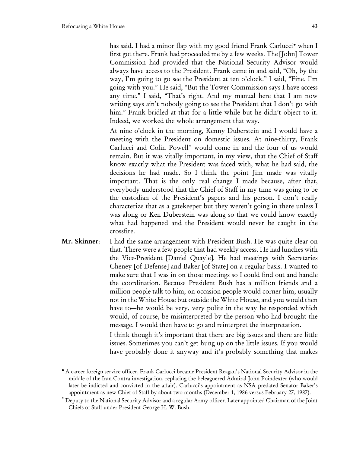$\overline{a}$ 

has said. I had a minor flap with my good friend Frank Carlucci[•](#page-50-1) when I first got there. Frank had proceeded me by a few weeks. The [John] Tower Commission had provided that the National Security Advisor would always have access to the President. Frank came in and said, "Oh, by the way, I'm going to go see the President at ten o'clock." I said, "Fine. I'm going with you." He said, "But the Tower Commission says I have access any time." I said, "That's right. And my manual here that I am now writing says ain't nobody going to see the President that I don't go with him." Frank bridled at that for a little while but he didn't object to it. Indeed, we worked the whole arrangement that way.

At nine o'clock in the morning, Kenny Duberstein and I would have a meeting with the President on domestic issues. At nine-thirty, Frank Carlucci and Colin Powell[\\*](#page-51-0) would come in and the four of us would remain. But it was vitally important, in my view, that the Chief of Staff know exactly what the President was faced with, what he had said, the decisions he had made. So I think the point Jim made was vitally important. That is the only real change I made because, after that, everybody understood that the Chief of Staff in my time was going to be the custodian of the President's papers and his person. I don't really characterize that as a gatekeeper but they weren't going in there unless I was along or Ken Duberstein was along so that we could know exactly what had happened and the President would never be caught in the crossfire.

Mr. Skinner: I had the same arrangement with President Bush. He was quite clear on that. There were a few people that had weekly access. He had lunches with the Vice-President [Daniel Quayle]. He had meetings with Secretaries Cheney [of Defense] and Baker [of State] on a regular basis. I wanted to make sure that I was in on those meetings so I could find out and handle the coordination. Because President Bush has a million friends and a million people talk to him, on occasion people would corner him, usually not in the White House but outside the White House, and you would then have to—he would be very, very polite in the way he responded which would, of course, be misinterpreted by the person who had brought the message. I would then have to go and reinterpret the interpretation.

I think though it's important that there are big issues and there are little issues. Sometimes you can't get hung up on the little issues. If you would have probably done it anyway and it's probably something that makes

<sup>•</sup> A career foreign service officer, Frank Carlucci became President Reagan's National Security Advisor in the middle of the Iran-Contra investigation, replacing the beleaguered Admiral John Poindexter (who would later be indicted and convicted in the affair). Carlucci's appointment as NSA predated Senator Baker's appointment as new Chief of Staff by about two months (December 1, 1986 versus February 27, 1987).

<sup>\*</sup> Deputy to the National Security Advisor and a regular Army officer. Later appointed Chairman of the Joint Chiefs of Staff under President George H. W. Bush.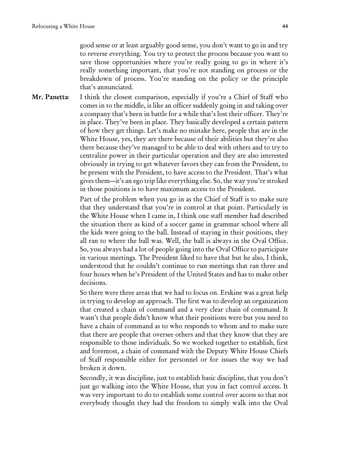good sense or at least arguably good sense, you don't want to go in and try to reverse everything. You try to protect the process because you want to save those opportunities where you're really going to go in where it's really something important, that you're not standing on process or the breakdown of process. You're standing on the policy or the principle that's annunciated.

Mr. Panetta: I think the closest comparison, especially if you're a Chief of Staff who comes in to the middle, is like an officer suddenly going in and taking over a company that's been in battle for a while that's lost their officer. They're in place. They've been in place. They basically developed a certain pattern of how they get things. Let's make no mistake here, people that are in the White House, yes, they are there because of their abilities but they're also there because they've managed to be able to deal with others and to try to centralize power in their particular operation and they are also interested obviously in trying to get whatever favors they can from the President, to be present with the President, to have access to the President. That's what gives them—it's an ego trip like everything else. So, the way you're stroked in those positions is to have maximum access to the President.

> Part of the problem when you go in as the Chief of Staff is to make sure that they understand that you're in control at that point. Particularly in the White House when I came in, I think one staff member had described the situation there as kind of a soccer game in grammar school where all the kids were going to the ball. Instead of staying in their positions, they all ran to where the ball was. Well, the ball is always in the Oval Office. So, you always had a lot of people going into the Oval Office to participate in various meetings. The President liked to have that but he also, I think, understood that he couldn't continue to run meetings that ran three and four hours when he's President of the United States and has to make other decisions.

> So there were three areas that we had to focus on. Erskine was a great help in trying to develop an approach. The first was to develop an organization that created a chain of command and a very clear chain of command. It wasn't that people didn't know what their positions were but you need to have a chain of command as to who responds to whom and to make sure that there are people that oversee others and that they know that they are responsible to those individuals. So we worked together to establish, first and foremost, a chain of command with the Deputy White House Chiefs of Staff responsible either for personnel or for issues the way we had broken it down.

> <span id="page-47-0"></span>Secondly, it was discipline, just to establish basic discipline, that you don't just go walking into the White House, that you in fact control access. It was very important to do to establish some control over access so that not everybody thought they had the freedom to simply walk into the Oval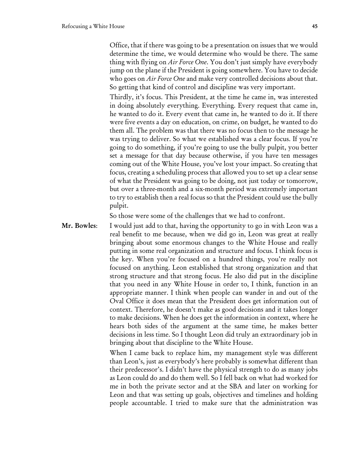Office, that if there was going to be a presentation on issues that we would determine the time, we would determine who would be there. The same thing with flying on *Air Force One*. You don't just simply have everybody jump on the plane if the President is going somewhere. You have to decide who goes on *Air Force One* and make very controlled decisions about that. So getting that kind of control and discipline was very important.

Thirdly, it's focus. This President, at the time he came in, was interested in doing absolutely everything. Everything. Every request that came in, he wanted to do it. Every event that came in, he wanted to do it. If there were five events a day on education, on crime, on budget, he wanted to do them all. The problem was that there was no focus then to the message he was trying to deliver. So what we established was a clear focus. If you're going to do something, if you're going to use the bully pulpit, you better set a message for that day because otherwise, if you have ten messages coming out of the White House, you've lost your impact. So creating that focus, creating a scheduling process that allowed you to set up a clear sense of what the President was going to be doing, not just today or tomorrow, but over a three-month and a six-month period was extremely important to try to establish then a real focus so that the President could use the bully pulpit.

So those were some of the challenges that we had to confront.

Mr. Bowles: I would just add to that, having the opportunity to go in with Leon was a real benefit to me because, when we did go in, Leon was great at really bringing about some enormous changes to the White House and really putting in some real organization and structure and focus. I think focus is the key. When you're focused on a hundred things, you're really not focused on anything. Leon established that strong organization and that strong structure and that strong focus. He also did put in the discipline that you need in any White House in order to, I think, function in an appropriate manner. I think when people can wander in and out of the Oval Office it does mean that the President does get information out of context. Therefore, he doesn't make as good decisions and it takes longer to make decisions. When he does get the information in context, where he hears both sides of the argument at the same time, he makes better decisions in less time. So I thought Leon did truly an extraordinary job in bringing about that discipline to the White House.

> When I came back to replace him, my management style was different than Leon's, just as everybody's here probably is somewhat different than their predecessor's. I didn't have the physical strength to do as many jobs as Leon could do and do them well. So I fell back on what had worked for me in both the private sector and at the SBA and later on working for Leon and that was setting up goals, objectives and timelines and holding people accountable. I tried to make sure that the administration was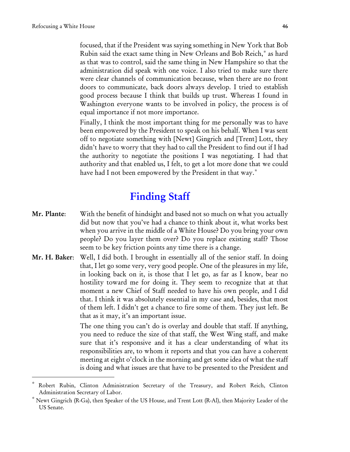focused, that if the President was saying something in New York that Bob Rubin said the exact same thing in New Orleans and Bob Reich,[\\*](#page-54-0) as hard as that was to control, said the same thing in New Hampshire so that the administration did speak with one voice. I also tried to make sure there were clear channels of communication because, when there are no front doors to communicate, back doors always develop. I tried to establish good process because I think that builds up trust. Whereas I found in Washington everyone wants to be involved in policy, the process is of equal importance if not more importance.

Finally, I think the most important thing for me personally was to have been empowered by the President to speak on his behalf. When I was sent off to negotiate something with [Newt] Gingrich and [Trent] Lott, they didn't have to worry that they had to call the President to find out if I had the authority to negotiate the positions I was negotiating. I had that authority and that enabled us, I felt, to get a lot more done that we could have had I not been empowered by the President in that way.<sup>[\\*](#page-54-1)</sup>

# Finding Staff

- Mr. Plante: With the benefit of hindsight and based not so much on what you actually did but now that you've had a chance to think about it, what works best when you arrive in the middle of a White House? Do you bring your own people? Do you layer them over? Do you replace existing staff? Those seem to be key friction points any time there is a change.
- Mr. H. Baker: Well, I did both. I brought in essentially all of the senior staff. In doing that, I let go some very, very good people. One of the pleasures in my life, in looking back on it, is those that I let go, as far as I know, bear no hostility toward me for doing it. They seem to recognize that at that moment a new Chief of Staff needed to have his own people, and I did that. I think it was absolutely essential in my case and, besides, that most of them left. I didn't get a chance to fire some of them. They just left. Be that as it may, it's an important issue.

The one thing you can't do is overlay and double that staff. If anything, you need to reduce the size of that staff, the West Wing staff, and make sure that it's responsive and it has a clear understanding of what its responsibilities are, to whom it reports and that you can have a coherent meeting at eight o'clock in the morning and get some idea of what the staff is doing and what issues are that have to be presented to the President and

Robert Rubin, Clinton Administration Secretary of the Treasury, and Robert Reich, Clinton Administration Secretary of Labor.

<span id="page-49-0"></span><sup>\*</sup> Newt Gingrich (R-Ga), then Speaker of the US House, and Trent Lott (R-Al), then Majority Leader of the US Senate.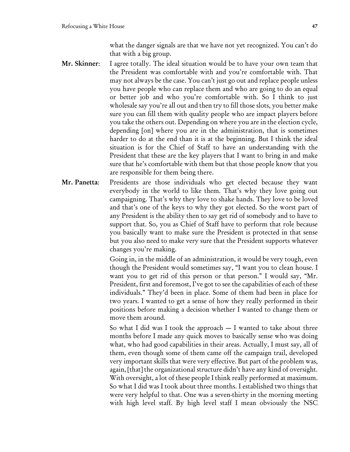what the danger signals are that we have not yet recognized. You can't do that with a big group.

- Mr. Skinner: I agree totally. The ideal situation would be to have your own team that the President was comfortable with and you're comfortable with. That may not always be the case. You can't just go out and replace people unless you have people who can replace them and who are going to do an equal or better job and who you're comfortable with. So I think to just wholesale say you're all out and then try to fill those slots, you better make sure you can fill them with quality people who are impact players before you take the others out. Depending on where you are in the election cycle, depending [on] where you are in the administration, that is sometimes harder to do at the end than it is at the beginning. But I think the ideal situation is for the Chief of Staff to have an understanding with the President that these are the key players that I want to bring in and make sure that he's comfortable with them but that those people know that you are responsible for them being there.
- Mr. Panetta: Presidents are those individuals who get elected because they want everybody in the world to like them. That's why they love going out campaigning. That's why they love to shake hands. They love to be loved and that's one of the keys to why they got elected. So the worst part of any President is the ability then to say get rid of somebody and to have to support that. So, you as Chief of Staff have to perform that role because you basically want to make sure the President is protected in that sense but you also need to make very sure that the President supports whatever changes you're making.

Going in, in the middle of an administration, it would be very tough, even though the President would sometimes say, "I want you to clean house. I want you to get rid of this person or that person." I would say, "Mr. President, first and foremost, I've got to see the capabilities of each of these individuals." They'd been in place. Some of them had been in place for two years. I wanted to get a sense of how they really performed in their positions before making a decision whether I wanted to change them or move them around.

<span id="page-50-1"></span><span id="page-50-0"></span>So what I did was I took the approach  $-$  I wanted to take about three months before I made any quick moves to basically sense who was doing what, who had good capabilities in their areas. Actually, I must say, all of them, even though some of them came off the campaign trail, developed very important skills that were very effective. But part of the problem was, again, [that] the organizational structure didn't have any kind of oversight. With oversight, a lot of these people I think really performed at maximum. So what I did was I took about three months. I established two things that were very helpful to that. One was a seven-thirty in the morning meeting with high level staff. By high level staff I mean obviously the NSC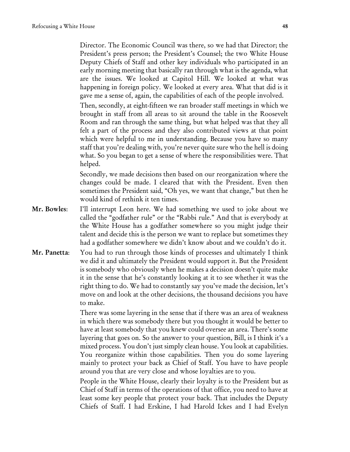Director. The Economic Council was there, so we had that Director; the President's press person; the President's Counsel; the two White House Deputy Chiefs of Staff and other key individuals who participated in an early morning meeting that basically ran through what is the agenda, what are the issues. We looked at Capitol Hill. We looked at what was happening in foreign policy. We looked at every area. What that did is it gave me a sense of, again, the capabilities of each of the people involved.

Then, secondly, at eight-fifteen we ran broader staff meetings in which we brought in staff from all areas to sit around the table in the Roosevelt Room and ran through the same thing, but what helped was that they all felt a part of the process and they also contributed views at that point which were helpful to me in understanding. Because you have so many staff that you're dealing with, you're never quite sure who the hell is doing what. So you began to get a sense of where the responsibilities were. That helped.

Secondly, we made decisions then based on our reorganization where the changes could be made. I cleared that with the President. Even then sometimes the President said, "Oh yes, we want that change," but then he would kind of rethink it ten times.

- Mr. Bowles: I'll interrupt Leon here. We had something we used to joke about we called the "godfather rule" or the "Rabbi rule." And that is everybody at the White House has a godfather somewhere so you might judge their talent and decide this is the person we want to replace but sometimes they had a godfather somewhere we didn't know about and we couldn't do it.
- Mr. Panetta: You had to run through those kinds of processes and ultimately I think we did it and ultimately the President would support it. But the President is somebody who obviously when he makes a decision doesn't quite make it in the sense that he's constantly looking at it to see whether it was the right thing to do. We had to constantly say you've made the decision, let's move on and look at the other decisions, the thousand decisions you have to make.

There was some layering in the sense that if there was an area of weakness in which there was somebody there but you thought it would be better to have at least somebody that you knew could oversee an area. There's some layering that goes on. So the answer to your question, Bill, is I think it's a mixed process. You don't just simply clean house. You look at capabilities. You reorganize within those capabilities. Then you do some layering mainly to protect your back as Chief of Staff. You have to have people around you that are very close and whose loyalties are to you.

<span id="page-51-0"></span>People in the White House, clearly their loyalty is to the President but as Chief of Staff in terms of the operations of that office, you need to have at least some key people that protect your back. That includes the Deputy Chiefs of Staff. I had Erskine, I had Harold Ickes and I had Evelyn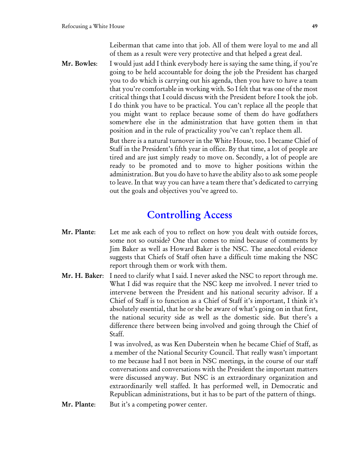Leiberman that came into that job. All of them were loyal to me and all of them as a result were very protective and that helped a great deal.

Mr. Bowles: I would just add I think everybody here is saying the same thing, if you're going to be held accountable for doing the job the President has charged you to do which is carrying out his agenda, then you have to have a team that you're comfortable in working with. So I felt that was one of the most critical things that I could discuss with the President before I took the job. I do think you have to be practical. You can't replace all the people that you might want to replace because some of them do have godfathers somewhere else in the administration that have gotten them in that position and in the rule of practicality you've can't replace them all.

> But there is a natural turnover in the White House, too. I became Chief of Staff in the President's fifth year in office. By that time, a lot of people are tired and are just simply ready to move on. Secondly, a lot of people are ready to be promoted and to move to higher positions within the administration. But you do have to have the ability also to ask some people to leave. In that way you can have a team there that's dedicated to carrying out the goals and objectives you've agreed to.

### Controlling Access

- Mr. Plante: Let me ask each of you to reflect on how you dealt with outside forces, some not so outside? One that comes to mind because of comments by Jim Baker as well as Howard Baker is the NSC. The anecdotal evidence suggests that Chiefs of Staff often have a difficult time making the NSC report through them or work with them.
- Mr. H. Baker: I need to clarify what I said. I never asked the NSC to report through me. What I did was require that the NSC keep me involved. I never tried to intervene between the President and his national security advisor. If a Chief of Staff is to function as a Chief of Staff it's important, I think it's absolutely essential, that he or she be aware of what's going on in that first, the national security side as well as the domestic side. But there's a difference there between being involved and going through the Chief of Staff.

I was involved, as was Ken Duberstein when he became Chief of Staff, as a member of the National Security Council. That really wasn't important to me because had I not been in NSC meetings, in the course of our staff conversations and conversations with the President the important matters were discussed anyway. But NSC is an extraordinary organization and extraordinarily well staffed. It has performed well, in Democratic and Republican administrations, but it has to be part of the pattern of things.

Mr. Plante: But it's a competing power center.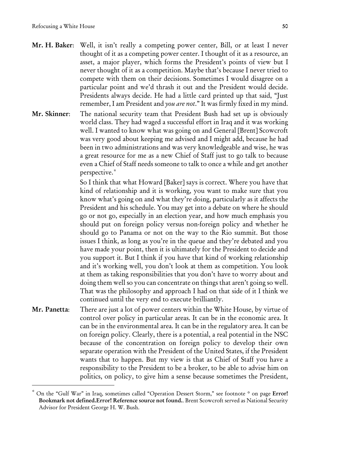- Mr. H. Baker: Well, it isn't really a competing power center, Bill, or at least I never thought of it as a competing power center. I thought of it as a resource, an asset, a major player, which forms the President's points of view but I never thought of it as a competition. Maybe that's because I never tried to compete with them on their decisions. Sometimes I would disagree on a particular point and we'd thrash it out and the President would decide. Presidents always decide. He had a little card printed up that said, "Just remember, I am President and *you are not*." It was firmly fixed in my mind.
- Mr. Skinner: The national security team that President Bush had set up is obviously world class. They had waged a successful effort in Iraq and it was working well. I wanted to know what was going on and General [Brent] Scowcroft was very good about keeping me advised and I might add, because he had been in two administrations and was very knowledgeable and wise, he was a great resource for me as a new Chief of Staff just to go talk to because even a Chief of Staff needs someone to talk to once a while and get another perspective.[\\*](#page-59-0)

So I think that what Howard [Baker] says is correct. Where you have that kind of relationship and it is working, you want to make sure that you know what's going on and what they're doing, particularly as it affects the President and his schedule. You may get into a debate on where he should go or not go, especially in an election year, and how much emphasis you should put on foreign policy versus non-foreign policy and whether he should go to Panama or not on the way to the Rio summit. But those issues I think, as long as you're in the queue and they're debated and you have made your point, then it is ultimately for the President to decide and you support it. But I think if you have that kind of working relationship and it's working well, you don't look at them as competition. You look at them as taking responsibilities that you don't have to worry about and doing them well so you can concentrate on things that aren't going so well. That was the philosophy and approach I had on that side of it I think we continued until the very end to execute brilliantly.

Mr. Panetta: There are just a lot of power centers within the White House, by virtue of control over policy in particular areas. It can be in the economic area. It can be in the environmental area. It can be in the regulatory area. It can be on foreign policy. Clearly, there is a potential, a real potential in the NSC because of the concentration on foreign policy to develop their own separate operation with the President of the United States, if the President wants that to happen. But my view is that as Chief of Staff you have a responsibility to the President to be a broker, to be able to advise him on politics, on policy, to give him a sense because sometimes the President,

On the "Gulf War" in Iraq, sometimes called "Operation Dessert Storm," see footnote [°](#page-27-0) on page Error! [Bookmark not defined.](#page-27-1)[Error! Reference source not found.](#page-27-0). Brent Scowcroft served as National Security Advisor for President George H. W. Bush.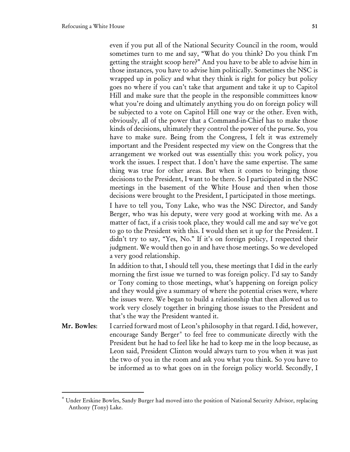even if you put all of the National Security Council in the room, would sometimes turn to me and say, "What do you think? Do you think I'm getting the straight scoop here?" And you have to be able to advise him in those instances, you have to advise him politically. Sometimes the NSC is wrapped up in policy and what they think is right for policy but policy goes no where if you can't take that argument and take it up to Capitol Hill and make sure that the people in the responsible committees know what you're doing and ultimately anything you do on foreign policy will be subjected to a vote on Capitol Hill one way or the other. Even with, obviously, all of the power that a Command-in-Chief has to make those kinds of decisions, ultimately they control the power of the purse. So, you have to make sure. Being from the Congress, I felt it was extremely important and the President respected my view on the Congress that the arrangement we worked out was essentially this: you work policy, you work the issues. I respect that. I don't have the same expertise. The same thing was true for other areas. But when it comes to bringing those decisions to the President, I want to be there. So I participated in the NSC meetings in the basement of the White House and then when those decisions were brought to the President, I participated in those meetings.

I have to tell you, Tony Lake, who was the NSC Director, and Sandy Berger, who was his deputy, were very good at working with me. As a matter of fact, if a crisis took place, they would call me and say we've got to go to the President with this. I would then set it up for the President. I didn't try to say, "Yes, No." If it's on foreign policy, I respected their judgment. We would then go in and have those meetings. So we developed a very good relationship.

In addition to that, I should tell you, these meetings that I did in the early morning the first issue we turned to was foreign policy. I'd say to Sandy or Tony coming to those meetings, what's happening on foreign policy and they would give a summary of where the potential crises were, where the issues were. We began to build a relationship that then allowed us to work very closely together in bringing those issues to the President and that's the way the President wanted it.

Mr. Bowles: I carried forward most of Leon's philosophy in that regard. I did, however, encourage Sandy Berger[\\*](#page-60-0) to feel free to communicate directly with the President but he had to feel like he had to keep me in the loop because, as Leon said, President Clinton would always turn to you when it was just the two of you in the room and ask you what you think. So you have to be informed as to what goes on in the foreign policy world. Secondly, I

<span id="page-54-1"></span><span id="page-54-0"></span> <sup>\*</sup> Under Erskine Bowles, Sandy Burger had moved into the position of National Security Advisor, replacing Anthony (Tony) Lake.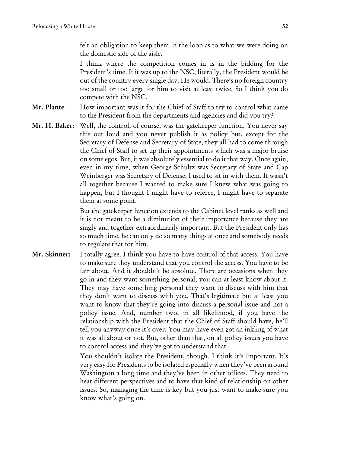felt an obligation to keep them in the loop as to what we were doing on the domestic side of the aisle.

I think where the competition comes in is in the bidding for the President's time. If it was up to the NSC, literally, the President would be out of the country every single day. He would. There's no foreign country too small or too large for him to visit at least twice. So I think you do compete with the NSC.

Mr. Plante: How important was it for the Chief of Staff to try to control what came to the President from the departments and agencies and did you try?

Mr. H. Baker: Well, the control, of course, was the gatekeeper function. You never say this out loud and you never publish it as policy but, except for the Secretary of Defense and Secretary of State, they all had to come through the Chief of Staff to set up their appointments which was a major bruise on some egos. But, it was absolutely essential to do it that way. Once again, even in my time, when George Schultz was Secretary of State and Cap Weinberger was Secretary of Defense, I used to sit in with them. It wasn't all together because I wanted to make sure I knew what was going to happen, but I thought I might have to referee, I might have to separate them at some point.

> But the gatekeeper function extends to the Cabinet level ranks as well and it is not meant to be a diminution of their importance because they are singly and together extraordinarily important. But the President only has so much time, he can only do so many things at once and somebody needs to regulate that for him.

Mr. Skinner: I totally agree. I think you have to have control of that access. You have to make sure they understand that you control the access. You have to be fair about. And it shouldn't be absolute. There are occasions when they go in and they want something personal, you can at least know about it. They may have something personal they want to discuss with him that they don't want to discuss with you. That's legitimate but at least you want to know that they're going into discuss a personal issue and not a policy issue. And, number two, in all likelihood, if you have the relationship with the President that the Chief of Staff should have, he'll tell you anyway once it's over. You may have even got an inkling of what it was all about or not. But, other than that, on all policy issues you have to control access and they've got to understand that.

> You shouldn't isolate the President, though. I think it's important. It's very easy for Presidents to be isolated especially when they've been around Washington a long time and they've been in other offices. They need to hear different perspectives and to have that kind of relationship on other issues. So, managing the time is key but you just want to make sure you know what's going on.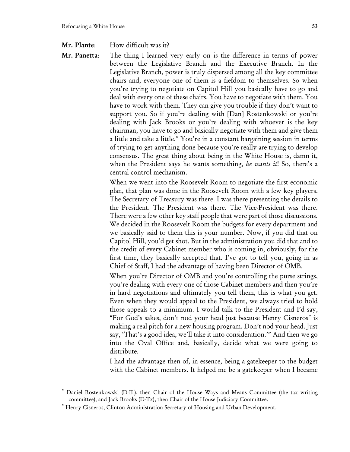Mr. Plante: How difficult was it?

Mr. Panetta: The thing I learned very early on is the difference in terms of power between the Legislative Branch and the Executive Branch. In the Legislative Branch, power is truly dispersed among all the key committee chairs and, everyone one of them is a fiefdom to themselves. So when you're trying to negotiate on Capitol Hill you basically have to go and deal with every one of these chairs. You have to negotiate with them. You have to work with them. They can give you trouble if they don't want to support you. So if you're dealing with [Dan] Rostenkowski or you're dealing with Jack Brooks or you're dealing with whoever is the key chairman, you have to go and basically negotiate with them and give them a little and take a little.[\\*](#page-62-0) You're in a constant bargaining session in terms of trying to get anything done because you're really are trying to develop consensus. The great thing about being in the White House is, damn it, when the President says he wants something, *he wants it*! So, there's a central control mechanism.

> When we went into the Roosevelt Room to negotiate the first economic plan, that plan was done in the Roosevelt Room with a few key players. The Secretary of Treasury was there. I was there presenting the details to the President. The President was there. The Vice-President was there. There were a few other key staff people that were part of those discussions. We decided in the Roosevelt Room the budgets for every department and we basically said to them this is your number. Now, if you did that on Capitol Hill, you'd get shot. But in the administration you did that and to the credit of every Cabinet member who is coming in, obviously, for the first time, they basically accepted that. I've got to tell you, going in as Chief of Staff, I had the advantage of having been Director of OMB.

> When you're Director of OMB and you're controlling the purse strings, you're dealing with every one of those Cabinet members and then you're in hard negotiations and ultimately you tell them, this is what you get. Even when they would appeal to the President, we always tried to hold those appeals to a minimum. I would talk to the President and I'd say, "For God's sakes, don't nod your head just because Henry Cisneros[\\*](#page-62-1) is making a real pitch for a new housing program. Don't nod your head. Just say, 'That's a good idea, we'll take it into consideration.'" And then we go into the Oval Office and, basically, decide what we were going to distribute.

> I had the advantage then of, in essence, being a gatekeeper to the budget with the Cabinet members. It helped me be a gatekeeper when I became

 <sup>\*</sup> Daniel Rostenkowski (D-IL), then Chair of the House Ways and Means Committee (the tax writing committee), and Jack Brooks (D-Tx), then Chair of the House Judiciary Committee.

<sup>\*</sup> Henry Cisneros, Clinton Administration Secretary of Housing and Urban Development.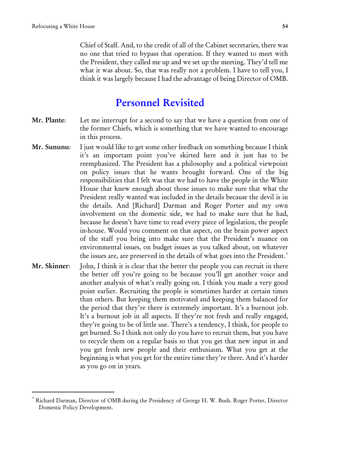$\overline{a}$ 

Chief of Staff. And, to the credit of all of the Cabinet secretaries, there was no one that tried to bypass that operation. If they wanted to meet with the President, they called me up and we set up the meeting. They'd tell me what it was about. So, that was really not a problem. I have to tell you, I think it was largely because I had the advantage of being Director of OMB.

### Personnel Revisited

- Mr. Plante: Let me interrupt for a second to say that we have a question from one of the former Chiefs, which is something that we have wanted to encourage in this process.
- Mr. Sununu: I just would like to get some other feedback on something because I think it's an important point you've skirted here and it just has to be reemphasized. The President has a philosophy and a political viewpoint on policy issues that he wants brought forward. One of the big responsibilities that I felt was that we had to have the people in the White House that knew enough about those issues to make sure that what the President really wanted was included in the details because the devil is in the details. And [Richard] Darman and Roger Porter and my own involvement on the domestic side, we had to make sure that he had, because he doesn't have time to read every piece of legislation, the people in-house. Would you comment on that aspect, on the brain power aspect of the staff you bring into make sure that the President's nuance on environmental issues, on budget issues as you talked about, on whatever the issues are, are preserved in the details of what goes into the President.[°](#page-63-0)
- Mr. Skinner: John, I think it is clear that the better the people you can recruit in there the better off you're going to be because you'll get another voice and another analysis of what's really going on. I think you made a very good point earlier. Recruiting the people is sometimes harder at certain times than others. But keeping them motivated and keeping them balanced for the period that they're there is extremely important. It's a burnout job. It's a burnout job in all aspects. If they're not fresh and really engaged, they're going to be of little use. There's a tendency, I think, for people to get burned. So I think not only do you have to recruit them, but you have to recycle them on a regular basis so that you get that new input in and you get fresh new people and their enthusiasm. What you get at the beginning is what you get for the entire time they're there. And it's harder as you go on in years.

<sup>°</sup> Richard Darman, Director of OMB during the Presidency of George H. W. Bush. Roger Porter, Director Domestic Policy Development.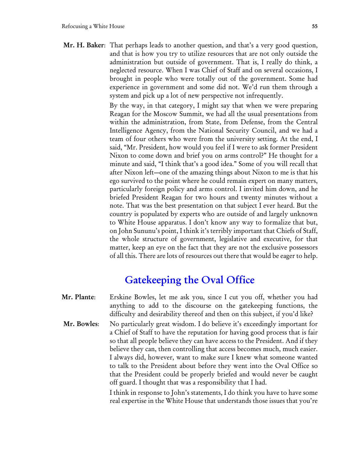Mr. H. Baker: That perhaps leads to another question, and that's a very good question, and that is how you try to utilize resources that are not only outside the administration but outside of government. That is, I really do think, a neglected resource. When I was Chief of Staff and on several occasions, I brought in people who were totally out of the government. Some had experience in government and some did not. We'd run them through a system and pick up a lot of new perspective not infrequently.

> By the way, in that category, I might say that when we were preparing Reagan for the Moscow Summit, we had all the usual presentations from within the administration, from State, from Defense, from the Central Intelligence Agency, from the National Security Council, and we had a team of four others who were from the university setting. At the end, I said, "Mr. President, how would you feel if I were to ask former President Nixon to come down and brief you on arms control?" He thought for a minute and said, "I think that's a good idea." Some of you will recall that after Nixon left—one of the amazing things about Nixon to me is that his ego survived to the point where he could remain expert on many matters, particularly foreign policy and arms control. I invited him down, and he briefed President Reagan for two hours and twenty minutes without a note. That was the best presentation on that subject I ever heard. But the country is populated by experts who are outside of and largely unknown to White House apparatus. I don't know any way to formalize that but, on John Sununu's point, I think it's terribly important that Chiefs of Staff, the whole structure of government, legislative and executive, for that matter, keep an eye on the fact that they are not the exclusive possessors of all this. There are lots of resources out there that would be eager to help.

### Gatekeeping the Oval Office

Mr. Plante: Erskine Bowles, let me ask you, since I cut you off, whether you had anything to add to the discourse on the gatekeeping functions, the difficulty and desirability thereof and then on this subject, if you'd like? Mr. Bowles: No particularly great wisdom. I do believe it's exceedingly important for a Chief of Staff to have the reputation for having good process that is fair so that all people believe they can have access to the President. And if they believe they can, then controlling that access becomes much, much easier. I always did, however, want to make sure I knew what someone wanted to talk to the President about before they went into the Oval Office so that the President could be properly briefed and would never be caught off guard. I thought that was a responsibility that I had. I think in response to John's statements, I do think you have to have some

real expertise in the White House that understands those issues that you're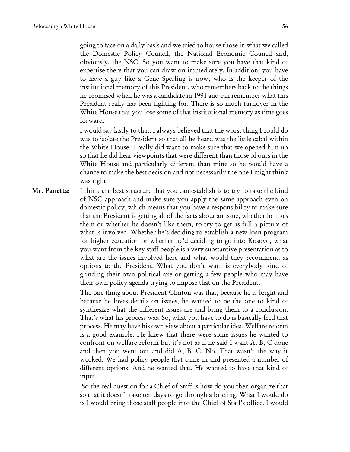going to face on a daily basis and we tried to house those in what we called the Domestic Policy Council, the National Economic Council and, obviously, the NSC. So you want to make sure you have that kind of expertise there that you can draw on immediately. In addition, you have to have a guy like a Gene Sperling is now, who is the keeper of the institutional memory of this President, who remembers back to the things he promised when he was a candidate in 1991 and can remember what this President really has been fighting for. There is so much turnover in the White House that you lose some of that institutional memory as time goes forward.

I would say lastly to that, I always believed that the worst thing I could do was to isolate the President so that all he heard was the little cabal within the White House. I really did want to make sure that we opened him up so that he did hear viewpoints that were different than those of ours in the White House and particularly different than mine so he would have a chance to make the best decision and not necessarily the one I might think was right.

Mr. Panetta: I think the best structure that you can establish is to try to take the kind of NSC approach and make sure you apply the same approach even on domestic policy, which means that you have a responsibility to make sure that the President is getting all of the facts about an issue, whether he likes them or whether he doesn't like them, to try to get as full a picture of what is involved. Whether he's deciding to establish a new loan program for higher education or whether he'd deciding to go into Kosovo, what you want from the key staff people is a very substantive presentation as to what are the issues involved here and what would they recommend as options to the President. What you don't want is everybody kind of grinding their own political axe or getting a few people who may have their own policy agenda trying to impose that on the President.

> The one thing about President Clinton was that, because he is bright and because he loves details on issues, he wanted to be the one to kind of synthesize what the different issues are and bring them to a conclusion. That's what his process was. So, what you have to do is basically feed that process. He may have his own view about a particular idea. Welfare reform is a good example. He knew that there were some issues he wanted to confront on welfare reform but it's not as if he said I want A, B, C done and then you went out and did A, B, C. No. That wasn't the way it worked. We had policy people that came in and presented a number of different options. And he wanted that. He wanted to have that kind of input.

> <span id="page-59-0"></span>So the real question for a Chief of Staff is how do you then organize that so that it doesn't take ten days to go through a briefing. What I would do is I would bring those staff people into the Chief of Staff's office. I would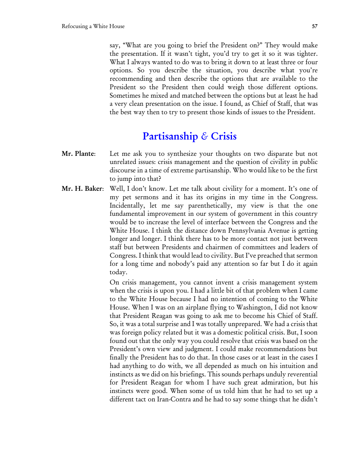say, "What are you going to brief the President on?" They would make the presentation. If it wasn't tight, you'd try to get it so it was tighter. What I always wanted to do was to bring it down to at least three or four options. So you describe the situation, you describe what you're recommending and then describe the options that are available to the President so the President then could weigh those different options. Sometimes he mixed and matched between the options but at least he had a very clean presentation on the issue. I found, as Chief of Staff, that was the best way then to try to present those kinds of issues to the President.

## Partisanship *&* Crisis

- Mr. Plante: Let me ask you to synthesize your thoughts on two disparate but not unrelated issues: crisis management and the question of civility in public discourse in a time of extreme partisanship. Who would like to be the first to jump into that?
- Mr. H. Baker: Well, I don't know. Let me talk about civility for a moment. It's one of my pet sermons and it has its origins in my time in the Congress. Incidentally, let me say parenthetically, my view is that the one fundamental improvement in our system of government in this country would be to increase the level of interface between the Congress and the White House. I think the distance down Pennsylvania Avenue is getting longer and longer. I think there has to be more contact not just between staff but between Presidents and chairmen of committees and leaders of Congress. I think that would lead to civility. But I've preached that sermon for a long time and nobody's paid any attention so far but I do it again today.

<span id="page-60-0"></span>On crisis management, you cannot invent a crisis management system when the crisis is upon you. I had a little bit of that problem when I came to the White House because I had no intention of coming to the White House. When I was on an airplane flying to Washington, I did not know that President Reagan was going to ask me to become his Chief of Staff. So, it was a total surprise and I was totally unprepared. We had a crisis that was foreign policy related but it was a domestic political crisis. But, I soon found out that the only way you could resolve that crisis was based on the President's own view and judgment. I could make recommendations but finally the President has to do that. In those cases or at least in the cases I had anything to do with, we all depended as much on his intuition and instincts as we did on his briefings. This sounds perhaps unduly reverential for President Reagan for whom I have such great admiration, but his instincts were good. When some of us told him that he had to set up a different tact on Iran-Contra and he had to say some things that he didn't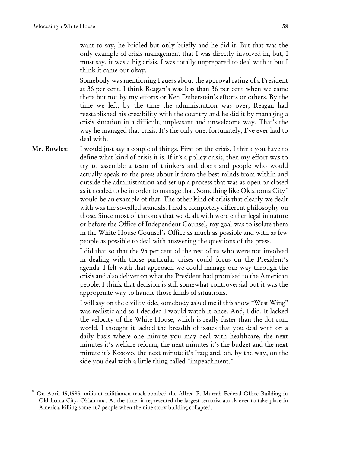want to say, he bridled but only briefly and he did it. But that was the only example of crisis management that I was directly involved in, but, I must say, it was a big crisis. I was totally unprepared to deal with it but I think it came out okay.

Somebody was mentioning I guess about the approval rating of a President at 36 per cent. I think Reagan's was less than 36 per cent when we came there but not by my efforts or Ken Duberstein's efforts or others. By the time we left, by the time the administration was over, Reagan had reestablished his credibility with the country and he did it by managing a crisis situation in a difficult, unpleasant and unwelcome way. That's the way he managed that crisis. It's the only one, fortunately, I've ever had to deal with.

Mr. Bowles: I would just say a couple of things. First on the crisis, I think you have to define what kind of crisis it is. If it's a policy crisis, then my effort was to try to assemble a team of thinkers and doers and people who would actually speak to the press about it from the best minds from within and outside the administration and set up a process that was as open or closed as it needed to be in order to manage that. Something like Oklahoma City[\\*](#page-68-0) would be an example of that. The other kind of crisis that clearly we dealt with was the so-called scandals. I had a completely different philosophy on those. Since most of the ones that we dealt with were either legal in nature or before the Office of Independent Counsel, my goal was to isolate them in the White House Counsel's Office as much as possible and with as few people as possible to deal with answering the questions of the press.

> I did that so that the 95 per cent of the rest of us who were not involved in dealing with those particular crises could focus on the President's agenda. I felt with that approach we could manage our way through the crisis and also deliver on what the President had promised to the American people. I think that decision is still somewhat controversial but it was the appropriate way to handle those kinds of situations.

> I will say on the civility side, somebody asked me if this show "West Wing" was realistic and so I decided I would watch it once. And, I did. It lacked the velocity of the White House, which is really faster than the dot-com world. I thought it lacked the breadth of issues that you deal with on a daily basis where one minute you may deal with healthcare, the next minutes it's welfare reform, the next minutes it's the budget and the next minute it's Kosovo, the next minute it's Iraq; and, oh, by the way, on the side you deal with a little thing called "impeachment."

 <sup>\*</sup> On April 19,1995, militant militiamen truck-bombed the Alfred P. Murrah Federal Office Building in Oklahoma City, Oklahoma. At the time, it represented the largest terrorist attack ever to take place in America, killing some 167 people when the nine story building collapsed.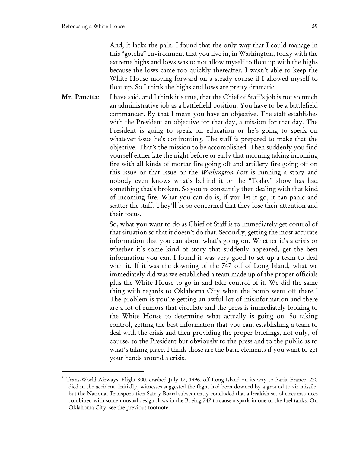And, it lacks the pain. I found that the only way that I could manage in this "gotcha" environment that you live in, in Washington, today with the extreme highs and lows was to not allow myself to float up with the highs because the lows came too quickly thereafter. I wasn't able to keep the White House moving forward on a steady course if I allowed myself to float up. So I think the highs and lows are pretty dramatic.

Mr. Panetta: I have said, and I think it's true, that the Chief of Staff's job is not so much an administrative job as a battlefield position. You have to be a battlefield commander. By that I mean you have an objective. The staff establishes with the President an objective for that day, a mission for that day. The President is going to speak on education or he's going to speak on whatever issue he's confronting. The staff is prepared to make that the objective. That's the mission to be accomplished. Then suddenly you find yourself either late the night before or early that morning taking incoming fire with all kinds of mortar fire going off and artillery fire going off on this issue or that issue or the *Washington Post* is running a story and nobody even knows what's behind it or the "Today" show has had something that's broken. So you're constantly then dealing with that kind of incoming fire. What you can do is, if you let it go, it can panic and scatter the staff. They'll be so concerned that they lose their attention and their focus.

> So, what you want to do as Chief of Staff is to immediately get control of that situation so that it doesn't do that. Secondly, getting the most accurate information that you can about what's going on. Whether it's a crisis or whether it's some kind of story that suddenly appeared, get the best information you can. I found it was very good to set up a team to deal with it. If it was the downing of the 747 off of Long Island, what we immediately did was we established a team made up of the proper officials plus the White House to go in and take control of it. We did the same thing with regards to Oklahoma City when the bomb went off there.[\\*](#page-69-0) The problem is you're getting an awful lot of misinformation and there are a lot of rumors that circulate and the press is immediately looking to the White House to determine what actually is going on. So taking control, getting the best information that you can, establishing a team to deal with the crisis and then providing the proper briefings, not only, of course, to the President but obviously to the press and to the public as to what's taking place. I think those are the basic elements if you want to get your hands around a crisis.

<span id="page-62-1"></span><span id="page-62-0"></span> <sup>\*</sup> Trans-World Airways, Flight 800, crashed July 17, 1996, off Long Island on its way to Paris, France. 220 died in the accident. Initially, witnesses suggested the flight had been downed by a ground to air missile, but the National Transportation Safety Board subsequently concluded that a freakish set of circumstances combined with some unusual design flaws in the Boeing 747 to cause a spark in one of the fuel tanks. On Oklahoma City, see the previous footnote.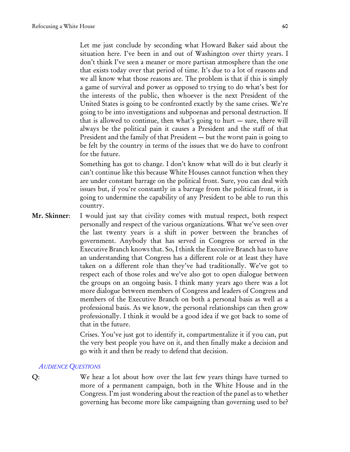Let me just conclude by seconding what Howard Baker said about the situation here. I've been in and out of Washington over thirty years. I don't think I've seen a meaner or more partisan atmosphere than the one that exists today over that period of time. It's due to a lot of reasons and we all know what those reasons are. The problem is that if this is simply a game of survival and power as opposed to trying to do what's best for the interests of the public, then whoever is the next President of the United States is going to be confronted exactly by the same crises. We're going to be into investigations and subpoenas and personal destruction. If that is allowed to continue, then what's going to hurt — sure, there will always be the political pain it causes a President and the staff of that President and the family of that President — but the worst pain is going to be felt by the country in terms of the issues that we do have to confront for the future.

Something has got to change. I don't know what will do it but clearly it can't continue like this because White Houses cannot function when they are under constant barrage on the political front. Sure, you can deal with issues but, if you're constantly in a barrage from the political front, it is going to undermine the capability of any President to be able to run this country.

Mr. Skinner: I would just say that civility comes with mutual respect, both respect personally and respect of the various organizations. What we've seen over the last twenty years is a shift in power between the branches of government. Anybody that has served in Congress or served in the Executive Branch knows that. So, I think the Executive Branch has to have an understanding that Congress has a different role or at least they have taken on a different role than they've had traditionally. We've got to respect each of those roles and we've also got to open dialogue between the groups on an ongoing basis. I think many years ago there was a lot more dialogue between members of Congress and leaders of Congress and members of the Executive Branch on both a personal basis as well as a professional basis. As we know, the personal relationships can then grow professionally. I think it would be a good idea if we got back to some of that in the future.

> Crises. You've just got to identify it, compartmentalize it if you can, put the very best people you have on it, and then finally make a decision and go with it and then be ready to defend that decision.

#### *AUDIENCE QUESTIONS*

<span id="page-63-0"></span>

Q: We hear a lot about how over the last few years things have turned to more of a permanent campaign, both in the White House and in the Congress. I'm just wondering about the reaction of the panel as to whether governing has become more like campaigning than governing used to be?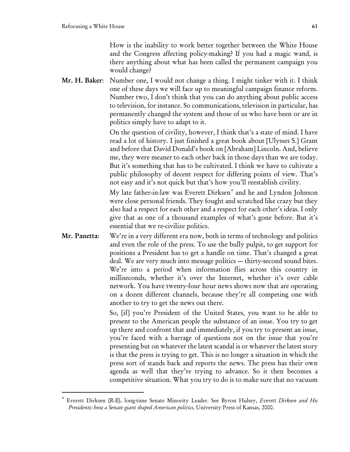How is the inability to work better together between the White House and the Congress affecting policy-making? If you had a magic wand, is there anything about what has been called the permanent campaign you would change?

Mr. H. Baker: Number one, I would not change a thing. I might tinker with it. I think one of these days we will face up to meaningful campaign finance reform. Number two, I don't think that you can do anything about public access to television, for instance. So communications, television in particular, has permanently changed the system and those of us who have been or are in politics simply have to adapt to it.

> On the question of civility, however, I think that's a state of mind. I have read a lot of history. I just finished a great book about [Ulysses S.] Grant and before that David Donald's book on [Abraham] Lincoln. And, believe me, they were meaner to each other back in those days than we are today. But it's something that has to be cultivated. I think we have to cultivate a public philosophy of decent respect for differing points of view. That's not easy and it's not quick but that's how you'll reestablish civility.

> My late father-in-law was Everett Dirksen[\\*](#page-71-0) and he and Lyndon Johnson were close personal friends. They fought and scratched like crazy but they also had a respect for each other and a respect for each other's ideas. I only give that as one of a thousand examples of what's gone before. But it's essential that we re-civilize politics.

Mr. Panetta: We're in a very different era now, both in terms of technology and politics and even the role of the press. To use the bully pulpit, to get support for positions a President has to get a handle on time. That's changed a great deal. We are very much into message politics — thirty-second sound bites. We're into a period when information flies across this country in milliseconds, whether it's over the Internet, whether it's over cable network. You have twenty-four hour news shows now that are operating on a dozen different channels, because they're all competing one with another to try to get the news out there.

> So, [if] you're President of the United States, you want to be able to present to the American people the substance of an issue. You try to get up there and confront that and immediately, if you try to present an issue, you're faced with a barrage of questions not on the issue that you're presenting but on whatever the latest scandal is or whatever the latest story is that the press is trying to get. This is no longer a situation in which the press sort of stands back and reports the news. The press has their own agenda as well that they're trying to advance. So it then becomes a competitive situation. What you try to do is to make sure that no vacuum

 <sup>\*</sup> Everett Dirksen (R-Il), long-time Senate Minority Leader. See Byron Hulsey, *Everett Dirksen and His Presidents: how a Senate giant shaped American politics,* University Press of Kansas, 2000.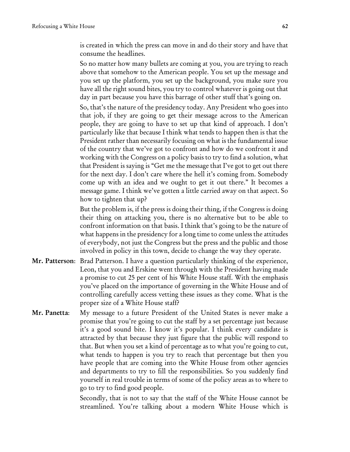is created in which the press can move in and do their story and have that consume the headlines.

So no matter how many bullets are coming at you, you are trying to reach above that somehow to the American people. You set up the message and you set up the platform, you set up the background, you make sure you have all the right sound bites, you try to control whatever is going out that day in part because you have this barrage of other stuff that's going on.

So, that's the nature of the presidency today. Any President who goes into that job, if they are going to get their message across to the American people, they are going to have to set up that kind of approach. I don't particularly like that because I think what tends to happen then is that the President rather than necessarily focusing on what is the fundamental issue of the country that we've got to confront and how do we confront it and working with the Congress on a policy basis to try to find a solution, what that President is saying is "Get me the message that I've got to get out there for the next day. I don't care where the hell it's coming from. Somebody come up with an idea and we ought to get it out there." It becomes a message game. I think we've gotten a little carried away on that aspect. So how to tighten that up?

But the problem is, if the press is doing their thing, if the Congress is doing their thing on attacking you, there is no alternative but to be able to confront information on that basis. I think that's going to be the nature of what happens in the presidency for a long time to come unless the attitudes of everybody, not just the Congress but the press and the public and those involved in policy in this town, decide to change the way they operate.

- Mr. Patterson: Brad Patterson. I have a question particularly thinking of the experience, Leon, that you and Erskine went through with the President having made a promise to cut 25 per cent of his White House staff. With the emphasis you've placed on the importance of governing in the White House and of controlling carefully access vetting these issues as they come. What is the proper size of a White House staff?
- Mr. Panetta: My message to a future President of the United States is never make a promise that you're going to cut the staff by a set percentage just because it's a good sound bite. I know it's popular. I think every candidate is attracted by that because they just figure that the public will respond to that. But when you set a kind of percentage as to what you're going to cut, what tends to happen is you try to reach that percentage but then you have people that are coming into the White House from other agencies and departments to try to fill the responsibilities. So you suddenly find yourself in real trouble in terms of some of the policy areas as to where to go to try to find good people.

Secondly, that is not to say that the staff of the White House cannot be streamlined. You're talking about a modern White House which is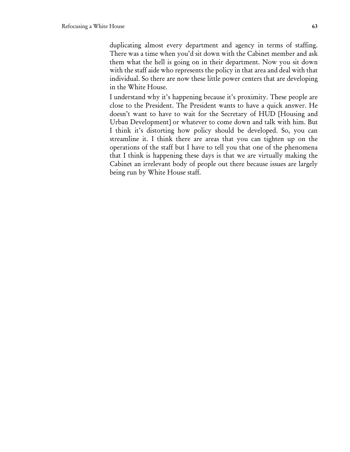duplicating almost every department and agency in terms of staffing. There was a time when you'd sit down with the Cabinet member and ask them what the hell is going on in their department. Now you sit down with the staff aide who represents the policy in that area and deal with that individual. So there are now these little power centers that are developing in the White House.

I understand why it's happening because it's proximity. These people are close to the President. The President wants to have a quick answer. He doesn't want to have to wait for the Secretary of HUD [Housing and Urban Development] or whatever to come down and talk with him. But I think it's distorting how policy should be developed. So, you can streamline it. I think there are areas that you can tighten up on the operations of the staff but I have to tell you that one of the phenomena that I think is happening these days is that we are virtually making the Cabinet an irrelevant body of people out there because issues are largely being run by White House staff.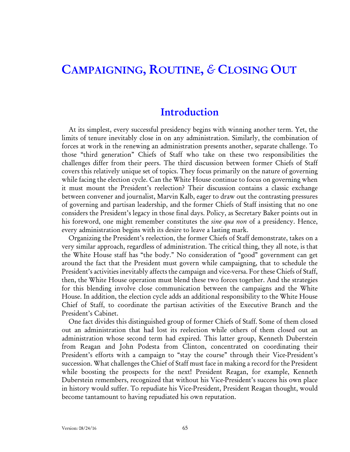# <span id="page-68-1"></span>CAMPAIGNING, ROUTINE, *&* CLOSING OUT

## Introduction

At its simplest, every successful presidency begins with winning another term. Yet, the limits of tenure inevitably close in on any administration. Similarly, the combination of forces at work in the renewing an administration presents another, separate challenge. To those "third generation" Chiefs of Staff who take on these two responsibilities the challenges differ from their peers. The third discussion between former Chiefs of Staff covers this relatively unique set of topics. They focus primarily on the nature of governing while facing the election cycle. Can the White House continue to focus on governing when it must mount the President's reelection? Their discussion contains a classic exchange between convener and journalist, Marvin Kalb, eager to draw out the contrasting pressures of governing and partisan leadership, and the former Chiefs of Staff insisting that no one considers the President's legacy in those final days. Policy, as Secretary Baker points out in his foreword, one might remember constitutes the *sine qua non* of a presidency. Hence, every administration begins with its desire to leave a lasting mark.

Organizing the President's reelection, the former Chiefs of Staff demonstrate, takes on a very similar approach, regardless of administration. The critical thing, they all note, is that the White House staff has "the body." No consideration of "good" government can get around the fact that the President must govern while campaigning, that to schedule the President's activities inevitably affects the campaign and vice-versa. For these Chiefs of Staff, then, the White House operation must blend these two forces together. And the strategies for this blending involve close communication between the campaigns and the White House. In addition, the election cycle adds an additional responsibility to the White House Chief of Staff, to coordinate the partisan activities of the Executive Branch and the President's Cabinet.

<span id="page-68-0"></span>One fact divides this distinguished group of former Chiefs of Staff. Some of them closed out an administration that had lost its reelection while others of them closed out an administration whose second term had expired. This latter group, Kenneth Duberstein from Reagan and John Podesta from Clinton, concentrated on coordinating their President's efforts with a campaign to "stay the course" through their Vice-President's succession. What challenges the Chief of Staff must face in making a record for the President while boosting the prospects for the next! President Reagan, for example, Kenneth Duberstein remembers, recognized that without his Vice-President's success his own place in history would suffer. To repudiate his Vice-President, President Reagan thought, would become tantamount to having repudiated his own reputation.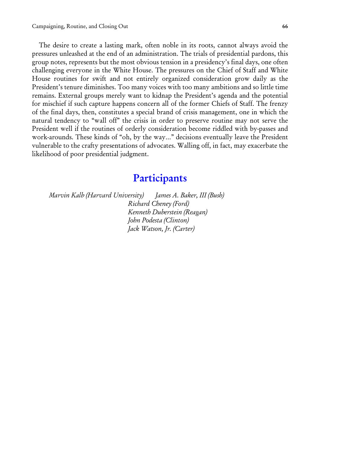The desire to create a lasting mark, often noble in its roots, cannot always avoid the pressures unleashed at the end of an administration. The trials of presidential pardons, this group notes, represents but the most obvious tension in a presidency's final days, one often challenging everyone in the White House. The pressures on the Chief of Staff and White House routines for swift and not entirely organized consideration grow daily as the President's tenure diminishes. Too many voices with too many ambitions and so little time remains. External groups merely want to kidnap the President's agenda and the potential for mischief if such capture happens concern all of the former Chiefs of Staff. The frenzy of the final days, then, constitutes a special brand of crisis management, one in which the natural tendency to "wall off" the crisis in order to preserve routine may not serve the President well if the routines of orderly consideration become riddled with by-passes and work-arounds. These kinds of "oh, by the way…" decisions eventually leave the President vulnerable to the crafty presentations of advocates. Walling off, in fact, may exacerbate the likelihood of poor presidential judgment.

#### **Participants**

<span id="page-69-0"></span>*Marvin Kalb (Harvard University) James A. Baker, III (Bush) Richard Cheney (Ford) Kenneth Duberstein (Reagan) John Podesta (Clinton) Jack Watson, Jr. (Carter)*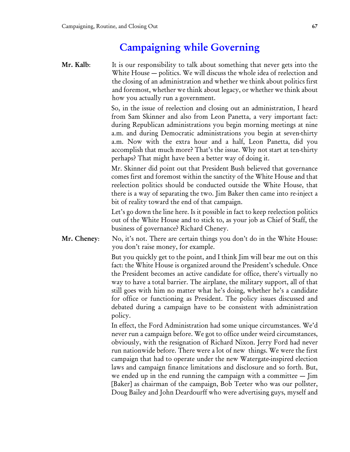## Campaigning while Governing

Mr. Kalb: It is our responsibility to talk about something that never gets into the White House — politics. We will discuss the whole idea of reelection and the closing of an administration and whether we think about politics first and foremost, whether we think about legacy, or whether we think about how you actually run a government.

> So, in the issue of reelection and closing out an administration, I heard from Sam Skinner and also from Leon Panetta, a very important fact: during Republican administrations you begin morning meetings at nine a.m. and during Democratic administrations you begin at seven-thirty a.m. Now with the extra hour and a half, Leon Panetta, did you accomplish that much more? That's the issue. Why not start at ten-thirty perhaps? That might have been a better way of doing it.

> Mr. Skinner did point out that President Bush believed that governance comes first and foremost within the sanctity of the White House and that reelection politics should be conducted outside the White House, that there is a way of separating the two. Jim Baker then came into re-inject a bit of reality toward the end of that campaign.

> Let's go down the line here. Is it possible in fact to keep reelection politics out of the White House and to stick to, as your job as Chief of Staff, the business of governance? Richard Cheney.

Mr. Cheney: No, it's not. There are certain things you don't do in the White House: you don't raise money, for example.

> But you quickly get to the point, and I think Jim will bear me out on this fact: the White House is organized around the President's schedule. Once the President becomes an active candidate for office, there's virtually no way to have a total barrier. The airplane, the military support, all of that still goes with him no matter what he's doing, whether he's a candidate for office or functioning as President. The policy issues discussed and debated during a campaign have to be consistent with administration policy.

> In effect, the Ford Administration had some unique circumstances. We'd never run a campaign before. We got to office under weird circumstances, obviously, with the resignation of Richard Nixon. Jerry Ford had never run nationwide before. There were a lot of new things. We were the first campaign that had to operate under the new Watergate-inspired election laws and campaign finance limitations and disclosure and so forth. But, we ended up in the end running the campaign with a committee — Jim [Baker] as chairman of the campaign, Bob Teeter who was our pollster, Doug Bailey and John Deardourff who were advertising guys, myself and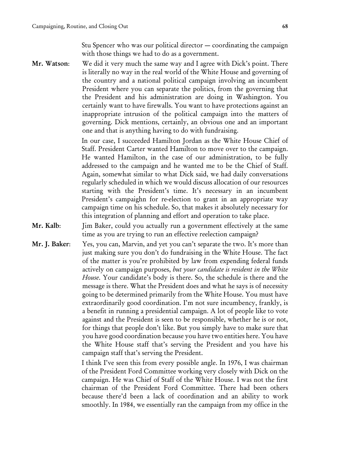Stu Spencer who was our political director — coordinating the campaign with those things we had to do as a government.

Mr. Watson: We did it very much the same way and I agree with Dick's point. There is literally no way in the real world of the White House and governing of the country and a national political campaign involving an incumbent President where you can separate the politics, from the governing that the President and his administration are doing in Washington. You certainly want to have firewalls. You want to have protections against an inappropriate intrusion of the political campaign into the matters of governing. Dick mentions, certainly, an obvious one and an important one and that is anything having to do with fundraising.

> In our case, I succeeded Hamilton Jordan as the White House Chief of Staff. President Carter wanted Hamilton to move over to the campaign. He wanted Hamilton, in the case of our administration, to be fully addressed to the campaign and he wanted me to be the Chief of Staff. Again, somewhat similar to what Dick said, we had daily conversations regularly scheduled in which we would discuss allocation of our resources starting with the President's time. It's necessary in an incumbent President's campaighn for re-election to grant in an appropriate way campaign time on his schedule. So, that makes it absolutely necessary for this integration of planning and effort and operation to take place.

- Mr. Kalb: Jim Baker, could you actually run a government effectively at the same time as you are trying to run an effective reelection campaign?
- Mr. J. Baker: Yes, you can, Marvin, and yet you can't separate the two. It's more than just making sure you don't do fundraising in the White House. The fact of the matter is you're prohibited by law from expending federal funds actively on campaign purposes, *but your candidate is resident in the White House*. Your candidate's body is there. So, the schedule is there and the message is there. What the President does and what he says is of necessity going to be determined primarily from the White House. You must have extraordinarily good coordination. I'm not sure incumbency, frankly, is a benefit in running a presidential campaign. A lot of people like to vote against and the President is seen to be responsible, whether he is or not, for things that people don't like. But you simply have to make sure that you have good coordination because you have two entities here. You have the White House staff that's serving the President and you have his campaign staff that's serving the President.

<span id="page-71-0"></span>I think I've seen this from every possible angle. In 1976, I was chairman of the President Ford Committee working very closely with Dick on the campaign. He was Chief of Staff of the White House. I was not the first chairman of the President Ford Committee. There had been others because there'd been a lack of coordination and an ability to work smoothly. In 1984, we essentially ran the campaign from my office in the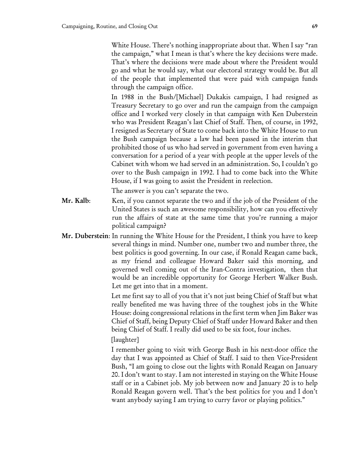White House. There's nothing inappropriate about that. When I say "ran the campaign," what I mean is that's where the key decisions were made. That's where the decisions were made about where the President would go and what he would say, what our electoral strategy would be. But all of the people that implemented that were paid with campaign funds through the campaign office.

In 1988 in the Bush/[Michael] Dukakis campaign, I had resigned as Treasury Secretary to go over and run the campaign from the campaign office and I worked very closely in that campaign with Ken Duberstein who was President Reagan's last Chief of Staff. Then, of course, in 1992, I resigned as Secretary of State to come back into the White House to run the Bush campaign because a law had been passed in the interim that prohibited those of us who had served in government from even having a conversation for a period of a year with people at the upper levels of the Cabinet with whom we had served in an administration. So, I couldn't go over to the Bush campaign in 1992. I had to come back into the White House, if I was going to assist the President in reelection.

The answer is you can't separate the two.

- Mr. Kalb: Ken, if you cannot separate the two and if the job of the President of the United States is such an awesome responsibility, how can you effectively run the affairs of state at the same time that you're running a major political campaign?
- Mr. Duberstein: In running the White House for the President, I think you have to keep several things in mind. Number one, number two and number three, the best politics is good governing. In our case, if Ronald Reagan came back, as my friend and colleague Howard Baker said this morning, and governed well coming out of the Iran-Contra investigation, then that would be an incredible opportunity for George Herbert Walker Bush. Let me get into that in a moment.

Let me first say to all of you that it's not just being Chief of Staff but what really benefited me was having three of the toughest jobs in the White House: doing congressional relations in the first term when Jim Baker was Chief of Staff, being Deputy Chief of Staff under Howard Baker and then being Chief of Staff. I really did used to be six foot, four inches.

[laughter]

I remember going to visit with George Bush in his next-door office the day that I was appointed as Chief of Staff. I said to then Vice-President Bush, "I am going to close out the lights with Ronald Reagan on January 20. I don't want to stay. I am not interested in staying on the White House staff or in a Cabinet job. My job between now and January 20 is to help Ronald Reagan govern well. That's the best politics for you and I don't want anybody saying I am trying to curry favor or playing politics."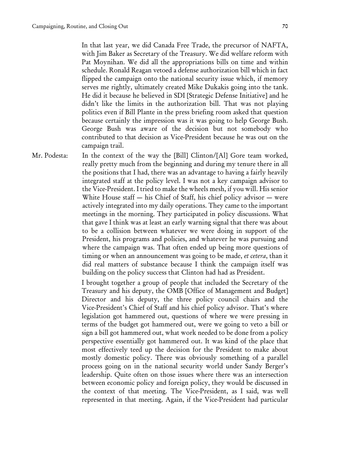In that last year, we did Canada Free Trade, the precursor of NAFTA, with Jim Baker as Secretary of the Treasury. We did welfare reform with Pat Moynihan. We did all the appropriations bills on time and within schedule. Ronald Reagan vetoed a defense authorization bill which in fact flipped the campaign onto the national security issue which, if memory serves me rightly, ultimately created Mike Dukakis going into the tank. He did it because he believed in SDI [Strategic Defense Initiative] and he didn't like the limits in the authorization bill. That was not playing politics even if Bill Plante in the press briefing room asked that question because certainly the impression was it was going to help George Bush. George Bush was aware of the decision but not somebody who contributed to that decision as Vice-President because he was out on the campaign trail.

Mr. Podesta: In the context of the way the [Bill] Clinton/[Al] Gore team worked, really pretty much from the beginning and during my tenure there in all the positions that I had, there was an advantage to having a fairly heavily integrated staff at the policy level. I was not a key campaign advisor to the Vice-President. I tried to make the wheels mesh, if you will. His senior White House staff  $-$  his Chief of Staff, his chief policy advisor  $-$  were actively integrated into my daily operations. They came to the important meetings in the morning. They participated in policy discussions. What that gave I think was at least an early warning signal that there was about to be a collision between whatever we were doing in support of the President, his programs and policies, and whatever he was pursuing and where the campaign was. That often ended up being more questions of timing or when an announcement was going to be made, *et cetera*, than it did real matters of substance because I think the campaign itself was building on the policy success that Clinton had had as President.

> I brought together a group of people that included the Secretary of the Treasury and his deputy, the OMB [Office of Management and Budget] Director and his deputy, the three policy council chairs and the Vice-President's Chief of Staff and his chief policy advisor. That's where legislation got hammered out, questions of where we were pressing in terms of the budget got hammered out, were we going to veto a bill or sign a bill got hammered out, what work needed to be done from a policy perspective essentially got hammered out. It was kind of the place that most effectively teed up the decision for the President to make about mostly domestic policy. There was obviously something of a parallel process going on in the national security world under Sandy Berger's leadership. Quite often on those issues where there was an intersection between economic policy and foreign policy, they would be discussed in the context of that meeting. The Vice-President, as I said, was well represented in that meeting. Again, if the Vice-President had particular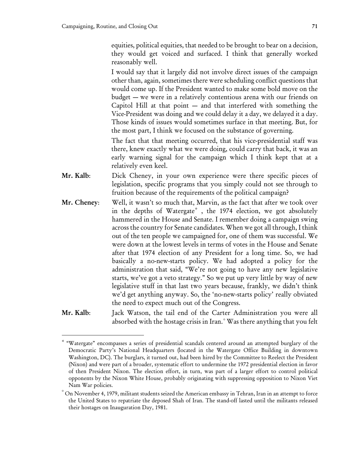equities, political equities, that needed to be brought to bear on a decision, they would get voiced and surfaced. I think that generally worked reasonably well.

I would say that it largely did not involve direct issues of the campaign other than, again, sometimes there were scheduling conflict questions that would come up. If the President wanted to make some bold move on the budget — we were in a relatively contentious arena with our friends on Capitol Hill at that point — and that interfered with something the Vice-President was doing and we could delay it a day, we delayed it a day. Those kinds of issues would sometimes surface in that meeting. But, for the most part, I think we focused on the substance of governing.

The fact that that meeting occurred, that his vice-presidential staff was there, knew exactly what we were doing, could carry that back, it was an early warning signal for the campaign which I think kept that at a relatively even keel.

- Mr. Kalb: Dick Cheney, in your own experience were there specific pieces of legislation, specific programs that you simply could not see through to fruition because of the requirements of the political campaign?
- Mr. Cheney: Well, it wasn't so much that, Marvin, as the fact that after we took over in the depths of Watergate[\\*](#page-81-0) , the 1974 election, we got absolutely hammered in the House and Senate. I remember doing a campaign swing across the country for Senate candidates. When we got all through, I think out of the ten people we campaigned for, one of them was successful. We were down at the lowest levels in terms of votes in the House and Senate after that 1974 election of any President for a long time. So, we had basically a no-new-starts policy. We had adopted a policy for the administration that said, "We're not going to have any new legislative starts, we've got a veto strategy." So we put up very little by way of new legislative stuff in that last two years because, frankly, we didn't think we'd get anything anyway. So, the 'no-new-starts policy' really obviated the need to expect much out of the Congress.
- Mr. Kalb: Jack Watson, the tail end of the Carter Administration you were all absorbed with the hostage crisis in Iran.[°](#page-81-1) Was there anything that you felt

 <sup>\*</sup> "Watergate" encompasses a series of presidential scandals centered around an attempted burglary of the Democratic Party's National Headquarters (located in the Watergate Office Building in downtown Washington, DC). The burglars, it turned out, had been hired by the Committee to Reelect the President (Nixon) and were part of a broader, systematic effort to undermine the 1972 presidential election in favor of then President Nixon. The election effort, in turn, was part of a larger effort to control political opponents by the Nixon White House, probably originating with suppressing opposition to Nixon Viet Nam War policies.

<sup>°</sup> On November 4, 1979, militant students seized the American embassy in Tehran, Iran in an attempt to force the United States to repatriate the deposed Shah of Iran. The stand-off lasted until the militants released their hostages on Inauguration Day, 1981.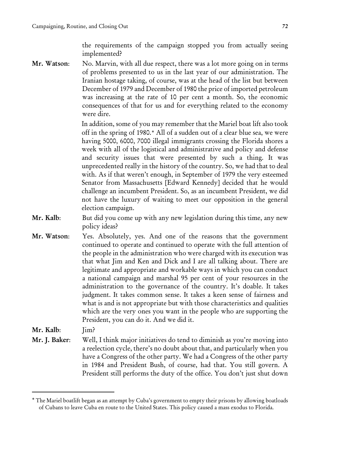the requirements of the campaign stopped you from actually seeing implemented?

Mr. Watson: No. Marvin, with all due respect, there was a lot more going on in terms of problems presented to us in the last year of our administration. The Iranian hostage taking, of course, was at the head of the list but between December of 1979 and December of 1980 the price of imported petroleum was increasing at the rate of 10 per cent a month. So, the economic consequences of that for us and for everything related to the economy were dire.

> In addition, some of you may remember that the Mariel boat lift also took off in the spring of 1980.[∗](#page-81-2) All of a sudden out of a clear blue sea, we were having 5000, 6000, 7000 illegal immigrants crossing the Florida shores a week with all of the logistical and administrative and policy and defense and security issues that were presented by such a thing. It was unprecedented really in the history of the country. So, we had that to deal with. As if that weren't enough, in September of 1979 the very esteemed Senator from Massachusetts [Edward Kennedy] decided that he would challenge an incumbent President. So, as an incumbent President, we did not have the luxury of waiting to meet our opposition in the general election campaign.

- Mr. Kalb: But did you come up with any new legislation during this time, any new policy ideas?
- Mr. Watson: Yes. Absolutely, yes. And one of the reasons that the government continued to operate and continued to operate with the full attention of the people in the administration who were charged with its execution was that what Jim and Ken and Dick and I are all talking about. There are legitimate and appropriate and workable ways in which you can conduct a national campaign and marshal 95 per cent of your resources in the administration to the governance of the country. It's doable. It takes judgment. It takes common sense. It takes a keen sense of fairness and what is and is not appropriate but with those characteristics and qualities which are the very ones you want in the people who are supporting the President, you can do it. And we did it.

Mr. Kalb: Jim?

 $\overline{a}$ 

Mr. J. Baker: Well, I think major initiatives do tend to diminish as you're moving into a reelection cycle, there's no doubt about that, and particularly when you have a Congress of the other party. We had a Congress of the other party in 1984 and President Bush, of course, had that. You still govern. A President still performs the duty of the office. You don't just shut down

<sup>∗</sup> The Mariel boatlift began as an attempt by Cuba's government to empty their prisons by allowing boatloads of Cubans to leave Cuba en route to the United States. This policy caused a mass exodus to Florida.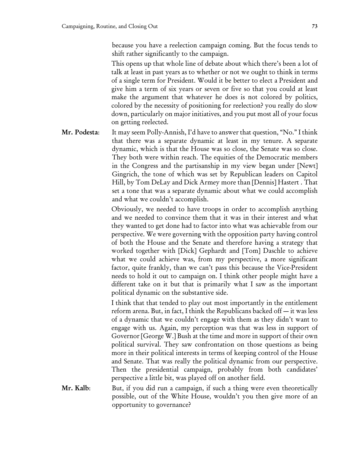because you have a reelection campaign coming. But the focus tends to shift rather significantly to the campaign.

This opens up that whole line of debate about which there's been a lot of talk at least in past years as to whether or not we ought to think in terms of a single term for President. Would it be better to elect a President and give him a term of six years or seven or five so that you could at least make the argument that whatever he does is not colored by politics, colored by the necessity of positioning for reelection? you really do slow down, particularly on major initiatives, and you put most all of your focus on getting reelected.

Mr. Podesta: It may seem Polly-Annish, I'd have to answer that question, "No." I think that there was a separate dynamic at least in my tenure. A separate dynamic, which is that the House was so close, the Senate was so close. They both were within reach. The equities of the Democratic members in the Congress and the partisanship in my view began under [Newt] Gingrich, the tone of which was set by Republican leaders on Capitol Hill, by Tom DeLay and Dick Armey more than [Dennis] Hastert . That set a tone that was a separate dynamic about what we could accomplish and what we couldn't accomplish.

> Obviously, we needed to have troops in order to accomplish anything and we needed to convince them that it was in their interest and what they wanted to get done had to factor into what was achievable from our perspective. We were governing with the opposition party having control of both the House and the Senate and therefore having a strategy that worked together with [Dick] Gephardt and [Tom] Daschle to achieve what we could achieve was, from my perspective, a more significant factor, quite frankly, than we can't pass this because the Vice-President needs to hold it out to campaign on. I think other people might have a different take on it but that is primarily what I saw as the important political dynamic on the substantive side.

> I think that that tended to play out most importantly in the entitlement reform arena. But, in fact, I think the Republicans backed off — it was less of a dynamic that we couldn't engage with them as they didn't want to engage with us. Again, my perception was that was less in support of Governor [George W.] Bush at the time and more in support of their own political survival. They saw confrontation on those questions as being more in their political interests in terms of keeping control of the House and Senate. That was really the political dynamic from our perspective. Then the presidential campaign, probably from both candidates' perspective a little bit, was played off on another field.

Mr. Kalb: But, if you did run a campaign, if such a thing were even theoretically possible, out of the White House, wouldn't you then give more of an opportunity to governance?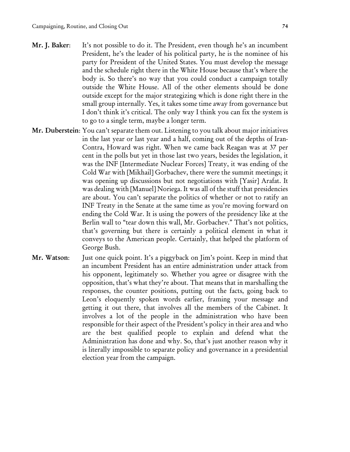- Mr. J. Baker: It's not possible to do it. The President, even though he's an incumbent President, he's the leader of his political party, he is the nominee of his party for President of the United States. You must develop the message and the schedule right there in the White House because that's where the body is. So there's no way that you could conduct a campaign totally outside the White House. All of the other elements should be done outside except for the major strategizing which is done right there in the small group internally. Yes, it takes some time away from governance but I don't think it's critical. The only way I think you can fix the system is to go to a single term, maybe a longer term.
- Mr. Duberstein: You can't separate them out. Listening to you talk about major initiatives in the last year or last year and a half, coming out of the depths of Iran-Contra, Howard was right. When we came back Reagan was at 37 per cent in the polls but yet in those last two years, besides the legislation, it was the INF [Intermediate Nuclear Forces] Treaty, it was ending of the Cold War with [Mikhail] Gorbachev, there were the summit meetings; it was opening up discussions but not negotiations with [Yasir] Arafat. It was dealing with [Manuel] Noriega. It was all of the stuff that presidencies are about. You can't separate the politics of whether or not to ratify an INF Treaty in the Senate at the same time as you're moving forward on ending the Cold War. It is using the powers of the presidency like at the Berlin wall to "tear down this wall, Mr. Gorbachev." That's not politics, that's governing but there is certainly a political element in what it conveys to the American people. Certainly, that helped the platform of George Bush.
- Mr. Watson: Just one quick point. It's a piggyback on Jim's point. Keep in mind that an incumbent President has an entire administration under attack from his opponent, legitimately so. Whether you agree or disagree with the opposition, that's what they're about. That means that in marshalling the responses, the counter positions, putting out the facts, going back to Leon's eloquently spoken words earlier, framing your message and getting it out there, that involves all the members of the Cabinet. It involves a lot of the people in the administration who have been responsible for their aspect of the President's policy in their area and who are the best qualified people to explain and defend what the Administration has done and why. So, that's just another reason why it is literally impossible to separate policy and governance in a presidential election year from the campaign.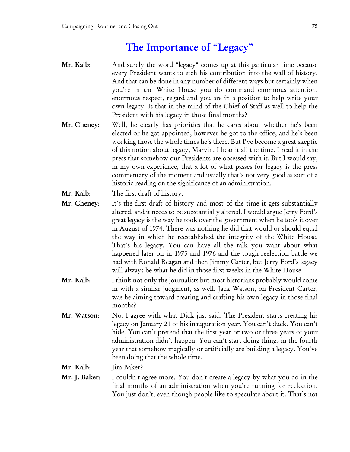# The Importance of "Legacy"

- Mr. Kalb: And surely the word "legacy" comes up at this particular time because every President wants to etch his contribution into the wall of history. And that can be done in any number of different ways but certainly when you're in the White House you do command enormous attention, enormous respect, regard and you are in a position to help write your own legacy. Is that in the mind of the Chief of Staff as well to help the President with his legacy in those final months?
- Mr. Cheney: Well, he clearly has priorities that he cares about whether he's been elected or he got appointed, however he got to the office, and he's been working those the whole times he's there. But I've become a great skeptic of this notion about legacy, Marvin. I hear it all the time. I read it in the press that somehow our Presidents are obsessed with it. But I would say, in my own experience, that a lot of what passes for legacy is the press commentary of the moment and usually that's not very good as sort of a historic reading on the significance of an administration.
- Mr. Kalb: The first draft of history.
- Mr. Cheney: It's the first draft of history and most of the time it gets substantially altered, and it needs to be substantially altered. I would argue Jerry Ford's great legacy is the way he took over the government when he took it over in August of 1974. There was nothing he did that would or should equal the way in which he reestablished the integrity of the White House. That's his legacy. You can have all the talk you want about what happened later on in 1975 and 1976 and the tough reelection battle we had with Ronald Reagan and then Jimmy Carter, but Jerry Ford's legacy will always be what he did in those first weeks in the White House.
- Mr. Kalb: I think not only the journalists but most historians probably would come in with a similar judgment, as well. Jack Watson, on President Carter, was he aiming toward creating and crafting his own legacy in those final months?
- Mr. Watson: No. I agree with what Dick just said. The President starts creating his legacy on January 21 of his inauguration year. You can't duck. You can't hide. You can't pretend that the first year or two or three years of your administration didn't happen. You can't start doing things in the fourth year that somehow magically or artificially are building a legacy. You've been doing that the whole time.

Mr. Kalb: Jim Baker?

Mr. J. Baker: I couldn't agree more. You don't create a legacy by what you do in the final months of an administration when you're running for reelection. You just don't, even though people like to speculate about it. That's not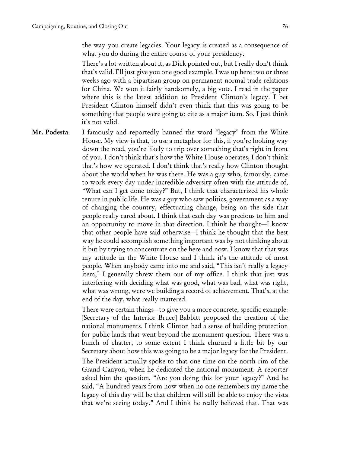the way you create legacies. Your legacy is created as a consequence of what you do during the entire course of your presidency.

There's a lot written about it, as Dick pointed out, but I really don't think that's valid. I'll just give you one good example. I was up here two or three weeks ago with a bipartisan group on permanent normal trade relations for China. We won it fairly handsomely, a big vote. I read in the paper where this is the latest addition to President Clinton's legacy. I bet President Clinton himself didn't even think that this was going to be something that people were going to cite as a major item. So, I just think it's not valid.

Mr. Podesta: I famously and reportedly banned the word "legacy" from the White House. My view is that, to use a metaphor for this, if you're looking way down the road, you're likely to trip over something that's right in front of you. I don't think that's how the White House operates; I don't think that's how we operated. I don't think that's really how Clinton thought about the world when he was there. He was a guy who, famously, came to work every day under incredible adversity often with the attitude of, "What can I get done today?" But, I think that characterized his whole tenure in public life. He was a guy who saw politics, government as a way of changing the country, effectuating change, being on the side that people really cared about. I think that each day was precious to him and an opportunity to move in that direction. I think he thought—I know that other people have said otherwise—I think he thought that the best way he could accomplish something important was by not thinking about it but by trying to concentrate on the here and now. I know that that was my attitude in the White House and I think it's the attitude of most people. When anybody came into me and said, "This isn't really a legacy item," I generally threw them out of my office. I think that just was interfering with deciding what was good, what was bad, what was right, what was wrong, were we building a record of achievement. That's, at the end of the day, what really mattered.

> There were certain things—to give you a more concrete, specific example: [Secretary of the Interior Bruce] Babbitt proposed the creation of the national monuments. I think Clinton had a sense of building protection for public lands that went beyond the monument question. There was a bunch of chatter, to some extent I think churned a little bit by our Secretary about how this was going to be a major legacy for the President. The President actually spoke to that one time on the north rim of the Grand Canyon, when he dedicated the national monument. A reporter asked him the question, "Are you doing this for your legacy?" And he said, "A hundred years from now when no one remembers my name the legacy of this day will be that children will still be able to enjoy the vista that we're seeing today." And I think he really believed that. That was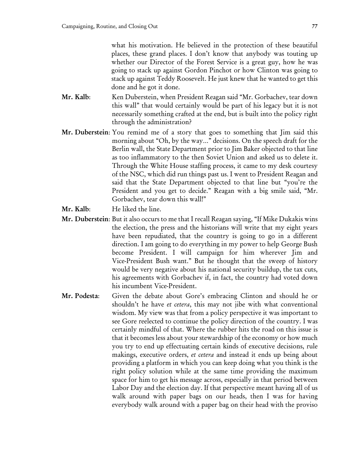what his motivation. He believed in the protection of these beautiful places, these grand places. I don't know that anybody was touting up whether our Director of the Forest Service is a great guy, how he was going to stack up against Gordon Pinchot or how Clinton was going to stack up against Teddy Roosevelt. He just knew that he wanted to get this done and he got it done.

- Mr. Kalb: Ken Duberstein, when President Reagan said "Mr. Gorbachev, tear down this wall" that would certainly would be part of his legacy but it is not necessarily something crafted at the end, but is built into the policy right through the administration?
- Mr. Duberstein: You remind me of a story that goes to something that Jim said this morning about "Oh, by the way…" decisions. On the speech draft for the Berlin wall, the State Department prior to Jim Baker objected to that line as too inflammatory to the then Soviet Union and asked us to delete it. Through the White House staffing process, it came to my desk courtesy of the NSC, which did run things past us. I went to President Reagan and said that the State Department objected to that line but "you're the President and you get to decide." Reagan with a big smile said, "Mr. Gorbachev, tear down this wall!"
- Mr. Kalb: He liked the line.
- Mr. Duberstein: But it also occurs to me that I recall Reagan saying, "If Mike Dukakis wins the election, the press and the historians will write that my eight years have been repudiated, that the country is going to go in a different direction. I am going to do everything in my power to help George Bush become President. I will campaign for him wherever Jim and Vice-President Bush want." But he thought that the sweep of history would be very negative about his national security buildup, the tax cuts, his agreements with Gorbachev if, in fact, the country had voted down his incumbent Vice-President.
- Mr. Podesta: Given the debate about Gore's embracing Clinton and should he or shouldn't he have *et cetera*, this may not jibe with what conventional wisdom. My view was that from a policy perspective it was important to see Gore reelected to continue the policy direction of the country. I was certainly mindful of that. Where the rubber hits the road on this issue is that it becomes less about your stewardship of the economy or how much you try to end up effectuating certain kinds of executive decisions, rule makings, executive orders, *et cetera* and instead it ends up being about providing a platform in which you can keep doing what you think is the right policy solution while at the same time providing the maximum space for him to get his message across, especially in that period between Labor Day and the election day. If that perspective meant having all of us walk around with paper bags on our heads, then I was for having everybody walk around with a paper bag on their head with the proviso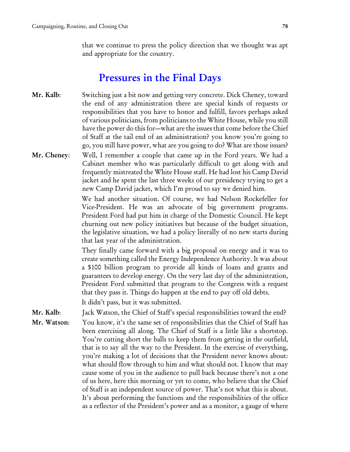that we continue to press the policy direction that we thought was apt and appropriate for the country.

#### Pressures in the Final Days

- Mr. Kalb: Switching just a bit now and getting very concrete. Dick Cheney, toward the end of any administration there are special kinds of requests or responsibilities that you have to honor and fulfill, favors perhaps asked of various politicians, from politicians to the White House, while you still have the power do this for—what are the issues that come before the Chief of Staff at the tail end of an administration? you know you're going to go, you still have power, what are you going to do? What are those issues?
- Mr. Cheney: Well, I remember a couple that came up in the Ford years. We had a Cabinet member who was particularly difficult to get along with and frequently mistreated the White House staff. He had lost his Camp David jacket and he spent the last three weeks of our presidency trying to get a new Camp David jacket, which I'm proud to say we denied him.

We had another situation. Of course, we had Nelson Rockefeller for Vice-President. He was an advocate of big government programs. President Ford had put him in charge of the Domestic Council. He kept churning out new policy initiatives but because of the budget situation, the legislative situation, we had a policy literally of no new starts during that last year of the administration.

They finally came forward with a big proposal on energy and it was to create something called the Energy Independence Authority. It was about a \$100 billion program to provide all kinds of loans and grants and guarantees to develop energy. On the very last day of the administration, President Ford submitted that program to the Congress with a request that they pass it. Things do happen at the end to pay off old debts.

It didn't pass, but it was submitted.

Mr. Kalb: Jack Watson, the Chief of Staff's special responsibilities toward the end?

<span id="page-81-2"></span><span id="page-81-1"></span><span id="page-81-0"></span>Mr. Watson: You know, it's the same set of responsibilities that the Chief of Staff has been exercising all along. The Chief of Staff is a little like a shortstop. You're cutting short the balls to keep them from getting in the outfield, that is to say all the way to the President. In the exercise of everything, you're making a lot of decisions that the President never knows about: what should flow through to him and what should not. I know that may cause some of you in the audience to pull back because there's not a one of us here, here this morning or yet to come, who believe that the Chief of Staff is an independent source of power. That's not what this is about. It's about performing the functions and the responsibilities of the office as a reflector of the President's power and as a monitor, a gauge of where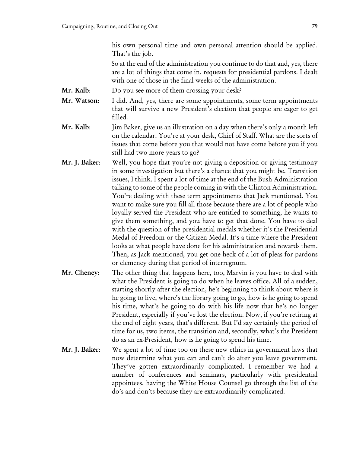his own personal time and own personal attention should be applied. That's the job.

So at the end of the administration you continue to do that and, yes, there are a lot of things that come in, requests for presidential pardons. I dealt with one of those in the final weeks of the administration.

Mr. Kalb: Do you see more of them crossing your desk?

- Mr. Watson: I did. And, yes, there are some appointments, some term appointments that will survive a new President's election that people are eager to get filled.
- Mr. Kalb: Jim Baker, give us an illustration on a day when there's only a month left on the calendar. You're at your desk, Chief of Staff. What are the sorts of issues that come before you that would not have come before you if you still had two more years to go?
- Mr. J. Baker: Well, you hope that you're not giving a deposition or giving testimony in some investigation but there's a chance that you might be. Transition issues, I think. I spent a lot of time at the end of the Bush Administration talking to some of the people coming in with the Clinton Administration. You're dealing with these term appointments that Jack mentioned. You want to make sure you fill all those because there are a lot of people who loyally served the President who are entitled to something, he wants to give them something, and you have to get that done. You have to deal with the question of the presidential medals whether it's the Presidential Medal of Freedom or the Citizen Medal. It's a time where the President looks at what people have done for his administration and rewards them. Then, as Jack mentioned, you get one heck of a lot of pleas for pardons or clemency during that period of interregnum.
- Mr. Cheney: The other thing that happens here, too, Marvin is you have to deal with what the President is going to do when he leaves office. All of a sudden, starting shortly after the election, he's beginning to think about where is he going to live, where's the library going to go, how is he going to spend his time, what's he going to do with his life now that he's no longer President, especially if you've lost the election. Now, if you're retiring at the end of eight years, that's different. But I'd say certainly the period of time for us, two items, the transition and, secondly, what's the President do as an ex-President, how is he going to spend his time.
- Mr. J. Baker: We spent a lot of time too on these new ethics in government laws that now determine what you can and can't do after you leave government. They've gotten extraordinarily complicated. I remember we had a number of conferences and seminars, particularly with presidential appointees, having the White House Counsel go through the list of the do's and don'ts because they are extraordinarily complicated.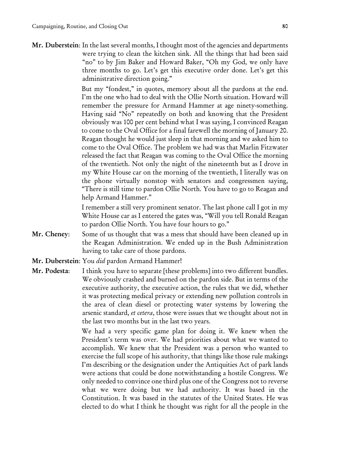Mr. Duberstein: In the last several months, I thought most of the agencies and departments were trying to clean the kitchen sink. All the things that had been said "no" to by Jim Baker and Howard Baker, "Oh my God, we only have three months to go. Let's get this executive order done. Let's get this administrative direction going."

> But my "fondest," in quotes, memory about all the pardons at the end. I'm the one who had to deal with the Ollie North situation. Howard will remember the pressure for Armand Hammer at age ninety-something. Having said "No" repeatedly on both and knowing that the President obviously was 100 per cent behind what I was saying, I convinced Reagan to come to the Oval Office for a final farewell the morning of January 20. Reagan thought he would just sleep in that morning and we asked him to come to the Oval Office. The problem we had was that Marlin Fitzwater released the fact that Reagan was coming to the Oval Office the morning of the twentieth. Not only the night of the nineteenth but as I drove in my White House car on the morning of the twentieth, I literally was on the phone virtually nonstop with senators and congressmen saying, "There is still time to pardon Ollie North. You have to go to Reagan and help Armand Hammer."

> I remember a still very prominent senator. The last phone call I got in my White House car as I entered the gates was, "Will you tell Ronald Reagan to pardon Ollie North. You have four hours to go."

- Mr. Cheney: Some of us thought that was a mess that should have been cleaned up in the Reagan Administration. We ended up in the Bush Administration having to take care of those pardons.
- Mr. Duberstein: You *did* pardon Armand Hammer!
- Mr. Podesta: I think you have to separate [these problems] into two different bundles. We obviously crashed and burned on the pardon side. But in terms of the executive authority, the executive action, the rules that we did, whether it was protecting medical privacy or extending new pollution controls in the area of clean diesel or protecting water systems by lowering the arsenic standard, *et cetera*, those were issues that we thought about not in the last two months but in the last two years.

We had a very specific game plan for doing it. We knew when the President's term was over. We had priorities about what we wanted to accomplish. We knew that the President was a person who wanted to exercise the full scope of his authority, that things like those rule makings I'm describing or the designation under the Antiquities Act of park lands were actions that could be done notwithstanding a hostile Congress. We only needed to convince one third plus one of the Congress not to reverse what we were doing but we had authority. It was based in the Constitution. It was based in the statutes of the United States. He was elected to do what I think he thought was right for all the people in the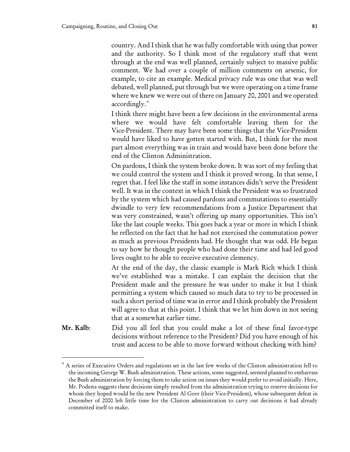country. And I think that he was fully comfortable with using that power and the authority. So I think most of the regulatory stuff that went through at the end was well planned, certainly subject to massive public comment. We had over a couple of million comments on arsenic, for example, to cite an example. Medical privacy rule was one that was well debated, well planned, put through but we were operating on a time frame where we knew we were out of there on January 20, 2001 and we operated accordingly.[\\*](#page-91-0)

I think there might have been a few decisions in the environmental arena where we would have felt comfortable leaving them for the Vice-President. There may have been some things that the Vice-President would have liked to have gotten started with. But, I think for the most part almost everything was in train and would have been done before the end of the Clinton Administration.

On pardons, I think the system broke down. It was sort of my feeling that we could control the system and I think it proved wrong. In that sense, I regret that. I feel like the staff in some instances didn't serve the President well. It was in the context in which I think the President was so frustrated by the system which had caused pardons and commutations to essentially dwindle to very few recommendations from a Justice Department that was very constrained, wasn't offering up many opportunities. This isn't like the last couple weeks. This goes back a year or more in which I think he reflected on the fact that he had not exercised the commutation power as much as previous Presidents had. He thought that was odd. He began to say how he thought people who had done their time and had led good lives ought to be able to receive executive clemency.

At the end of the day, the classic example is Mark Rich which I think we've established was a mistake. I can explain the decision that the President made and the pressure he was under to make it but I think permitting a system which caused so much data to try to be processed in such a short period of time was in error and I think probably the President will agree to that at this point. I think that we let him down in not seeing that at a somewhat earlier time.

Mr. Kalb: Did you all feel that you could make a lot of these final favor-type decisions without reference to the President? Did you have enough of his trust and access to be able to move forward without checking with him?

A series of Executive Orders and regulations set in the last few weeks of the Clinton administration fell to the incoming George W. Bush administration. These actions, some suggested, seemed planned to embarrass the Bush administration by forcing them to take action on issues they would prefer to avoid initially. Here, Mr. Podesta suggests these decisions simply resulted from the administration trying to reserve decisions for whom they hoped would be the new President Al Gore (their Vice-President), whose subsequent defeat in December of 2000 left little time for the Clinton administration to carry out decisions it had already committed itself to make.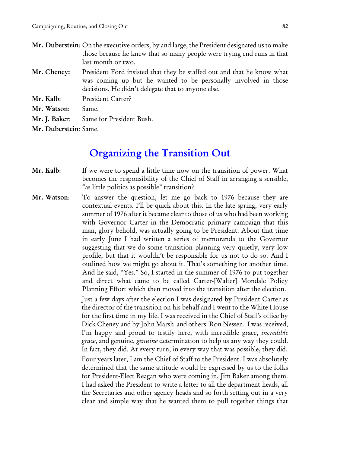- Mr. Duberstein: On the executive orders, by and large, the President designated us to make those because he knew that so many people were trying end runs in that last month or two.
- Mr. Cheney: President Ford insisted that they be staffed out and that he know what was coming up but he wanted to be personally involved in those decisions. He didn't delegate that to anyone else.
- Mr. Kalb: President Carter?
- Mr. Watson: Same.
- Mr. J. Baker: Same for President Bush.
- Mr. Duberstein: Same.

#### Organizing the Transition Out

- Mr. Kalb: If we were to spend a little time now on the transition of power. What becomes the responsibility of the Chief of Staff in arranging a sensible, "as little politics as possible" transition?
- Mr. Watson: To answer the question, let me go back to 1976 because they are contextual events. I'll be quick about this. In the late spring, very early summer of 1976 after it became clear to those of us who had been working with Governor Carter in the Democratic primary campaign that this man, glory behold, was actually going to be President. About that time in early June I had written a series of memoranda to the Governor suggesting that we do some transition planning very quietly, very low profile, but that it wouldn't be responsible for us not to do so. And I outlined how we might go about it. That's something for another time. And he said, "Yes." So, I started in the summer of 1976 to put together and direct what came to be called Carter-[Walter] Mondale Policy Planning Effort which then moved into the transition after the election. Just a few days after the election I was designated by President Carter as the director of the transition on his behalf and I went to the White House for the first time in my life. I was received in the Chief of Staff's office by Dick Cheney and by John Marsh and others. Ron Nessen. I was received, I'm happy and proud to testify here, with incredible grace, *incredible grace*, and genuine, *genuine* determination to help us any way they could. In fact, they did. At every turn, in every way that was possible, they did. Four years later, I am the Chief of Staff to the President. I was absolutely determined that the same attitude would be expressed by us to the folks for President-Elect Reagan who were coming in, Jim Baker among them. I had asked the President to write a letter to all the department heads, all the Secretaries and other agency heads and so forth setting out in a very

clear and simple way that he wanted them to pull together things that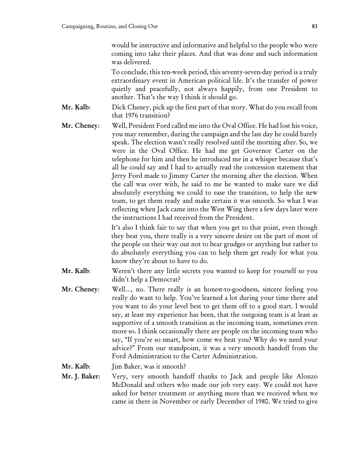would be instructive and informative and helpful to the people who were coming into take their places. And that was done and such information was delivered.

To conclude, this ten-week period, this seventy-seven-day period is a truly extraordinary event in American political life. It's the transfer of power quietly and peacefully, not always happily, from one President to another. That's the way I think it should go.

- Mr. Kalb: Dick Cheney, pick up the first part of that story. What do you recall from that 1976 transition?
- Mr. Cheney: Well, President Ford called me into the Oval Office. He had lost his voice, you may remember, during the campaign and the last day he could barely speak. The election wasn't really resolved until the morning after. So, we were in the Oval Office. He had me get Governor Carter on the telephone for him and then he introduced me in a whisper because that's all he could say and I had to actually read the concession statement that Jerry Ford made to Jimmy Carter the morning after the election. When the call was over with, he said to me he wanted to make sure we did absolutely everything we could to ease the transition, to help the new team, to get them ready and make certain it was smooth. So what I was reflecting when Jack came into the West Wing there a few days later were the instructions I had received from the President.

It's also I think fair to say that when you get to that point, even though they beat you, there really is a very sincere desire on the part of most of the people on their way out not to bear grudges or anything but rather to do absolutely everything you can to help them get ready for what you know they're about to have to do.

- Mr. Kalb: Weren't there any little secrets you wanted to keep for yourself so you didn't help a Democrat?
- Mr. Cheney: Well…, no. There really is an honest-to-goodness, sincere feeling you really do want to help. You've learned a lot during your time there and you want to do your level best to get them off to a good start. I would say, at least my experience has been, that the outgoing team is at least as supportive of a smooth transition as the incoming team, sometimes even more so. I think occasionally there are people on the incoming team who say, "If you're so smart, how come we beat you? Why do we need your advice?" From our standpoint, it was a very smooth handoff from the Ford Administration to the Carter Administration.

Mr. Kalb: Jim Baker, was it smooth?

Mr. J. Baker: Very, very smooth handoff thanks to Jack and people like Alonzo McDonald and others who made our job very easy. We could not have asked for better treatment or anything more than we received when we came in there in November or early December of 1980. We tried to give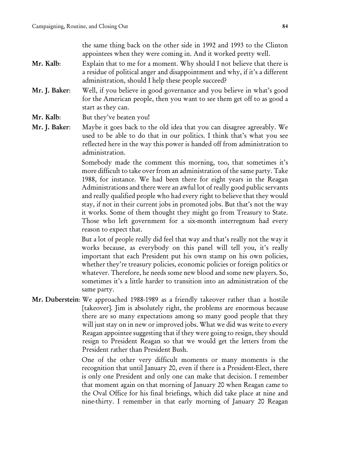the same thing back on the other side in 1992 and 1993 to the Clinton appointees when they were coming in. And it worked pretty well.

- Mr. Kalb: Explain that to me for a moment. Why should I not believe that there is a residue of political anger and disappointment and why, if it's a different administration, should I help these people succeed?
- Mr. J. Baker: Well, if you believe in good governance and you believe in what's good for the American people, then you want to see them get off to as good a start as they can.

Mr. Kalb: But they've beaten you!

Mr. J. Baker: Maybe it goes back to the old idea that you can disagree agreeably. We used to be able to do that in our politics. I think that's what you see reflected here in the way this power is handed off from administration to administration.

> Somebody made the comment this morning, too, that sometimes it's more difficult to take over from an administration of the same party. Take 1988, for instance. We had been there for eight years in the Reagan Administrations and there were an awful lot of really good public servants and really qualified people who had every right to believe that they would stay, if not in their current jobs in promoted jobs. But that's not the way it works. Some of them thought they might go from Treasury to State. Those who left government for a six-month interregnum had every reason to expect that.

> But a lot of people really did feel that way and that's really not the way it works because, as everybody on this panel will tell you, it's really important that each President put his own stamp on his own policies, whether they're treasury policies, economic policies or foreign politics or whatever. Therefore, he needs some new blood and some new players. So, sometimes it's a little harder to transition into an administration of the same party.

Mr. Duberstein: We approached 1988-1989 as a friendly takeover rather than a hostile [takeover]. Jim is absolutely right, the problems are enormous because there are so many expectations among so many good people that they will just stay on in new or improved jobs. What we did was write to every Reagan appointee suggesting that if they were going to resign, they should resign to President Reagan so that we would get the letters from the President rather than President Bush.

> One of the other very difficult moments or many moments is the recognition that until January 20, even if there is a President-Elect, there is only one President and only one can make that decision. I remember that moment again on that morning of January 20 when Reagan came to the Oval Office for his final briefings, which did take place at nine and nine-thirty. I remember in that early morning of January 20 Reagan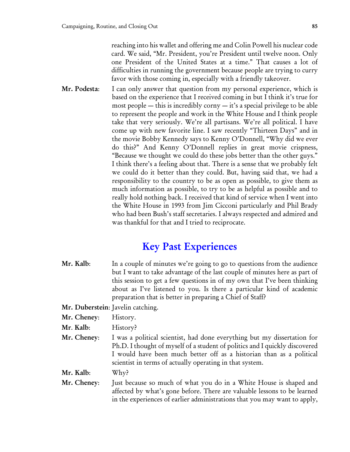reaching into his wallet and offering me and Colin Powell his nuclear code card. We said, "Mr. President, you're President until twelve noon. Only one President of the United States at a time." That causes a lot of difficulties in running the government because people are trying to curry favor with those coming in, especially with a friendly takeover.

Mr. Podesta: I can only answer that question from my personal experience, which is based on the experience that I received coming in but I think it's true for most people  $-$  this is incredibly corny  $-$  it's a special privilege to be able to represent the people and work in the White House and I think people take that very seriously. We're all partisans. We're all political. I have come up with new favorite line. I saw recently "Thirteen Days" and in the movie Bobby Kennedy says to Kenny O'Donnell, "Why did we ever do this?" And Kenny O'Donnell replies in great movie crispness, "Because we thought we could do these jobs better than the other guys." I think there's a feeling about that. There is a sense that we probably felt we could do it better than they could. But, having said that, we had a responsibility to the country to be as open as possible, to give them as much information as possible, to try to be as helpful as possible and to really hold nothing back. I received that kind of service when I went into the White House in 1993 from Jim Cicconi particularly and Phil Brady who had been Bush's staff secretaries. I always respected and admired and was thankful for that and I tried to reciprocate.

#### Key Past Experiences

Mr. Kalb: In a couple of minutes we're going to go to questions from the audience but I want to take advantage of the last couple of minutes here as part of this session to get a few questions in of my own that I've been thinking about as I've listened to you. Is there a particular kind of academic preparation that is better in preparing a Chief of Staff?

Mr. Duberstein: Javelin catching.

- Mr. Cheney: History.
- Mr. Kalb: History?
- Mr. Cheney: I was a political scientist, had done everything but my dissertation for Ph.D. I thought of myself of a student of politics and I quickly discovered I would have been much better off as a historian than as a political scientist in terms of actually operating in that system.
- Mr. Kalb: Why?
- Mr. Cheney: Just because so much of what you do in a White House is shaped and affected by what's gone before. There are valuable lessons to be learned in the experiences of earlier administrations that you may want to apply,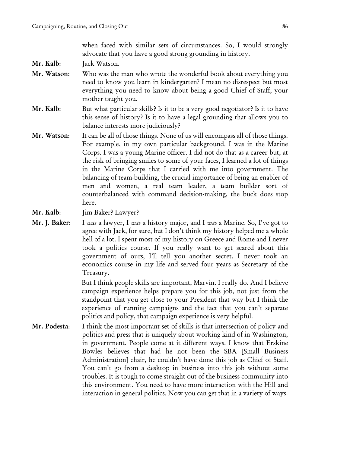when faced with similar sets of circumstances. So, I would strongly advocate that you have a good strong grounding in history.

- Mr. Kalb: Jack Watson.
- Mr. Watson: Who was the man who wrote the wonderful book about everything you need to know you learn in kindergarten? I mean no disrespect but most everything you need to know about being a good Chief of Staff, your mother taught you.
- Mr. Kalb: But what particular skills? Is it to be a very good negotiator? Is it to have this sense of history? Is it to have a legal grounding that allows you to balance interests more judiciously?
- Mr. Watson: It can be all of those things. None of us will encompass all of those things. For example, in my own particular background. I was in the Marine Corps. I was a young Marine officer. I did not do that as a career but, at the risk of bringing smiles to some of your faces, I learned a lot of things in the Marine Corps that I carried with me into government. The balancing of team-building, the crucial importance of being an enabler of men and women, a real team leader, a team builder sort of counterbalanced with command decision-making, the buck does stop here.

Mr. Kalb: Jim Baker? Lawyer?

Mr. J. Baker: I *was* a lawyer, I *was* a history major, and I *was* a Marine. So, I've got to agree with Jack, for sure, but I don't think my history helped me a whole hell of a lot. I spent most of my history on Greece and Rome and I never took a politics course. If you really want to get scared about this government of ours, I'll tell you another secret. I never took an economics course in my life and served four years as Secretary of the Treasury.

> But I think people skills are important, Marvin. I really do. And I believe campaign experience helps prepare you for this job, not just from the standpoint that you get close to your President that way but I think the experience of running campaigns and the fact that you can't separate politics and policy, that campaign experience is very helpful.

Mr. Podesta: I think the most important set of skills is that intersection of policy and politics and press that is uniquely about working kind of in Washington, in government. People come at it different ways. I know that Erskine Bowles believes that had he not been the SBA [Small Business Administration] chair, he couldn't have done this job as Chief of Staff. You can't go from a desktop in business into this job without some troubles. It is tough to come straight out of the business community into this environment. You need to have more interaction with the Hill and interaction in general politics. Now you can get that in a variety of ways.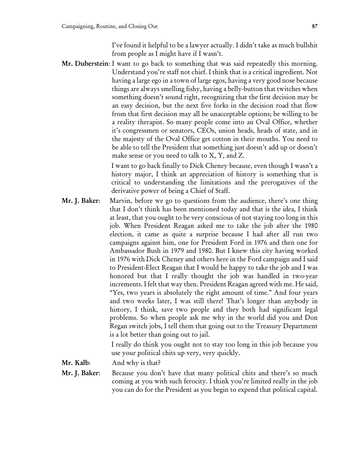I've found it helpful to be a lawyer actually. I didn't take as much bullshit from people as I might have if I wasn't.

Mr. Duberstein: I want to go back to something that was said repeatedly this morning. Understand you're staff not chief. I think that is a critical ingredient. Not having a large ego in a town of large egos, having a very good nose because things are always smelling fishy, having a belly-button that twitches when something doesn't sound right, recognizing that the first decision may be an easy decision, but the next five forks in the decision road that flow from that first decision may all be unacceptable options; be willing to be a reality therapist. So many people come into an Oval Office, whether it's congressmen or senators, CEOs, union heads, heads of state, and in the majesty of the Oval Office get cotton in their mouths. You need to be able to tell the President that something just doesn't add up or doesn't make sense or you need to talk to X, Y, and Z.

> I want to go back finally to Dick Cheney because, even though I wasn't a history major, I think an appreciation of history is something that is critical to understanding the limitations and the prerogatives of the derivative power of being a Chief of Staff.

Mr. J. Baker: Marvin, before we go to questions from the audience, there's one thing that I don't think has been mentioned today and that is the idea, I think at least, that you ought to be very conscious of not staying too long in this job. When President Reagan asked me to take the job after the 1980 election, it came as quite a surprise because I had after all run two campaigns against him, one for President Ford in 1976 and then one for Ambassador Bush in 1979 and 1980. But I knew this city having worked in 1976 with Dick Cheney and others here in the Ford campaign and I said to President-Elect Reagan that I would be happy to take the job and I was honored but that I really thought the job was handled in two-year increments. I felt that way then. President Reagan agreed with me. He said, "Yes, two years is absolutely the right amount of time." And four years and two weeks later, I was still there! That's longer than anybody in history, I think, save two people and they both had significant legal problems. So when people ask me why in the world did you and Don Regan switch jobs, I tell them that going out to the Treasury Department is a lot better than going out to jail.

> I really do think you ought not to stay too long in this job because you use your political chits up very, very quickly.

- Mr. Kalb: And why is that?
- Mr. J. Baker: Because you don't have that many political chits and there's so much coming at you with such ferocity. I think you're limited really in the job you can do for the President as you begin to expend that political capital.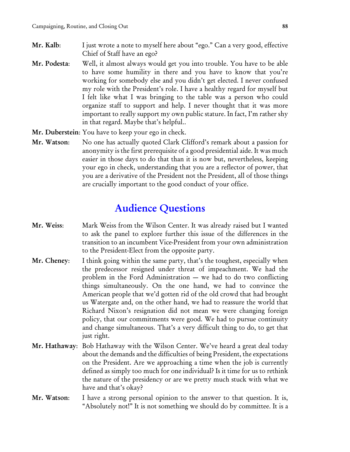- Mr. Kalb: I just wrote a note to myself here about "ego." Can a very good, effective Chief of Staff have an ego?
- Mr. Podesta: Well, it almost always would get you into trouble. You have to be able to have some humility in there and you have to know that you're working for somebody else and you didn't get elected. I never confused my role with the President's role. I have a healthy regard for myself but I felt like what I was bringing to the table was a person who could organize staff to support and help. I never thought that it was more important to really support my own public stature. In fact, I'm rather shy in that regard. Maybe that's helpful..
- Mr. Duberstein: You have to keep your ego in check.
- Mr. Watson: No one has actually quoted Clark Clifford's remark about a passion for anonymity is the first prerequisite of a good presidential aide. It was much easier in those days to do that than it is now but, nevertheless, keeping your ego in check, understanding that you are a reflector of power, that you are a derivative of the President not the President, all of those things are crucially important to the good conduct of your office.

#### Audience Questions

- Mr. Weiss: Mark Weiss from the Wilson Center. It was already raised but I wanted to ask the panel to explore further this issue of the differences in the transition to an incumbent Vice-President from your own administration to the President-Elect from the opposite party.
- Mr. Cheney: I think going within the same party, that's the toughest, especially when the predecessor resigned under threat of impeachment. We had the problem in the Ford Administration — we had to do two conflicting things simultaneously. On the one hand, we had to convince the American people that we'd gotten rid of the old crowd that had brought us Watergate and, on the other hand, we had to reassure the world that Richard Nixon's resignation did not mean we were changing foreign policy, that our commitments were good. We had to pursue continuity and change simultaneous. That's a very difficult thing to do, to get that just right.
- <span id="page-91-0"></span>Mr. Hathaway: Bob Hathaway with the Wilson Center. We've heard a great deal today about the demands and the difficulties of being President, the expectations on the President. Are we approaching a time when the job is currently defined as simply too much for one individual? Is it time for us to rethink the nature of the presidency or are we pretty much stuck with what we have and that's okay?
- Mr. Watson: I have a strong personal opinion to the answer to that question. It is, "Absolutely not!" It is not something we should do by committee. It is a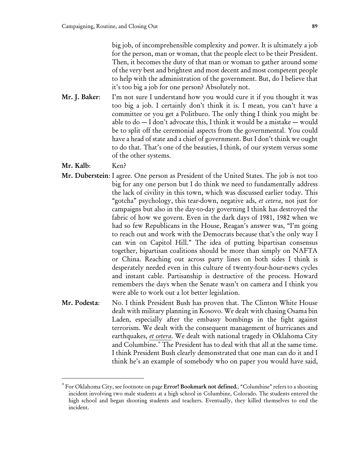big job, of incomprehensible complexity and power. It is ultimately a job for the person, man or woman, that the people elect to be their President. Then, it becomes the duty of that man or woman to gather around some of the very best and brightest and most decent and most competent people to help with the administration of the government. But, do I believe that it's too big a job for one person? Absolutely not.

Mr. J. Baker: I'm not sure I understand how you would cure it if you thought it was too big a job. I certainly don't think it is. I mean, you can't have a committee or you get a Politburo. The only thing I think you might be able to  $do - I don't$  advocate this, I think it would be a mistake  $-$  would be to split off the ceremonial aspects from the governmental. You could have a head of state and a chief of government. But I don't think we ought to do that. That's one of the beauties, I think, of our system versus some of the other systems.

#### Mr. Kalb: Ken?

- Mr. Duberstein: I agree. One person as President of the United States. The job is not too big for any one person but I do think we need to fundamentally address the lack of civility in this town, which was discussed earlier today. This "gotcha" psychology, this tear-down, negative ads, *et cetera*, not just for campaigns but also in the day-to-day governing I think has destroyed the fabric of how we govern. Even in the dark days of 1981, 1982 when we had so few Republicans in the House, Reagan's answer was, "I'm going to reach out and work with the Democrats because that's the only way I can win on Capitol Hill." The idea of putting bipartisan consensus together, bipartisan coalitions should be more than simply on NAFTA or China. Reaching out across party lines on both sides I think is desperately needed even in this culture of twenty-four-hour-news cycles and instant cable. Partisanship is destructive of the process. Howard remembers the days when the Senate wasn't on camera and I think you were able to work out a lot better legislation.
- Mr. Podesta: No. I think President Bush has proven that. The Clinton White House dealt with military planning in Kosovo. We dealt with chasing Osama bin Laden, especially after the embassy bombings in the fight against terrorism. We dealt with the consequent management of hurricanes and earthquakes, *et cetera*. We dealt with national tragedy in Oklahoma City and Columbine.[\\*](#page-101-0) The President has to deal with that all at the same time. I think President Bush clearly demonstrated that one man can do it and I think he's an example of somebody who on paper you would have said,

 <sup>\*</sup> For Oklahoma City, see footnote on page [Error! Bookmark not defined.](#page-61-0). "Columbine" refers to a shooting incident involving two male students at a high school in Columbine, Colorado. The students entered the high school and began shooting students and teachers. Eventually, they killed themselves to end the incident.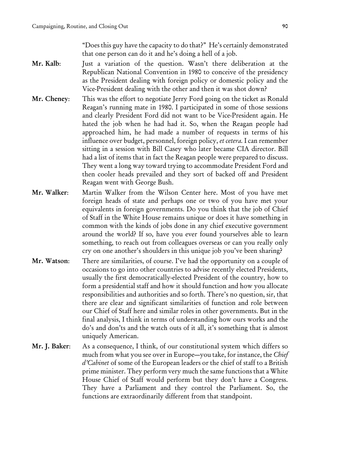"Does this guy have the capacity to do that?" He's certainly demonstrated that one person can do it and he's doing a hell of a job.

- Mr. Kalb: Just a variation of the question. Wasn't there deliberation at the Republican National Convention in 1980 to conceive of the presidency as the President dealing with foreign policy or domestic policy and the Vice-President dealing with the other and then it was shot down?
- Mr. Cheney: This was the effort to negotiate Jerry Ford going on the ticket as Ronald Reagan's running mate in 1980. I participated in some of those sessions and clearly President Ford did not want to be Vice-President again. He hated the job when he had had it. So, when the Reagan people had approached him, he had made a number of requests in terms of his influence over budget, personnel, foreign policy, *et cetera.* I can remember sitting in a session with Bill Casey who later became CIA director. Bill had a list of items that in fact the Reagan people were prepared to discuss. They went a long way toward trying to accommodate President Ford and then cooler heads prevailed and they sort of backed off and President Reagan went with George Bush.
- Mr. Walker: Martin Walker from the Wilson Center here. Most of you have met foreign heads of state and perhaps one or two of you have met your equivalents in foreign governments. Do you think that the job of Chief of Staff in the White House remains unique or does it have something in common with the kinds of jobs done in any chief executive government around the world? If so, have you ever found yourselves able to learn something, to reach out from colleagues overseas or can you really only cry on one another's shoulders in this unique job you've been sharing?
- Mr. Watson: There are similarities, of course. I've had the opportunity on a couple of occasions to go into other countries to advise recently elected Presidents, usually the first democratically-elected President of the country, how to form a presidential staff and how it should function and how you allocate responsibilities and authorities and so forth. There's no question, sir, that there are clear and significant similarities of function and role between our Chief of Staff here and similar roles in other governments. But in the final analysis, I think in terms of understanding how ours works and the do's and don'ts and the watch outs of it all, it's something that is almost uniquely American.
- Mr. J. Baker: As a consequence, I think, of our constitutional system which differs so much from what you see over in Europe—you take, for instance, the *Chief d'Cabinet* of some of the European leaders or the chief of staff to a British prime minister. They perform very much the same functions that a White House Chief of Staff would perform but they don't have a Congress. They have a Parliament and they control the Parliament. So, the functions are extraordinarily different from that standpoint.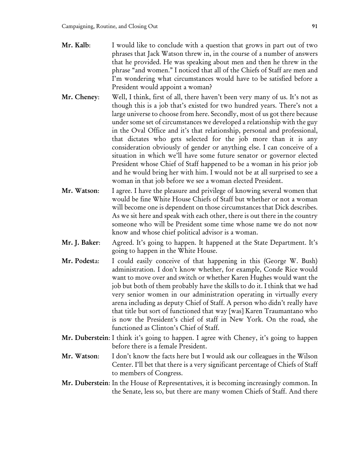- Mr. Kalb: I would like to conclude with a question that grows in part out of two phrases that Jack Watson threw in, in the course of a number of answers that he provided. He was speaking about men and then he threw in the phrase "and women." I noticed that all of the Chiefs of Staff are men and I'm wondering what circumstances would have to be satisfied before a President would appoint a woman?
- Mr. Cheney: Well, I think, first of all, there haven't been very many of us. It's not as though this is a job that's existed for two hundred years. There's not a large universe to choose from here. Secondly, most of us got there because under some set of circumstances we developed a relationship with the guy in the Oval Office and it's that relationship, personal and professional, that dictates who gets selected for the job more than it is any consideration obviously of gender or anything else. I can conceive of a situation in which we'll have some future senator or governor elected President whose Chief of Staff happened to be a woman in his prior job and he would bring her with him. I would not be at all surprised to see a woman in that job before we see a woman elected President.
- Mr. Watson: I agree. I have the pleasure and privilege of knowing several women that would be fine White House Chiefs of Staff but whether or not a woman will become one is dependent on those circumstances that Dick describes. As we sit here and speak with each other, there is out there in the country someone who will be President some time whose name we do not now know and whose chief political advisor is a woman.
- Mr. J. Baker: Agreed. It's going to happen. It happened at the State Department. It's going to happen in the White House.
- Mr. Podesta: I could easily conceive of that happening in this (George W. Bush) administration. I don't know whether, for example, Conde Rice would want to move over and switch or whether Karen Hughes would want the job but both of them probably have the skills to do it. I think that we had very senior women in our administration operating in virtually every arena including as deputy Chief of Staff. A person who didn't really have that title but sort of functioned that way [was] Karen Traumantano who is now the President's chief of staff in New York. On the road, she functioned as Clinton's Chief of Staff.
- Mr. Duberstein: I think it's going to happen. I agree with Cheney, it's going to happen before there is a female President.
- Mr. Watson: I don't know the facts here but I would ask our colleagues in the Wilson Center. I'll bet that there is a very significant percentage of Chiefs of Staff to members of Congress.
- Mr. Duberstein: In the House of Representatives, it is becoming increasingly common. In the Senate, less so, but there are many women Chiefs of Staff. And there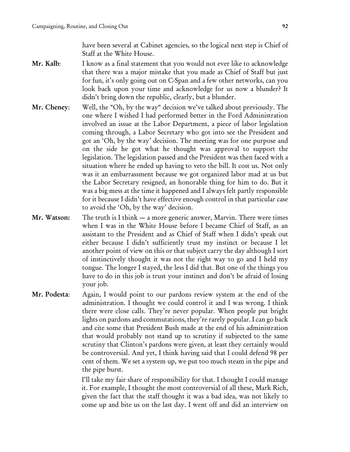have been several at Cabinet agencies, so the logical next step is Chief of Staff at the White House.

- Mr. Kalb: I know as a final statement that you would not ever like to acknowledge that there was a major mistake that you made as Chief of Staff but just for fun, it's only going out on C-Span and a few other networks, can you look back upon your time and acknowledge for us now a blunder? It didn't bring down the republic, clearly, but a blunder.
- Mr. Cheney: Well, the "Oh, by the way" decision we've talked about previously. The one where I wished I had performed better in the Ford Administration involved an issue at the Labor Department, a piece of labor legislation coming through, a Labor Secretary who got into see the President and got an 'Oh, by the way' decision. The meeting was for one purpose and on the side he got what he thought was approval to support the legislation. The legislation passed and the President was then faced with a situation where he ended up having to veto the bill. It cost us. Not only was it an embarrassment because we got organized labor mad at us but the Labor Secretary resigned, an honorable thing for him to do. But it was a big mess at the time it happened and I always felt partly responsible for it because I didn't have effective enough control in that particular case to avoid the 'Oh, by the way' decision.
- Mr. Watson: The truth is I think  $-$  a more generic answer, Marvin. There were times when I was in the White House before I became Chief of Staff, as an assistant to the President and as Chief of Staff when I didn't speak out either because I didn't sufficiently trust my instinct or because I let another point of view on this or that subject carry the day although I sort of instinctively thought it was not the right way to go and I held my tongue. The longer I stayed, the less I did that. But one of the things you have to do in this job is trust your instinct and don't be afraid of losing your job.
- Mr. Podesta: Again, I would point to our pardons review system at the end of the administration. I thought we could control it and I was wrong. I think there were close calls. They're never popular. When people put bright lights on pardons and commutations, they're rarely popular. I can go back and cite some that President Bush made at the end of his administration that would probably not stand up to scrutiny if subjected to the same scrutiny that Clinton's pardons were given, at least they certainly would be controversial. And yet, I think having said that I could defend 98 per cent of them. We set a system up, we put too much steam in the pipe and the pipe burst.

I'll take my fair share of responsibility for that. I thought I could manage it. For example, I thought the most controversial of all these, Mark Rich, given the fact that the staff thought it was a bad idea, was not likely to come up and bite us on the last day. I went off and did an interview on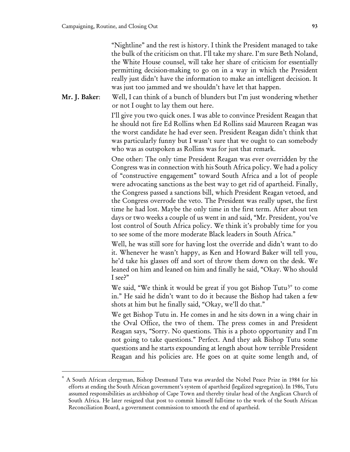"Nightline" and the rest is history. I think the President managed to take the bulk of the criticism on that. I'll take my share. I'm sure Beth Noland, the White House counsel, will take her share of criticism for essentially permitting decision-making to go on in a way in which the President really just didn't have the information to make an intelligent decision. It was just too jammed and we shouldn't have let that happen.

Mr. J. Baker: Well, I can think of a bunch of blunders but I'm just wondering whether or not I ought to lay them out here.

> I'll give you two quick ones. I was able to convince President Reagan that he should not fire Ed Rollins when Ed Rollins said Maureen Reagan was the worst candidate he had ever seen. President Reagan didn't think that was particularly funny but I wasn't sure that we ought to can somebody who was as outspoken as Rollins was for just that remark.

> One other: The only time President Reagan was ever overridden by the Congress was in connection with his South Africa policy. We had a policy of "constructive engagement" toward South Africa and a lot of people were advocating sanctions as the best way to get rid of apartheid. Finally, the Congress passed a sanctions bill, which President Reagan vetoed, and the Congress overrode the veto. The President was really upset, the first time he had lost. Maybe the only time in the first term. After about ten days or two weeks a couple of us went in and said, "Mr. President, you've lost control of South Africa policy. We think it's probably time for you to see some of the more moderate Black leaders in South Africa."

> Well, he was still sore for having lost the override and didn't want to do it. Whenever he wasn't happy, as Ken and Howard Baker will tell you, he'd take his glasses off and sort of throw them down on the desk. We leaned on him and leaned on him and finally he said, "Okay. Who should I see?"

> We said, "We think it would be great if you got Bishop Tutu<sup>[3](#page-105-0)\*</sup> to come in." He said he didn't want to do it because the Bishop had taken a few shots at him but he finally said, "Okay, we'll do that."

> We get Bishop Tutu in. He comes in and he sits down in a wing chair in the Oval Office, the two of them. The press comes in and President Reagan says, "Sorry. No questions. This is a photo opportunity and I'm not going to take questions." Perfect. And they ask Bishop Tutu some questions and he starts expounding at length about how terrible President Reagan and his policies are. He goes on at quite some length and, of

 <sup>\*</sup> A South African clergyman, Bishop Desmund Tutu was awarded the Nobel Peace Prize in 1984 for his efforts at ending the South African government's system of apartheid (legalized segregation). In 1986, Tutu assumed responsibilities as archbishop of Cape Town and thereby titular head of the Anglican Church of South Africa. He later resigned that post to commit himself full-time to the work of the South African Reconciliation Board, a government commission to smooth the end of apartheid.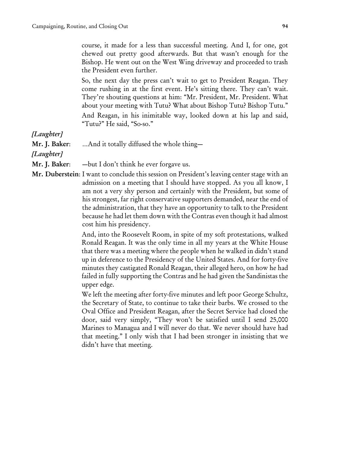course, it made for a less than successful meeting. And I, for one, got chewed out pretty good afterwards. But that wasn't enough for the Bishop. He went out on the West Wing driveway and proceeded to trash the President even further.

So, the next day the press can't wait to get to President Reagan. They come rushing in at the first event. He's sitting there. They can't wait. They're shouting questions at him: "Mr. President, Mr. President. What about your meeting with Tutu? What about Bishop Tutu? Bishop Tutu." And Reagan, in his inimitable way, looked down at his lap and said, "Tutu?" He said, "So-so."

*[Laughter]*

|            | Mr. J. Baker: And it totally diffused the whole thing- |
|------------|--------------------------------------------------------|
| [Laughter] |                                                        |
|            |                                                        |

Mr. J. Baker: —but I don't think he ever forgave us.

Mr. Duberstein: I want to conclude this session on President's leaving center stage with an admission on a meeting that I should have stopped. As you all know, I am not a very shy person and certainly with the President, but some of his strongest, far right conservative supporters demanded, near the end of the administration, that they have an opportunity to talk to the President because he had let them down with the Contras even though it had almost cost him his presidency.

> And, into the Roosevelt Room, in spite of my soft protestations, walked Ronald Reagan. It was the only time in all my years at the White House that there was a meeting where the people when he walked in didn't stand up in deference to the Presidency of the United States. And for forty-five minutes they castigated Ronald Reagan, their alleged hero, on how he had failed in fully supporting the Contras and he had given the Sandinistas the upper edge.

> We left the meeting after forty-five minutes and left poor George Schultz, the Secretary of State, to continue to take their barbs. We crossed to the Oval Office and President Reagan, after the Secret Service had closed the door, said very simply, "They won't be satisfied until I send 25,000 Marines to Managua and I will never do that. We never should have had that meeting." I only wish that I had been stronger in insisting that we didn't have that meeting.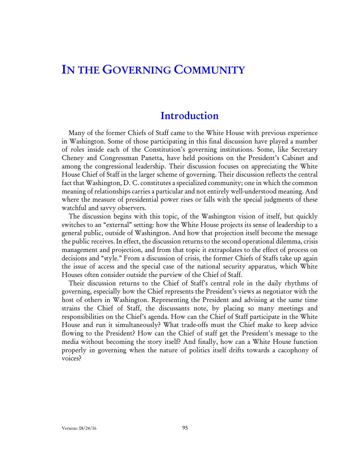# <span id="page-98-0"></span>IN THE GOVERNING COMMUNITY

#### Introduction

Many of the former Chiefs of Staff came to the White House with previous experience in Washington. Some of those participating in this final discussion have played a number of roles inside each of the Constitution's governing institutions. Some, like Secretary Cheney and Congressman Panetta, have held positions on the President's Cabinet and among the congressional leadership. Their discussion focuses on appreciating the White House Chief of Staff in the larger scheme of governing. Their discussion reflects the central fact that Washington, D. C. constitutes a specialized community; one in which the common meaning of relationships carries a particular and not entirely well-understood meaning. And where the measure of presidential power rises or falls with the special judgments of these watchful and savvy observers.

The discussion begins with this topic, of the Washington vision of itself, but quickly switches to an "external" setting: how the White House projects its sense of leadership to a general public, outside of Washington. And how that projection itself become the message the public receives. In effect, the discussion returns to the second operational dilemma, crisis management and projection, and from that topic it extrapolates to the effect of process on decisions and "style." From a discussion of crisis, the former Chiefs of Staffs take up again the issue of access and the special case of the national security apparatus, which White Houses often consider outside the purview of the Chief of Staff.

Their discussion returns to the Chief of Staff's central role in the daily rhythms of governing, especially how the Chief represents the President's views as negotiator with the host of others in Washington. Representing the President and advising at the same time strains the Chief of Staff, the discussants note, by placing so many meetings and responsibilities on the Chief's agenda. How can the Chief of Staff participate in the White House and run it simultaneously? What trade-offs must the Chief make to keep advice flowing to the President? How can the Chief of staff get the President's message to the media without becoming the story itself? And finally, how can a White House function properly in governing when the nature of politics itself drifts towards a cacophony of voices?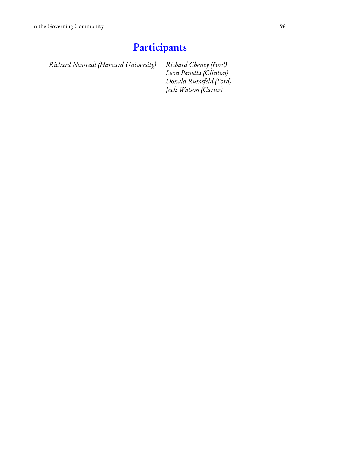# Participants

*Richard Neustadt (Harvard University) Richard Cheney (Ford)*

*Leon Panetta (Clinton) Donald Rumsfeld (Ford) Jack Watson (Carter)*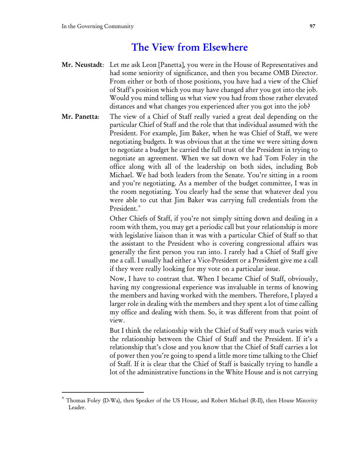### The View from Elsewhere

- Mr. Neustadt: Let me ask Leon [Panetta], you were in the House of Representatives and had some seniority of significance, and then you became OMB Director. From either or both of those positions, you have had a view of the Chief of Staff's position which you may have changed after you got into the job. Would you mind telling us what view you had from those rather elevated distances and what changes you experienced after you got into the job?
- Mr. Panetta: The view of a Chief of Staff really varied a great deal depending on the particular Chief of Staff and the role that that individual assumed with the President. For example, Jim Baker, when he was Chief of Staff, we were negotiating budgets. It was obvious that at the time we were sitting down to negotiate a budget he carried the full trust of the President in trying to negotiate an agreement. When we sat down we had Tom Foley in the office along with all of the leadership on both sides, including Bob Michael. We had both leaders from the Senate. You're sitting in a room and you're negotiating. As a member of the budget committee, I was in the room negotiating. You clearly had the sense that whatever deal you were able to cut that Jim Baker was carrying full credentials from the President.[\\*](#page-110-0)

Other Chiefs of Staff, if you're not simply sitting down and dealing in a room with them, you may get a periodic call but your relationship is more with legislative liaison than it was with a particular Chief of Staff so that the assistant to the President who is covering congressional affairs was generally the first person you ran into. I rarely had a Chief of Staff give me a call. I usually had either a Vice-President or a President give me a call if they were really looking for my vote on a particular issue.

Now, I have to contrast that. When I became Chief of Staff, obviously, having my congressional experience was invaluable in terms of knowing the members and having worked with the members. Therefore, I played a larger role in dealing with the members and they spent a lot of time calling my office and dealing with them. So, it was different from that point of view.

But I think the relationship with the Chief of Staff very much varies with the relationship between the Chief of Staff and the President. If it's a relationship that's close and you know that the Chief of Staff carries a lot of power then you're going to spend a little more time talking to the Chief of Staff. If it is clear that the Chief of Staff is basically trying to handle a lot of the administrative functions in the White House and is not carrying

 <sup>\*</sup> Thomas Foley (D-Wa), then Speaker of the US House, and Robert Michael (R-Il), then House Minority Leader.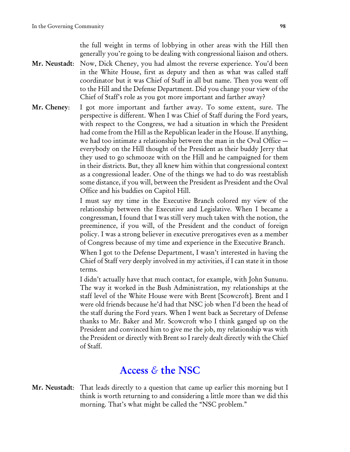the full weight in terms of lobbying in other areas with the Hill then generally you're going to be dealing with congressional liaison and others.

- Mr. Neustadt: Now, Dick Cheney, you had almost the reverse experience. You'd been in the White House, first as deputy and then as what was called staff coordinator but it was Chief of Staff in all but name. Then you went off to the Hill and the Defense Department. Did you change your view of the Chief of Staff's role as you got more important and farther away?
- Mr. Cheney: I got more important and farther away. To some extent, sure. The perspective is different. When I was Chief of Staff during the Ford years, with respect to the Congress, we had a situation in which the President had come from the Hill as the Republican leader in the House. If anything, we had too intimate a relationship between the man in the Oval Office everybody on the Hill thought of the President as their buddy Jerry that they used to go schmooze with on the Hill and he campaigned for them in their districts. But, they all knew him within that congressional context as a congressional leader. One of the things we had to do was reestablish some distance, if you will, between the President as President and the Oval Office and his buddies on Capitol Hill.

I must say my time in the Executive Branch colored my view of the relationship between the Executive and Legislative. When I became a congressman, I found that I was still very much taken with the notion, the preeminence, if you will, of the President and the conduct of foreign policy. I was a strong believer in executive prerogatives even as a member of Congress because of my time and experience in the Executive Branch.

When I got to the Defense Department, I wasn't interested in having the Chief of Staff very deeply involved in my activities, if I can state it in those terms.

I didn't actually have that much contact, for example, with John Sununu. The way it worked in the Bush Administration, my relationships at the staff level of the White House were with Brent [Scowcroft]. Brent and I were old friends because he'd had that NSC job when I'd been the head of the staff during the Ford years. When I went back as Secretary of Defense thanks to Mr. Baker and Mr. Scowcroft who I think ganged up on the President and convinced him to give me the job, my relationship was with the President or directly with Brent so I rarely dealt directly with the Chief of Staff.

# Access *&* the NSC

<span id="page-101-0"></span>Mr. Neustadt: That leads directly to a question that came up earlier this morning but I think is worth returning to and considering a little more than we did this morning. That's what might be called the "NSC problem."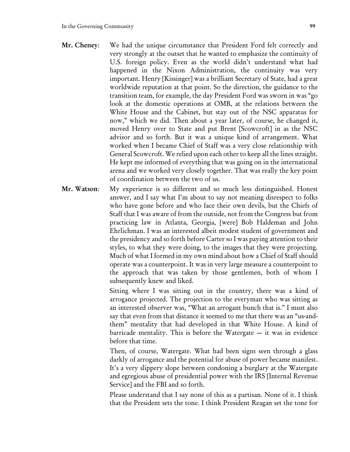- Mr. Cheney: We had the unique circumstance that President Ford felt correctly and very strongly at the outset that he wanted to emphasize the continuity of U.S. foreign policy. Even as the world didn't understand what had happened in the Nixon Administration, the continuity was very important. Henry [Kissinger] was a brilliant Secretary of State, had a great worldwide reputation at that point. So the direction, the guidance to the transition team, for example, the day President Ford was sworn in was "go look at the domestic operations at OMB, at the relations between the White House and the Cabinet, but stay out of the NSC apparatus for now," which we did. Then about a year later, of course, he changed it, moved Henry over to State and put Brent [Scowcroft] in as the NSC advisor and so forth. But it was a unique kind of arrangement. What worked when I became Chief of Staff was a very close relationship with General Scowcroft. We relied upon each other to keep all the lines straight. He kept me informed of everything that was going on in the international arena and we worked very closely together. That was really the key point of coordination between the two of us.
- Mr. Watson: My experience is so different and so much less distinguished. Honest answer, and I say what I'm about to say not meaning disrespect to folks who have gone before and who face their own devils, but the Chiefs of Staff that I was aware of from the outside, not from the Congress but from practicing law in Atlanta, Georgia, [were] Bob Haldeman and John Ehrlichman. I was an interested albeit modest student of government and the presidency and so forth before Carter so I was paying attention to their styles, to what they were doing, to the images that they were projecting. Much of what I formed in my own mind about how a Chief of Staff should operate was a counterpoint. It was in very large measure a counterpoint to the approach that was taken by those gentlemen, both of whom I subsequently knew and liked.

Sitting where I was sitting out in the country, there was a kind of arrogance projected. The projection to the everyman who was sitting as an interested observer was, "What an arrogant bunch that is." I must also say that even from that distance it seemed to me that there was an "us-andthem" mentality that had developed in that White House. A kind of barricade mentality. This is before the Watergate  $-$  it was in evidence before that time.

Then, of course, Watergate. What had been signs seen through a glass darkly of arrogance and the potential for abuse of power became manifest. It's a very slippery slope between condoning a burglary at the Watergate and egregious abuse of presidential power with the IRS [Internal Revenue Service] and the FBI and so forth.

Please understand that I say none of this as a partisan. None of it. I think that the President sets the tone. I think President Reagan set the tone for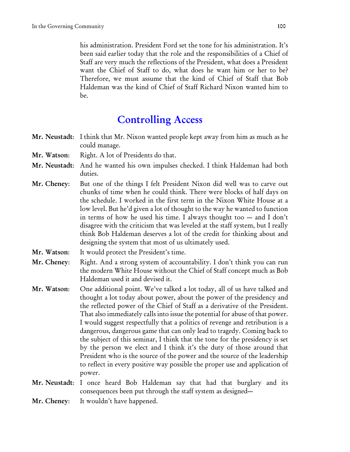his administration. President Ford set the tone for his administration. It's been said earlier today that the role and the responsibilities of a Chief of Staff are very much the reflections of the President, what does a President want the Chief of Staff to do, what does he want him or her to be? Therefore, we must assume that the kind of Chief of Staff that Bob Haldeman was the kind of Chief of Staff Richard Nixon wanted him to be.

#### Controlling Access

- Mr. Neustadt: I think that Mr. Nixon wanted people kept away from him as much as he could manage.
- Mr. Watson: Right. A lot of Presidents do that.
- Mr. Neustadt: And he wanted his own impulses checked. I think Haldeman had both duties.
- Mr. Cheney: But one of the things I felt President Nixon did well was to carve out chunks of time when he could think. There were blocks of half days on the schedule. I worked in the first term in the Nixon White House at a low level. But he'd given a lot of thought to the way he wanted to function in terms of how he used his time. I always thought too — and I don't disagree with the criticism that was leveled at the staff system, but I really think Bob Haldeman deserves a lot of the credit for thinking about and designing the system that most of us ultimately used.
- Mr. Watson: It would protect the President's time.
- Mr. Cheney: Right. And a strong system of accountability. I don't think you can run the modern White House without the Chief of Staff concept much as Bob Haldeman used it and devised it.
- Mr. Watson: One additional point. We've talked a lot today, all of us have talked and thought a lot today about power, about the power of the presidency and the reflected power of the Chief of Staff as a derivative of the President. That also immediately calls into issue the potential for abuse of that power. I would suggest respectfully that a politics of revenge and retribution is a dangerous, dangerous game that can only lead to tragedy. Coming back to the subject of this seminar, I think that the tone for the presidency is set by the person we elect and I think it's the duty of those around that President who is the source of the power and the source of the leadership to reflect in every positive way possible the proper use and application of power.
- Mr. Neustadt: I once heard Bob Haldeman say that had that burglary and its consequences been put through the staff system as designed—
- Mr. Cheney: It wouldn't have happened.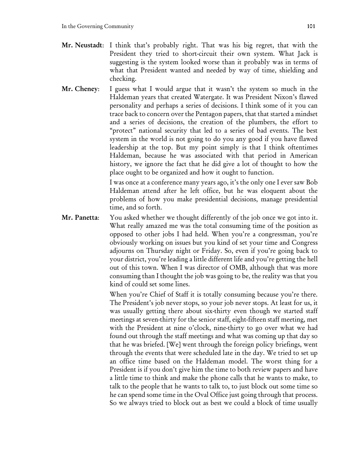- Mr. Neustadt: I think that's probably right. That was his big regret, that with the President they tried to short-circuit their own system. What Jack is suggesting is the system looked worse than it probably was in terms of what that President wanted and needed by way of time, shielding and checking.
- Mr. Cheney: I guess what I would argue that it wasn't the system so much in the Haldeman years that created Watergate. It was President Nixon's flawed personality and perhaps a series of decisions. I think some of it you can trace back to concern over the Pentagon papers, that that started a mindset and a series of decisions, the creation of the plumbers, the effort to "protect" national security that led to a series of bad events. The best system in the world is not going to do you any good if you have flawed leadership at the top. But my point simply is that I think oftentimes Haldeman, because he was associated with that period in American history, we ignore the fact that he did give a lot of thought to how the place ought to be organized and how it ought to function.

I was once at a conference many years ago, it's the only one I ever saw Bob Haldeman attend after he left office, but he was eloquent about the problems of how you make presidential decisions, manage presidential time, and so forth.

Mr. Panetta: You asked whether we thought differently of the job once we got into it. What really amazed me was the total consuming time of the position as opposed to other jobs I had held. When you're a congressman, you're obviously working on issues but you kind of set your time and Congress adjourns on Thursday night or Friday. So, even if you're going back to your district, you're leading a little different life and you're getting the hell out of this town. When I was director of OMB, although that was more consuming than I thought the job was going to be, the reality was that you kind of could set some lines.

> When you're Chief of Staff it is totally consuming because you're there. The President's job never stops, so your job never stops. At least for us, it was usually getting there about six-thirty even though we started staff meetings at seven-thirty for the senior staff, eight-fifteen staff meeting, met with the President at nine o'clock, nine-thirty to go over what we had found out through the staff meetings and what was coming up that day so that he was briefed. [We] went through the foreign policy briefings, went through the events that were scheduled late in the day. We tried to set up an office time based on the Haldeman model. The worst thing for a President is if you don't give him the time to both review papers and have a little time to think and make the phone calls that he wants to make, to talk to the people that he wants to talk to, to just block out some time so he can spend some time in the Oval Office just going through that process. So we always tried to block out as best we could a block of time usually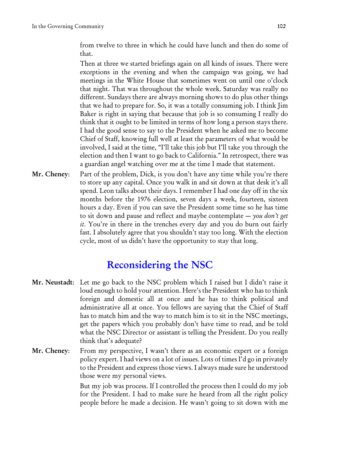from twelve to three in which he could have lunch and then do some of that.

Then at three we started briefings again on all kinds of issues. There were exceptions in the evening and when the campaign was going, we had meetings in the White House that sometimes went on until one o'clock that night. That was throughout the whole week. Saturday was really no different. Sundays there are always morning shows to do plus other things that we had to prepare for. So, it was a totally consuming job. I think Jim Baker is right in saying that because that job is so consuming I really do think that it ought to be limited in terms of how long a person stays there. I had the good sense to say to the President when he asked me to become Chief of Staff, knowing full well at least the parameters of what would be involved, I said at the time, "I'll take this job but I'll take you through the election and then I want to go back to California." In retrospect, there was a guardian angel watching over me at the time I made that statement.

Mr. Cheney: Part of the problem, Dick, is you don't have any time while you're there to store up any capital. Once you walk in and sit down at that desk it's all spend. Leon talks about their days. I remember I had one day off in the six months before the 1976 election, seven days a week, fourteen, sixteen hours a day. Even if you can save the President some time so he has time to sit down and pause and reflect and maybe contemplate — *you don't get it*. You're in there in the trenches every day and you do burn out fairly fast. I absolutely agree that you shouldn't stay too long. With the election cycle, most of us didn't have the opportunity to stay that long.

# Reconsidering the NSC

- Mr. Neustadt: Let me go back to the NSC problem which I raised but I didn't raise it loud enough to hold your attention. Here's the President who has to think foreign and domestic all at once and he has to think political and administrative all at once. You fellows are saying that the Chief of Staff has to match him and the way to match him is to sit in the NSC meetings, get the papers which you probably don't have time to read, and be told what the NSC Director or assistant is telling the President. Do you really think that's adequate?
- <span id="page-105-0"></span>Mr. Cheney: From my perspective, I wasn't there as an economic expert or a foreign policy expert. I had views on a lot of issues. Lots of times I'd go in privately to the President and express those views. I always made sure he understood those were my personal views.

But my job was process. If I controlled the process then I could do my job for the President. I had to make sure he heard from all the right policy people before he made a decision. He wasn't going to sit down with me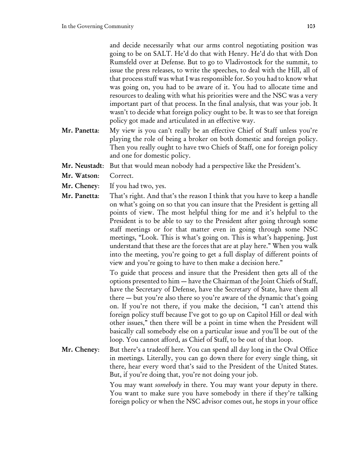and decide necessarily what our arms control negotiating position was going to be on SALT. He'd do that with Henry. He'd do that with Don Rumsfeld over at Defense. But to go to Vladivostock for the summit, to issue the press releases, to write the speeches, to deal with the Hill, all of that process stuff was what I was responsible for. So you had to know what was going on, you had to be aware of it. You had to allocate time and resources to dealing with what his priorities were and the NSC was a very important part of that process. In the final analysis, that was your job. It wasn't to decide what foreign policy ought to be. It was to see that foreign policy got made and articulated in an effective way.

- Mr. Panetta: My view is you can't really be an effective Chief of Staff unless you're playing the role of being a broker on both domestic and foreign policy. Then you really ought to have two Chiefs of Staff, one for foreign policy and one for domestic policy.
- Mr. Neustadt: But that would mean nobody had a perspective like the President's.
- Mr. Watson: Correct.
- Mr. Cheney: If you had two, yes.
- Mr. Panetta: That's right. And that's the reason I think that you have to keep a handle on what's going on so that you can insure that the President is getting all points of view. The most helpful thing for me and it's helpful to the President is to be able to say to the President after going through some staff meetings or for that matter even in going through some NSC meetings, "Look. This is what's going on. This is what's happening. Just understand that these are the forces that are at play here." When you walk into the meeting, you're going to get a full display of different points of view and you're going to have to then make a decision here."

To guide that process and insure that the President then gets all of the options presented to him — have the Chairman of the Joint Chiefs of Staff, have the Secretary of Defense, have the Secretary of State, have them all there — but you're also there so you're aware of the dynamic that's going on. If you're not there, if you make the decision, "I can't attend this foreign policy stuff because I've got to go up on Capitol Hill or deal with other issues," then there will be a point in time when the President will basically call somebody else on a particular issue and you'll be out of the loop. You cannot afford, as Chief of Staff, to be out of that loop.

Mr. Cheney: But there's a tradeoff here. You can spend all day long in the Oval Office in meetings. Literally, you can go down there for every single thing, sit there, hear every word that's said to the President of the United States. But, if you're doing that, you're not doing your job.

> You may want *somebody* in there. You may want your deputy in there. You want to make sure you have somebody in there if they're talking foreign policy or when the NSC advisor comes out, he stops in your office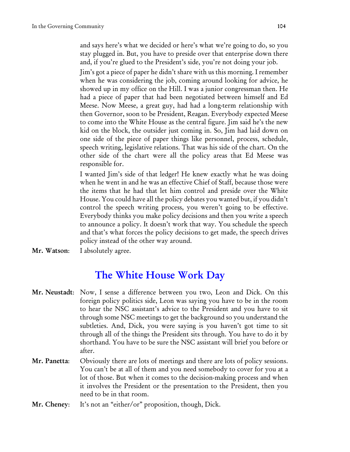and says here's what we decided or here's what we're going to do, so you stay plugged in. But, you have to preside over that enterprise down there and, if you're glued to the President's side, you're not doing your job.

Jim's got a piece of paper he didn't share with us this morning. I remember when he was considering the job, coming around looking for advice, he showed up in my office on the Hill. I was a junior congressman then. He had a piece of paper that had been negotiated between himself and Ed Meese. Now Meese, a great guy, had had a long-term relationship with then Governor, soon to be President, Reagan. Everybody expected Meese to come into the White House as the central figure. Jim said he's the new kid on the block, the outsider just coming in. So, Jim had laid down on one side of the piece of paper things like personnel, process, schedule, speech writing, legislative relations. That was his side of the chart. On the other side of the chart were all the policy areas that Ed Meese was responsible for.

I wanted Jim's side of that ledger! He knew exactly what he was doing when he went in and he was an effective Chief of Staff, because those were the items that he had that let him control and preside over the White House. You could have all the policy debates you wanted but, if you didn't control the speech writing process, you weren't going to be effective. Everybody thinks you make policy decisions and then you write a speech to announce a policy. It doesn't work that way. You schedule the speech and that's what forces the policy decisions to get made, the speech drives policy instead of the other way around.

Mr. Watson: I absolutely agree.

# The White House Work Day

- Mr. Neustadt: Now, I sense a difference between you two, Leon and Dick. On this foreign policy politics side, Leon was saying you have to be in the room to hear the NSC assistant's advice to the President and you have to sit through some NSC meetings to get the background so you understand the subtleties. And, Dick, you were saying is you haven't got time to sit through all of the things the President sits through. You have to do it by shorthand. You have to be sure the NSC assistant will brief you before or after.
- Mr. Panetta: Obviously there are lots of meetings and there are lots of policy sessions. You can't be at all of them and you need somebody to cover for you at a lot of those. But when it comes to the decision-making process and when it involves the President or the presentation to the President, then you need to be in that room.
- Mr. Cheney: It's not an "either/or" proposition, though, Dick.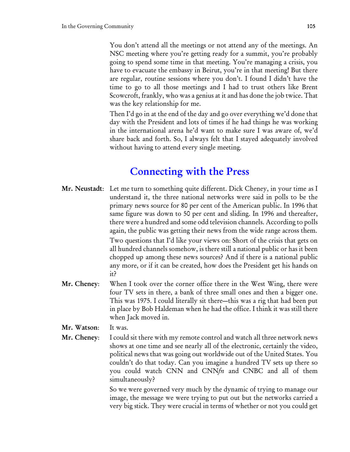You don't attend all the meetings or not attend any of the meetings. An NSC meeting where you're getting ready for a summit, you're probably going to spend some time in that meeting. You're managing a crisis, you have to evacuate the embassy in Beirut, you're in that meeting! But there are regular, routine sessions where you don't. I found I didn't have the time to go to all those meetings and I had to trust others like Brent Scowcroft, frankly, who was a genius at it and has done the job twice. That was the key relationship for me.

Then I'd go in at the end of the day and go over everything we'd done that day with the President and lots of times if he had things he was working in the international arena he'd want to make sure I was aware of, we'd share back and forth. So, I always felt that I stayed adequately involved without having to attend every single meeting.

# Connecting with the Press

- Mr. Neustadt: Let me turn to something quite different. Dick Cheney, in your time as I understand it, the three national networks were said in polls to be the primary news source for 80 per cent of the American public. In 1996 that same figure was down to 50 per cent and sliding. In 1996 and thereafter, there were a hundred and some odd television channels. According to polls again, the public was getting their news from the wide range across them. Two questions that I'd like your views on: Short of the crisis that gets on all hundred channels somehow, is there still a national public or has it been chopped up among these news sources? And if there is a national public any more, or if it can be created, how does the President get his hands on it?
- Mr. Cheney: When I took over the corner office there in the West Wing, there were four TV sets in there, a bank of three small ones and then a bigger one. This was 1975. I could literally sit there—this was a rig that had been put in place by Bob Haldeman when he had the office. I think it was still there when Jack moved in.
- Mr. Watson: It was.
- Mr. Cheney: I could sit there with my remote control and watch all three network news shows at one time and see nearly all of the electronic, certainly the video, political news that was going out worldwide out of the United States. You couldn't do that today. Can you imagine a hundred TV sets up there so you could watch CNN and CNN*fn* and CNBC and all of them simultaneously?

So we were governed very much by the dynamic of trying to manage our image, the message we were trying to put out but the networks carried a very big stick. They were crucial in terms of whether or not you could get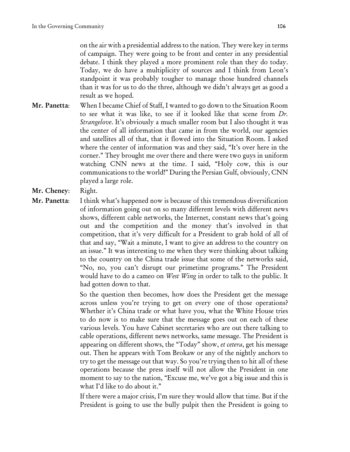on the air with a presidential address to the nation. They were key in terms of campaign. They were going to be front and center in any presidential debate. I think they played a more prominent role than they do today. Today, we do have a multiplicity of sources and I think from Leon's standpoint it was probably tougher to manage those hundred channels than it was for us to do the three, although we didn't always get as good a result as we hoped.

- Mr. Panetta: When I became Chief of Staff, I wanted to go down to the Situation Room to see what it was like, to see if it looked like that scene from *Dr. Strangelove*. It's obviously a much smaller room but I also thought it was the center of all information that came in from the world, our agencies and satellites all of that, that it flowed into the Situation Room. I asked where the center of information was and they said, "It's over here in the corner." They brought me over there and there were two guys in uniform watching CNN news at the time. I said, "Holy cow, this is our communications to the world!" During the Persian Gulf, obviously, CNN played a large role.
- Mr. Cheney: Right.
- Mr. Panetta: I think what's happened now is because of this tremendous diversification of information going out on so many different levels with different news shows, different cable networks, the Internet, constant news that's going out and the competition and the money that's involved in that competition, that it's very difficult for a President to grab hold of all of that and say, "Wait a minute, I want to give an address to the country on an issue." It was interesting to me when they were thinking about talking to the country on the China trade issue that some of the networks said, "No, no, you can't disrupt our primetime programs." The President would have to do a cameo on *West Wing* in order to talk to the public. It had gotten down to that.

So the question then becomes, how does the President get the message across unless you're trying to get on every one of those operations? Whether it's China trade or what have you, what the White House tries to do now is to make sure that the message goes out on each of these various levels. You have Cabinet secretaries who are out there talking to cable operations, different news networks, same message. The President is appearing on different shows, the "Today" show, *et cetera*, get his message out. Then he appears with Tom Brokaw or any of the nightly anchors to try to get the message out that way. So you're trying then to hit all of these operations because the press itself will not allow the President in one moment to say to the nation, "Excuse me, we've got a big issue and this is what I'd like to do about it."

If there were a major crisis, I'm sure they would allow that time. But if the President is going to use the bully pulpit then the President is going to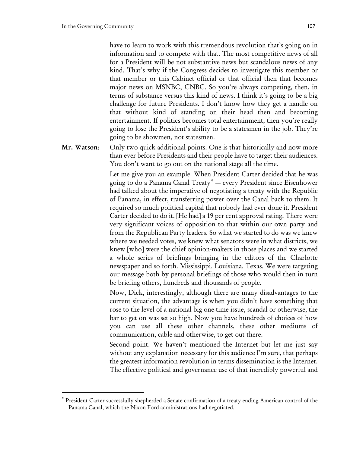have to learn to work with this tremendous revolution that's going on in information and to compete with that. The most competitive news of all for a President will be not substantive news but scandalous news of any kind. That's why if the Congress decides to investigate this member or that member or this Cabinet official or that official then that becomes major news on MSNBC, CNBC. So you're always competing, then, in terms of substance versus this kind of news. I think it's going to be a big challenge for future Presidents. I don't know how they get a handle on that without kind of standing on their head then and becoming entertainment. If politics becomes total entertainment, then you're really going to lose the President's ability to be a statesmen in the job. They're going to be showmen, not statesmen.

Mr. Watson: Only two quick additional points. One is that historically and now more than ever before Presidents and their people have to target their audiences. You don't want to go out on the national stage all the time.

> Let me give you an example. When President Carter decided that he was going to do a Panama Canal Treaty[\\*](#page-118-0) — every President since Eisenhower had talked about the imperative of negotiating a treaty with the Republic of Panama, in effect, transferring power over the Canal back to them. It required so much political capital that nobody had ever done it. President Carter decided to do it. [He had] a 19 per cent approval rating. There were very significant voices of opposition to that within our own party and from the Republican Party leaders. So what we started to do was we knew where we needed votes, we knew what senators were in what districts, we knew [who] were the chief opinion-makers in those places and we started a whole series of briefings bringing in the editors of the Charlotte newspaper and so forth. Mississippi. Louisiana. Texas. We were targeting our message both by personal briefings of those who would then in turn be briefing others, hundreds and thousands of people.

> Now, Dick, interestingly, although there are many disadvantages to the current situation, the advantage is when you didn't have something that rose to the level of a national big one-time issue, scandal or otherwise, the bar to get on was set so high. Now you have hundreds of choices of how you can use all these other channels, these other mediums of communication, cable and otherwise, to get out there.

> Second point. We haven't mentioned the Internet but let me just say without any explanation necessary for this audience I'm sure, that perhaps the greatest information revolution in terms dissemination is the Internet. The effective political and governance use of that incredibly powerful and

 <sup>\*</sup> President Carter successfully shepherded a Senate confirmation of a treaty ending American control of the Panama Canal, which the Nixon-Ford administrations had negotiated.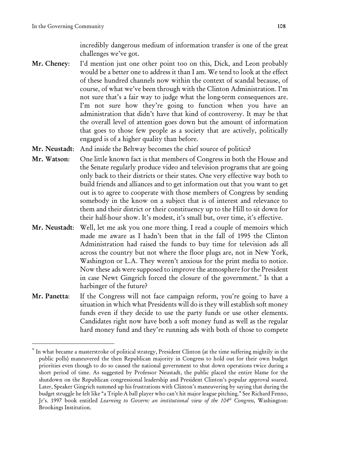incredibly dangerous medium of information transfer is one of the great challenges we've got.

- Mr. Cheney: I'd mention just one other point too on this, Dick, and Leon probably would be a better one to address it than I am. We tend to look at the effect of these hundred channels now within the context of scandal because, of course, of what we've been through with the Clinton Administration. I'm not sure that's a fair way to judge what the long-term consequences are. I'm not sure how they're going to function when you have an administration that didn't have that kind of controversy. It may be that the overall level of attention goes down but the amount of information that goes to those few people as a society that are actively, politically engaged is of a higher quality than before.
- Mr. Neustadt: And inside the Beltway becomes the chief source of politics?
- Mr. Watson: One little known fact is that members of Congress in both the House and the Senate regularly produce video and television programs that are going only back to their districts or their states. One very effective way both to build friends and alliances and to get information out that you want to get out is to agree to cooperate with those members of Congress by sending somebody in the know on a subject that is of interest and relevance to them and their district or their constituency up to the Hill to sit down for their half-hour show. It's modest, it's small but, over time, it's effective.
- Mr. Neustadt: Well, let me ask you one more thing. I read a couple of memoirs which made me aware as I hadn't been that in the fall of 1995 the Clinton Administration had raised the funds to buy time for television ads all across the country but not where the floor plugs are, not in New York, Washington or L.A. They weren't anxious for the print media to notice. Now these ads were supposed to improve the atmosphere for the President in case Newt Gingrich forced the closure of the government.[\\*](#page-118-1) Is that a harbinger of the future?
- Mr. Panetta: If the Congress will not face campaign reform, you're going to have a situation in which what Presidents will do is they will establish soft money funds even if they decide to use the party funds or use other elements. Candidates right now have both a soft money fund as well as the regular hard money fund and they're running ads with both of those to compete

 <sup>\*</sup> In what became a masterstroke of political strategy, President Clinton (at the time suffering mightily in the public polls) maneuvered the then Republican majority in Congress to hold out for their own budget priorities even though to do so caused the national government to shut down operations twice during a short period of time. As suggested by Professor Neustadt, the public placed the entire blame for the shutdown on the Republican congressional leadership and President Clinton's popular approval soared. Later, Speaker Gingrich summed up his frustrations with Clinton's maneuvering by saying that during the budget struggle he felt like "a Triple-A ball player who can't hit major league pitching." See Richard Fenno, Jr's. 1997 book entitled *Learning to Govern: an institutional view of the 104th Congress,* Washington: Brookings Institution.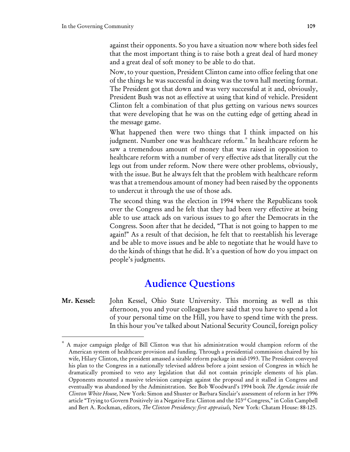against their opponents. So you have a situation now where both sides feel that the most important thing is to raise both a great deal of hard money and a great deal of soft money to be able to do that.

Now, to your question, President Clinton came into office feeling that one of the things he was successful in doing was the town hall meeting format. The President got that down and was very successful at it and, obviously, President Bush was not as effective at using that kind of vehicle. President Clinton felt a combination of that plus getting on various news sources that were developing that he was on the cutting edge of getting ahead in the message game.

What happened then were two things that I think impacted on his judgment. Number one was healthcare reform.[\\*](#page-118-2) In healthcare reform he saw a tremendous amount of money that was raised in opposition to healthcare reform with a number of very effective ads that literally cut the legs out from under reform. Now there were other problems, obviously, with the issue. But he always felt that the problem with healthcare reform was that a tremendous amount of money had been raised by the opponents to undercut it through the use of those ads.

The second thing was the election in 1994 where the Republicans took over the Congress and he felt that they had been very effective at being able to use attack ads on various issues to go after the Democrats in the Congress. Soon after that he decided, "That is not going to happen to me again!" As a result of that decision, he felt that to reestablish his leverage and be able to move issues and be able to negotiate that he would have to do the kinds of things that he did. It's a question of how do you impact on people's judgments.

## Audience Questions

Mr. Kessel: John Kessel, Ohio State University. This morning as well as this afternoon, you and your colleagues have said that you have to spend a lot of your personal time on the Hill, you have to spend time with the press. In this hour you've talked about National Security Council, foreign policy

A major campaign pledge of Bill Clinton was that his administration would champion reform of the American system of healthcare provision and funding. Through a presidential commission chaired by his wife, Hilary Clinton, the president amassed a sizable reform package in mid-1993. The President conveyed his plan to the Congress in a nationally televised address before a joint session of Congress in which he dramatically promised to veto any legislation that did not contain principle elements of his plan. Opponents mounted a massive television campaign against the proposal and it stalled in Congress and eventually was abandoned by the Administration. See Bob Woodward's 1994 book *The Agenda: inside the Clinton White House,* New York: Simon and Shuster or Barbara Sinclair's assessment of reform in her 1996 article "Trying to Govern Positively in a Negative Era: Clinton and the 103rd Congress," in Colin Campbell and Bert A. Rockman, editors, *The Clinton Presidency: first appraisals,* New York: Chatam House: 88-125.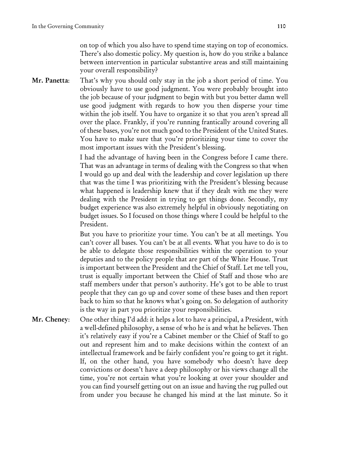on top of which you also have to spend time staying on top of economics. There's also domestic policy. My question is, how do you strike a balance between intervention in particular substantive areas and still maintaining your overall responsibility?

Mr. Panetta: That's why you should only stay in the job a short period of time. You obviously have to use good judgment. You were probably brought into the job because of your judgment to begin with but you better damn well use good judgment with regards to how you then disperse your time within the job itself. You have to organize it so that you aren't spread all over the place. Frankly, if you're running frantically around covering all of these bases, you're not much good to the President of the United States. You have to make sure that you're prioritizing your time to cover the most important issues with the President's blessing.

> I had the advantage of having been in the Congress before I came there. That was an advantage in terms of dealing with the Congress so that when I would go up and deal with the leadership and cover legislation up there that was the time I was prioritizing with the President's blessing because what happened is leadership knew that if they dealt with me they were dealing with the President in trying to get things done. Secondly, my budget experience was also extremely helpful in obviously negotiating on budget issues. So I focused on those things where I could be helpful to the President.

> But you have to prioritize your time. You can't be at all meetings. You can't cover all bases. You can't be at all events. What you have to do is to be able to delegate those responsibilities within the operation to your deputies and to the policy people that are part of the White House. Trust is important between the President and the Chief of Staff. Let me tell you, trust is equally important between the Chief of Staff and those who are staff members under that person's authority. He's got to be able to trust people that they can go up and cover some of these bases and then report back to him so that he knows what's going on. So delegation of authority is the way in part you prioritize your responsibilities.

Mr. Cheney: One other thing I'd add: it helps a lot to have a principal, a President, with a well-defined philosophy, a sense of who he is and what he believes. Then it's relatively easy if you're a Cabinet member or the Chief of Staff to go out and represent him and to make decisions within the context of an intellectual framework and be fairly confident you're going to get it right. If, on the other hand, you have somebody who doesn't have deep convictions or doesn't have a deep philosophy or his views change all the time, you're not certain what you're looking at over your shoulder and you can find yourself getting out on an issue and having the rug pulled out from under you because he changed his mind at the last minute. So it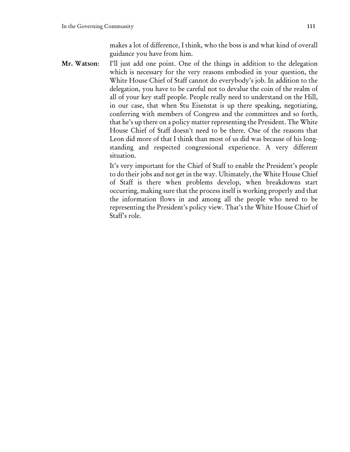makes a lot of difference, I think, who the boss is and what kind of overall guidance you have from him.

Mr. Watson: I'll just add one point. One of the things in addition to the delegation which is necessary for the very reasons embodied in your question, the White House Chief of Staff cannot do everybody's job. In addition to the delegation, you have to be careful not to devalue the coin of the realm of all of your key staff people. People really need to understand on the Hill, in our case, that when Stu Eisenstat is up there speaking, negotiating, conferring with members of Congress and the committees and so forth, that he's up there on a policy matter representing the President. The White House Chief of Staff doesn't need to be there. One of the reasons that Leon did more of that I think than most of us did was because of his longstanding and respected congressional experience. A very different situation.

> It's very important for the Chief of Staff to enable the President's people to do their jobs and not get in the way. Ultimately, the White House Chief of Staff is there when problems develop, when breakdowns start occurring, making sure that the process itself is working properly and that the information flows in and among all the people who need to be representing the President's policy view. That's the White House Chief of Staff's role.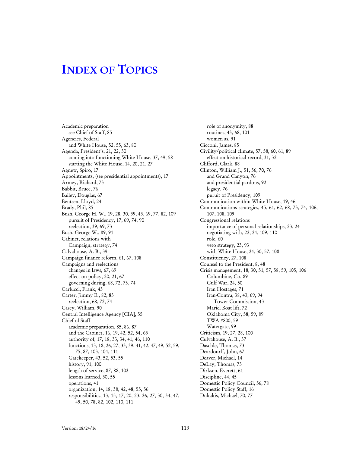# INDEX OF TOPICS

Academic preparation see Chief of Staff, 85 Agencies, Federal and White House, 52, 55, 63, 80 Agenda, President's, 21, 22, 30 coming into functioning White House, 37, 49, 58 starting the White House, 14, 20, 21, 27 Agnew, Spiro, 17 Appointments, (see presidential appointments), 17 Armey, Richard, 73 Babbit, Bruce, 76 Bailey, Douglas, 67 Bentsen, Lloyd, 24 Brady, Phil, 85 Bush, George H. W., 19, 28, 30, 39, 43, 69, 77, 82, 109 pursuit of Presidency, 17, 69, 74, 90 reelection, 39, 69, 73 Bush, George W., 89, 91 Cabinet, relations with Campaign, strategy, 74 Calvahouse, A. B., 39 Campaign finance reform, 61, 67, 108 Campaigns and reelections changes in laws, 67, 69 effect on policy, 20, 21, 67 governing during, 68, 72, 73, 74 Carlucci, Frank, 43 Carter, Jimmy E., 82, 83 reelection, 68, 72, 74 Casey, William, 90 Central Intelligence Agency [CIA], 55 Chief of Staff academic preparation, 85, 86, 87 and the Cabinet, 16, 19, 42, 52, 54, 63 authority of, 17, 18, 33, 34, 41, 46, 110 functions, 13, 18, 26, 27, 33, 39, 41, 42, 47, 49, 52, 59, 75, 87, 103, 104, 111 Gatekeeper, 43, 52, 53, 55 history, 91, 100 length of service, 87, 88, 102 lessons learned, 30, 55 operations, 41 organization, 14, 18, 38, 42, 48, 55, 56 responsibilities, 13, 15, 17, 20, 23, 26, 27, 30, 34, 47, 49, 50, 78, 82, 102, 110, 111

role of anonymity, 88 routines, 43, 68, 101 women as, 91 Cicconi, James, 85 Civility/political climate, 57, 58, 60, 61, 89 effect on historical record, 31, 32 Clifford, Clark, 88 Clinton, William J., 51, 56, 70, 76 and Grand Canyon, 76 and presidential pardons, 92 legacy, 76 puruit of Presidency, 109 Communication within White House, 19, 46 Communications strategies, 45, 61, 62, 68, 73, 74, 106, 107, 108, 109 Congressional relations importance of personal relationships, 23, 24 negotiating with, 22, 24, 109, 110 role, 60 veto strategy, 23, 93 with White House, 24, 30, 57, 108 Constituency, 27, 108 Counsel to the President, 8, 48 Crisis management, 18, 30, 51, 57, 58, 59, 105, 106 Columbine, Co, 89 Gulf War, 24, 50 Iran Hostages, 71 Iran-Contra, 38, 43, 69, 94 Tower Commission, 43 Mariel Boat lift, 72 Oklahoma City, 58, 59, 89 TWA #800, 59 Watergate, 99 Criticism, 19, 27, 28, 100 Culvahouse, A. B., 37 Daschle, Thomas, 73 Deardourff, John, 67 Deaver, Michael, 14 DeLay, Thomas, 73 Dirksen, Everett, 61 Discipline, 44, 45 Domestic Policy Council, 56, 78 Domestic Policy Staff, 16 Dukakis, Michael, 70, 77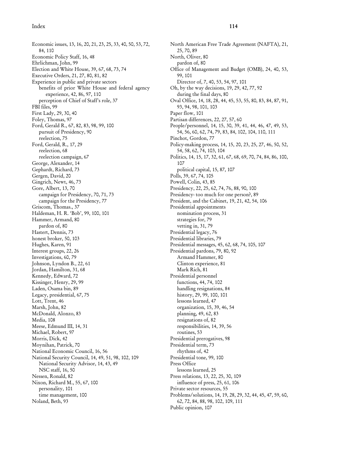### Index 114

Economic issues, 13, 16, 20, 21, 23, 25, 33, 40, 50, 53, 72, 84, 110 Economic Policy Staff, 16, 48 Ehrlichman, John, 99 Election and White House, 39, 67, 68, 73, 74 Executive Orders, 21, 27, 80, 81, 82 Experience in public and private sectors benefits of prior White House and federal agency experience, 42, 86, 97, 110 perception of Chief of Staff's role, 37 FBI files, 99 First Lady, 29, 30, 40 Foley, Thomas, 97 Ford, Gerald R., 67, 82, 83, 98, 99, 100 pursuit of Presidency, 90 reelection, 75 Ford, Gerald, R., 17, 29 reelection, 68 reelection campaign, 67 George, Alexander, 14 Gephardt, Richard, 73 Gergen, David, 20 Gingrich, Newt, 46, 73 Gore, Albert, 13, 70 campaign for Presidency, 70, 71, 73 campaign for the Presidency, 77 Griscom, Thomas., 37 Haldeman, H. R. 'Bob', 99, 100, 101 Hammer, Armand, 80 pardon of, 80 Hastert, Dennis, 73 honest broker, 50, 103 Hughes, Karen, 91 Interest groups, 22, 26 Investigations, 60, 79 Johnson, Lyndon B., 22, 61 Jordan, Hamilton, 31, 68 Kennedy, Edward, 72 Kissinger, Henry, 29, 99 Laden, Osama bin, 89 Legacy, presidential, 67, 75 Lott, Trent, 46 Marsh, John, 82 McDonald, Alonzo, 83 Media, 108 Meese, Edmund III, 14, 31 Michael, Robert, 97 Morris, Dick, 42 Moynihan, Patrick, 70 National Economic Council, 16, 56 National Security Council, 14, 49, 51, 98, 102, 109 National Security Advisor, 14, 43, 49 NSC staff, 16, 50 Nessen, Ronald, 82 Nixon, Richard M., 55, 67, 100 personality, 101 time management, 100 Noland, Beth, 93

North American Free Trade Agreement (NAFTA), 21, 25, 70, 89 North, Oliver, 80 pardon of, 80 Office of Management and Budget (OMB), 24, 40, 53, 99, 101 Director of, 7, 40, 53, 54, 97, 101 Oh, by the way decisions, 19, 29, 42, 77, 92 during the final days, 80 Oval Office, 14, 18, 28, 44, 45, 53, 55, 80, 83, 84, 87, 91, 93, 94, 98, 101, 103 Paper flow, 101 Partisan differences, 22, 27, 57, 60 People/personnel, 14, 15, 30, 39, 41, 44, 46, 47, 49, 53, 54, 56, 60, 62, 74, 79, 83, 84, 102, 104, 110, 111 Pinchot, Gordon, 77 Policy-making process, 14, 15, 20, 23, 25, 27, 46, 50, 52, 54, 58, 62, 74, 103, 104 Politics, 14, 15, 17, 32, 61, 67, 68, 69, 70, 74, 84, 86, 100, 107 political capital, 15, 87, 107 Polls, 39, 67, 74, 105 Powell, Colin, 43, 85 Presidency, 22, 25, 62, 74, 76, 88, 90, 100 Presidency- too much for one person?, 89 President, and the Cabinet, 19, 21, 42, 54, 106 Presidential appointments nomination process, 31 strategies for, 79 vetting in, 31, 79 Presidential legacy, 76 Presidential libraries, 79 Presidential messages, 45, 62, 68, 74, 105, 107 Presidential pardons, 79, 80, 92 Armand Hammer, 80 Clinton experience, 81 Mark Rich, 81 Presidential personnel functions, 44, 74, 102 handling resignations, 84 history, 29, 99, 100, 101 lessons learned, 47 organization, 15, 39, 46, 54 planning, 49, 62, 83 resignations of, 82 responsibilities, 14, 39, 56 routines, 53 Presidential prerogatives, 98 Presidential term, 73 rhythms of, 42 Presidential tone, 99, 100 Press Office lessons learned, 25 Press relations, 13, 22, 25, 30, 109 influence of press, 25, 61, 106 Private sector resources, 55 Problems/solutions, 14, 19, 28, 29, 32, 44, 45, 47, 59, 60, 62, 72, 84, 88, 98, 102, 109, 111 Public opinion, 107